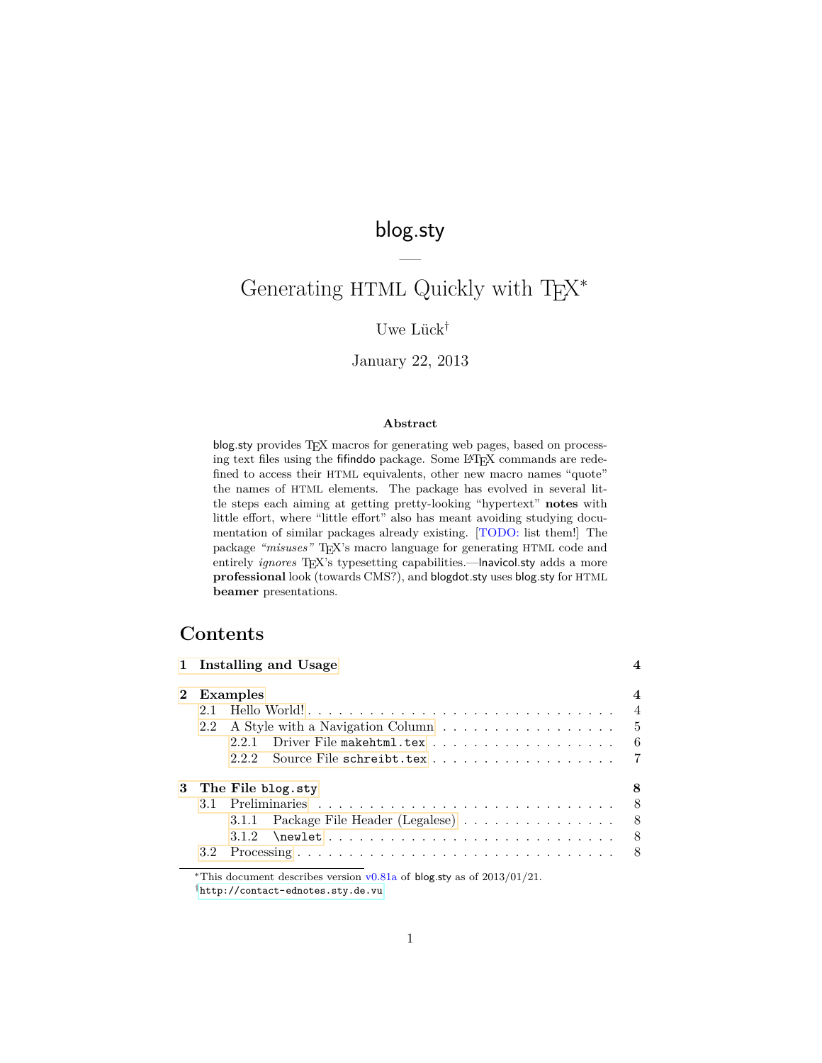# blog.sty

—

# Generating HTML Quickly with TEX<sup>\*</sup>

### Uwe Lück<sup>†</sup>

### January 22, 2013

#### **Abstract**

blog.sty provides T<sub>E</sub>X macros for generating web pages, based on processing text files using the fifinddo package. Some LATEX commands are redefined to access their HTML equivalents, other new macro names "quote" the names of HTML elements. The package has evolved in several little steps each aiming at getting pretty-looking "hypertext" **notes** with little effort, where "little effort" also has meant avoiding studying documentation of similar packages already existing. [TODO: list them!] The package "misuses" TFX's macro language for generating HTML code and entirely *ignores* T<sub>E</sub>X's typesetting capabilities.—Inavicol.sty adds a more **professional** look (towards CMS?), and blogdot.sty uses blog.sty for HTML **beamer** presentations.

# **Contents**

|     | 1 Installing and Usage                 |                |
|-----|----------------------------------------|----------------|
|     | 2 Examples                             |                |
| 2.1 |                                        | $\overline{4}$ |
| 2.2 |                                        |                |
|     |                                        |                |
|     | 222                                    |                |
|     | 3 The File blog.sty                    |                |
|     |                                        |                |
|     | 3.1.1 Package File Header (Legalese) 8 |                |
|     | 312                                    |                |
| 3.2 |                                        |                |
|     |                                        |                |

<sup>∗</sup>This document describes version v0.81a of blog.sty as of 2013/01/21.

<sup>†</sup><http://contact-ednotes.sty.de.vu>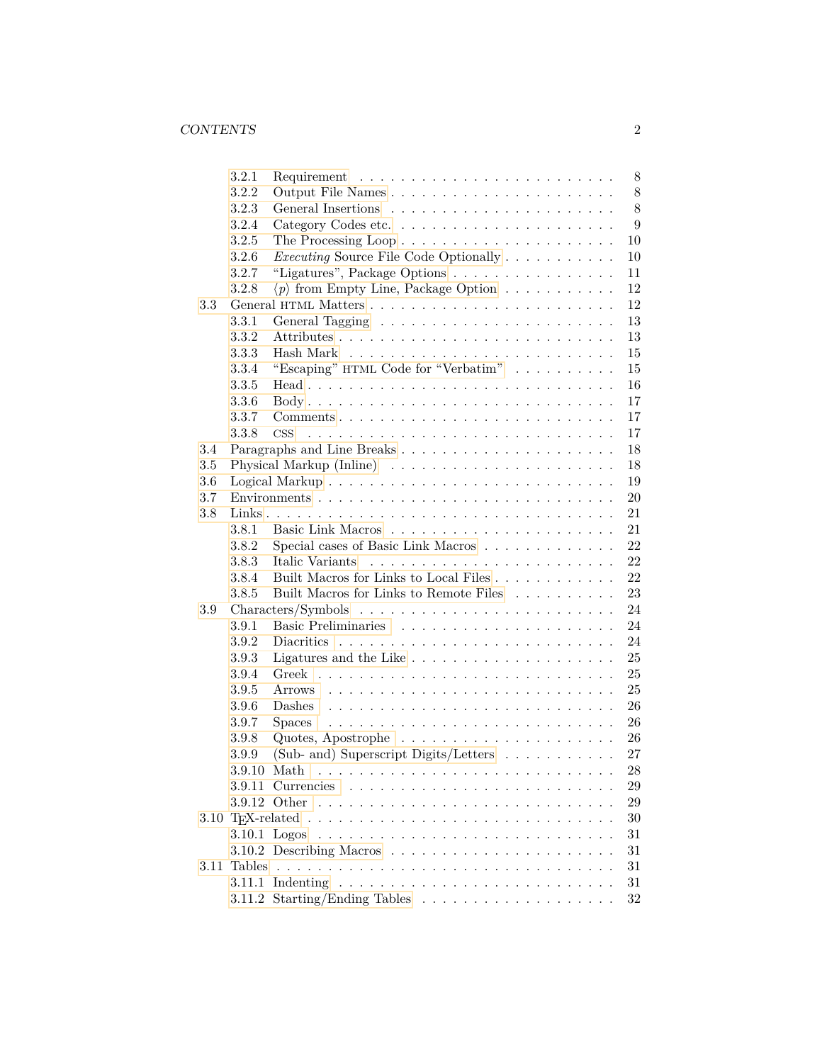|         | 3.2.1       | 8                                                                                                                                                                                                                                                                                                                                                                                                                                                                            |
|---------|-------------|------------------------------------------------------------------------------------------------------------------------------------------------------------------------------------------------------------------------------------------------------------------------------------------------------------------------------------------------------------------------------------------------------------------------------------------------------------------------------|
|         | 3.2.2       | $8\,$                                                                                                                                                                                                                                                                                                                                                                                                                                                                        |
|         | 3.2.3       | 8                                                                                                                                                                                                                                                                                                                                                                                                                                                                            |
|         | 3.2.4       | 9                                                                                                                                                                                                                                                                                                                                                                                                                                                                            |
|         | 3.2.5       | 10                                                                                                                                                                                                                                                                                                                                                                                                                                                                           |
|         | 3.2.6       | <i>Executing</i> Source File Code Optionally<br>10                                                                                                                                                                                                                                                                                                                                                                                                                           |
|         | 3.2.7       | "Ligatures", Package Options<br>11                                                                                                                                                                                                                                                                                                                                                                                                                                           |
|         | 3.2.8       | $\langle p \rangle$ from Empty Line, Package Option<br>12                                                                                                                                                                                                                                                                                                                                                                                                                    |
| 3.3     |             | 12                                                                                                                                                                                                                                                                                                                                                                                                                                                                           |
|         | 3.3.1       | 13                                                                                                                                                                                                                                                                                                                                                                                                                                                                           |
|         | 3.3.2       | 13                                                                                                                                                                                                                                                                                                                                                                                                                                                                           |
|         | 3.3.3       | 15                                                                                                                                                                                                                                                                                                                                                                                                                                                                           |
|         | 3.3.4       | "Escaping" HTML Code for "Verbatim" $\ldots \ldots \ldots$<br>15                                                                                                                                                                                                                                                                                                                                                                                                             |
|         | 3.3.5       | 16                                                                                                                                                                                                                                                                                                                                                                                                                                                                           |
|         | 3.3.6       | 17                                                                                                                                                                                                                                                                                                                                                                                                                                                                           |
|         | 3.3.7       | 17<br>$Comments \dots \dots \dots \dots \dots \dots \dots \dots \dots \dots \dots \dots$                                                                                                                                                                                                                                                                                                                                                                                     |
|         | 3.3.8       | 17<br>$\mathrm{CSS}$                                                                                                                                                                                                                                                                                                                                                                                                                                                         |
| 3.4     |             | 18<br>Paragraphs and Line Breaks                                                                                                                                                                                                                                                                                                                                                                                                                                             |
| $3.5\,$ |             | 18                                                                                                                                                                                                                                                                                                                                                                                                                                                                           |
| 3.6     |             | 19                                                                                                                                                                                                                                                                                                                                                                                                                                                                           |
| 3.7     |             | 20                                                                                                                                                                                                                                                                                                                                                                                                                                                                           |
| 3.8     |             | 21                                                                                                                                                                                                                                                                                                                                                                                                                                                                           |
|         | 3.8.1       | 21                                                                                                                                                                                                                                                                                                                                                                                                                                                                           |
|         | 3.8.2       | 22<br>Special cases of Basic Link Macros                                                                                                                                                                                                                                                                                                                                                                                                                                     |
|         | 3.8.3       | 22<br>Italic Variants                                                                                                                                                                                                                                                                                                                                                                                                                                                        |
|         | 3.8.4       | 22                                                                                                                                                                                                                                                                                                                                                                                                                                                                           |
|         | 3.8.5       | Built Macros for Links to Remote Files<br>23                                                                                                                                                                                                                                                                                                                                                                                                                                 |
| $3.9\,$ |             | 24                                                                                                                                                                                                                                                                                                                                                                                                                                                                           |
|         | 3.9.1       | 24                                                                                                                                                                                                                                                                                                                                                                                                                                                                           |
|         | 3.9.2       | 24                                                                                                                                                                                                                                                                                                                                                                                                                                                                           |
|         | 3.9.3       | $25\,$<br>Ligatures and the Like $\ldots \ldots \ldots \ldots \ldots \ldots$                                                                                                                                                                                                                                                                                                                                                                                                 |
|         | 3.9.4       | 25                                                                                                                                                                                                                                                                                                                                                                                                                                                                           |
|         | 3.9.5       | 25                                                                                                                                                                                                                                                                                                                                                                                                                                                                           |
|         | 3.9.6       | 26                                                                                                                                                                                                                                                                                                                                                                                                                                                                           |
|         |             | Dashes<br>26                                                                                                                                                                                                                                                                                                                                                                                                                                                                 |
|         | 3.9.7       | <b>Spaces</b><br>$\mathcal{L}(\mathcal{L}(\mathcal{L},\mathcal{L},\mathcal{L},\mathcal{L},\mathcal{L},\mathcal{L},\mathcal{L},\mathcal{L},\mathcal{L},\mathcal{L},\mathcal{L},\mathcal{L},\mathcal{L},\mathcal{L},\mathcal{L},\mathcal{L},\mathcal{L},\mathcal{L},\mathcal{L},\mathcal{L},\mathcal{L},\mathcal{L},\mathcal{L},\mathcal{L},\mathcal{L},\mathcal{L},\mathcal{L},\mathcal{L},\mathcal{L},\mathcal{L},\mathcal{L},\mathcal{L},\mathcal{L},\mathcal{L},\mathcal{$ |
|         | 3.9.8       | 26<br>Quotes, Apostrophe $\dots \dots \dots \dots \dots \dots \dots$                                                                                                                                                                                                                                                                                                                                                                                                         |
|         | 3.9.9       | (Sub- and) Superscript Digits/Letters $\ldots \ldots \ldots$<br>27                                                                                                                                                                                                                                                                                                                                                                                                           |
|         |             | $28\,$<br>$3.9.10$ Math<br>.                                                                                                                                                                                                                                                                                                                                                                                                                                                 |
|         |             | $\,29$                                                                                                                                                                                                                                                                                                                                                                                                                                                                       |
|         |             | 29                                                                                                                                                                                                                                                                                                                                                                                                                                                                           |
|         |             | $30\,$                                                                                                                                                                                                                                                                                                                                                                                                                                                                       |
|         |             | 31                                                                                                                                                                                                                                                                                                                                                                                                                                                                           |
|         |             | 31                                                                                                                                                                                                                                                                                                                                                                                                                                                                           |
|         | 3.11 Tables | 31                                                                                                                                                                                                                                                                                                                                                                                                                                                                           |
|         |             | $31\,$                                                                                                                                                                                                                                                                                                                                                                                                                                                                       |
|         |             | $32\,$                                                                                                                                                                                                                                                                                                                                                                                                                                                                       |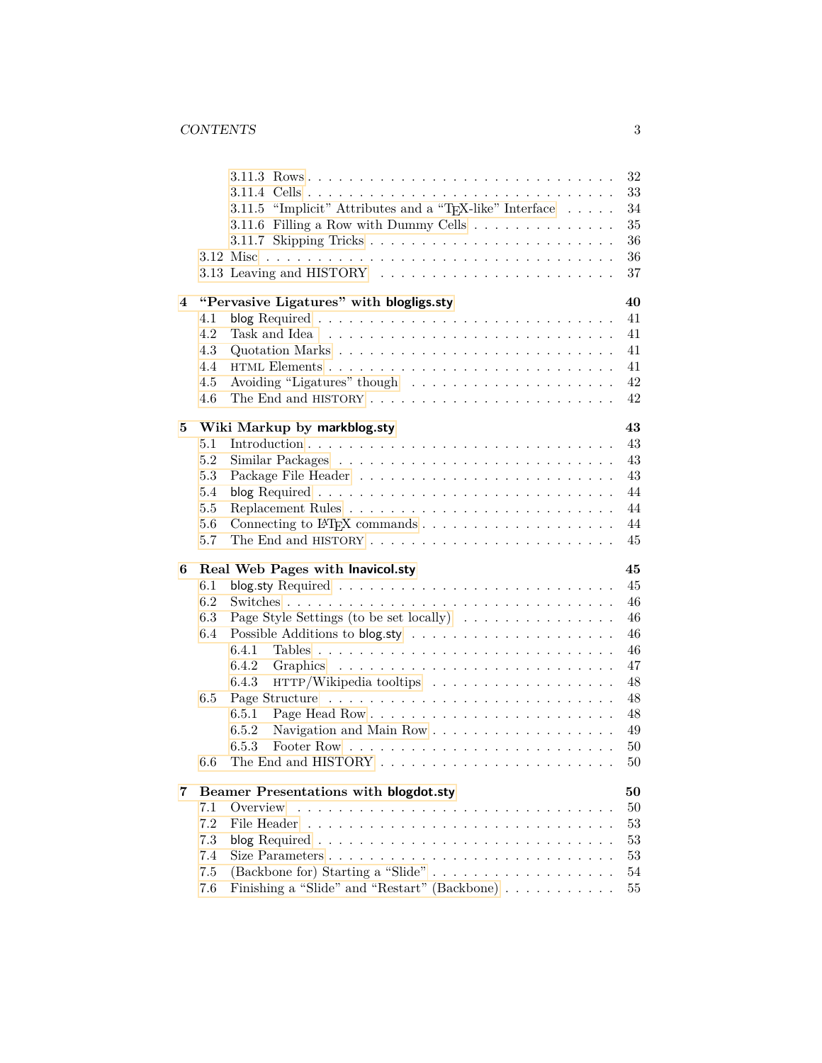|                |                                                                                                 |  |  |  | $32\,$   |
|----------------|-------------------------------------------------------------------------------------------------|--|--|--|----------|
|                |                                                                                                 |  |  |  | 33       |
|                | 3.11.5 "Implicit" Attributes and a "T <sub>F</sub> X-like" Interface $\dots$ .                  |  |  |  | 34       |
|                | 3.11.6 Filling a Row with Dummy Cells                                                           |  |  |  | 35       |
|                |                                                                                                 |  |  |  | 36       |
|                |                                                                                                 |  |  |  | 36       |
|                |                                                                                                 |  |  |  | 37       |
| $\overline{4}$ | "Pervasive Ligatures" with blogligs.sty                                                         |  |  |  | 40       |
|                | 4.1                                                                                             |  |  |  | 41       |
|                | 4.2                                                                                             |  |  |  | 41       |
|                | 4.3                                                                                             |  |  |  | 41       |
|                | 4.4                                                                                             |  |  |  | 41       |
|                | 4.5                                                                                             |  |  |  | 42       |
|                | 4.6                                                                                             |  |  |  | 42       |
| 5              | Wiki Markup by markblog.sty                                                                     |  |  |  | 43       |
|                | 5.1                                                                                             |  |  |  | 43       |
|                | 5.2                                                                                             |  |  |  | 43       |
|                | 5.3                                                                                             |  |  |  | 43       |
|                | 5.4                                                                                             |  |  |  | 44       |
|                | 5.5                                                                                             |  |  |  | 44       |
|                | 5.6                                                                                             |  |  |  | 44       |
|                | 5.7                                                                                             |  |  |  | 45       |
|                |                                                                                                 |  |  |  |          |
| 6              | Real Web Pages with Inavicol.sty                                                                |  |  |  | 45       |
|                | 6.1                                                                                             |  |  |  | 45       |
|                | 6.2                                                                                             |  |  |  | 46       |
|                | 6.3<br>Page Style Settings (to be set locally) $\dots \dots \dots \dots \dots$                  |  |  |  | 46       |
|                | 6.4                                                                                             |  |  |  | 46       |
|                | 6.4.1                                                                                           |  |  |  | 46       |
|                | 6.4.2                                                                                           |  |  |  | 47       |
|                | $HTTP/Wikipedia$ tooltips $\ldots \ldots \ldots \ldots \ldots \ldots$<br>6.4.3                  |  |  |  | 48       |
|                | 6.5                                                                                             |  |  |  | 48       |
|                | 6.5.1                                                                                           |  |  |  | 48       |
|                | 6.5.2<br>Navigation and Main Row                                                                |  |  |  | 49       |
|                | 6.5.3                                                                                           |  |  |  | 50       |
|                | 6.6                                                                                             |  |  |  | 50       |
|                |                                                                                                 |  |  |  |          |
|                |                                                                                                 |  |  |  |          |
| 7              | <b>Beamer Presentations with blogdot.sty</b>                                                    |  |  |  | 50       |
|                | 7.1<br>Overview                                                                                 |  |  |  | 50       |
|                | 7.2                                                                                             |  |  |  | 53       |
|                | 7.3                                                                                             |  |  |  | 53       |
|                | 7.4                                                                                             |  |  |  | 53       |
|                | (Backbone for) Starting a "Slide"<br>7.5<br>Finishing a "Slide" and "Restart" (Backbone)<br>7.6 |  |  |  | 54<br>55 |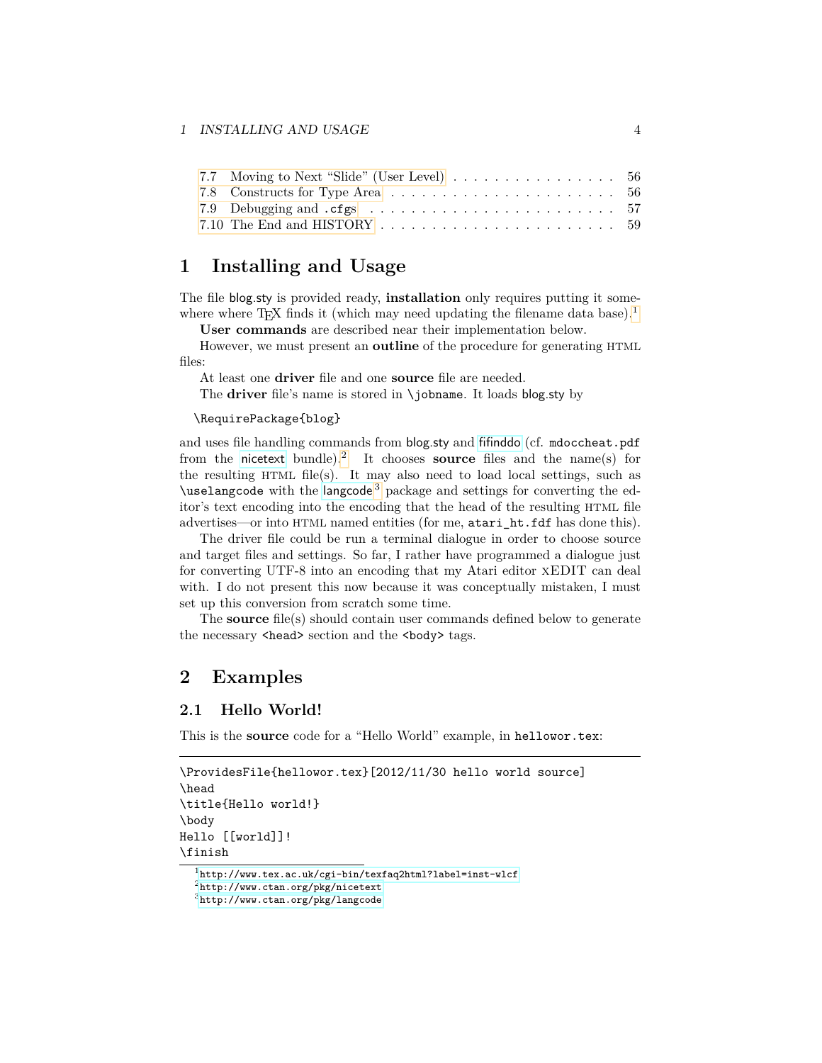### 1 INSTALLING AND USAGE 4

| 7.7 Moving to Next "Slide" (User Level) 56                                                          |  |
|-----------------------------------------------------------------------------------------------------|--|
|                                                                                                     |  |
|                                                                                                     |  |
| 7.10 The End and HISTORY $\ldots$ , $\ldots$ , $\ldots$ , $\ldots$ , $\ldots$ , $\ldots$ , $\ldots$ |  |

# <span id="page-3-0"></span>**1 Installing and Usage**

The file blog.sty is provided ready, **installation** only requires putting it some-where where T<sub>E</sub>X finds it (which may need updating the filename data base).<sup>[1](#page-3-3)</sup>

**User commands** are described near their implementation below.

However, we must present an **outline** of the procedure for generating HTML files:

At least one **driver** file and one **source** file are needed.

The **driver** file's name is stored in \jobname. It loads blog.sty by

### \RequirePackage{blog}

and uses file handling commands from blog.sty and [fifinddo](http://www.ctan.org/pkg/nicetext) (cf. mdoccheat.pdf from the [nicetext](http://www.ctan.org/pkg/nicetext) bundle).[2](#page-3-4) It chooses **source** files and the name(s) for the resulting HTML file(s). It may also need to load local settings, such as  $\u$ se[langcode](http://www.ctan.org/pkg/langcode) with the langcode<sup>[3](#page-3-5)</sup> package and settings for converting the editor's text encoding into the encoding that the head of the resulting HTML file advertises—or into HTML named entities (for me, atari\_ht.fdf has done this).

The driver file could be run a terminal dialogue in order to choose source and target files and settings. So far, I rather have programmed a dialogue just for converting UTF-8 into an encoding that my Atari editor xEDIT can deal with. I do not present this now because it was conceptually mistaken, I must set up this conversion from scratch some time.

The **source** file(s) should contain user commands defined below to generate the necessary <head> section and the <br/> <br/>body> tags.

# <span id="page-3-1"></span>**2 Examples**

### <span id="page-3-2"></span>**2.1 Hello World!**

This is the **source** code for a "Hello World" example, in hellowor.tex:

```
\ProvidesFile{hellowor.tex}[2012/11/30 hello world source]
\head
\title{Hello world!}
\body
Hello [[world]]!
\finish
```
<span id="page-3-3"></span><sup>1</sup><http://www.tex.ac.uk/cgi-bin/texfaq2html?label=inst-wlcf>

<span id="page-3-4"></span><sup>2</sup><http://www.ctan.org/pkg/nicetext>

<span id="page-3-5"></span><sup>3</sup><http://www.ctan.org/pkg/langcode>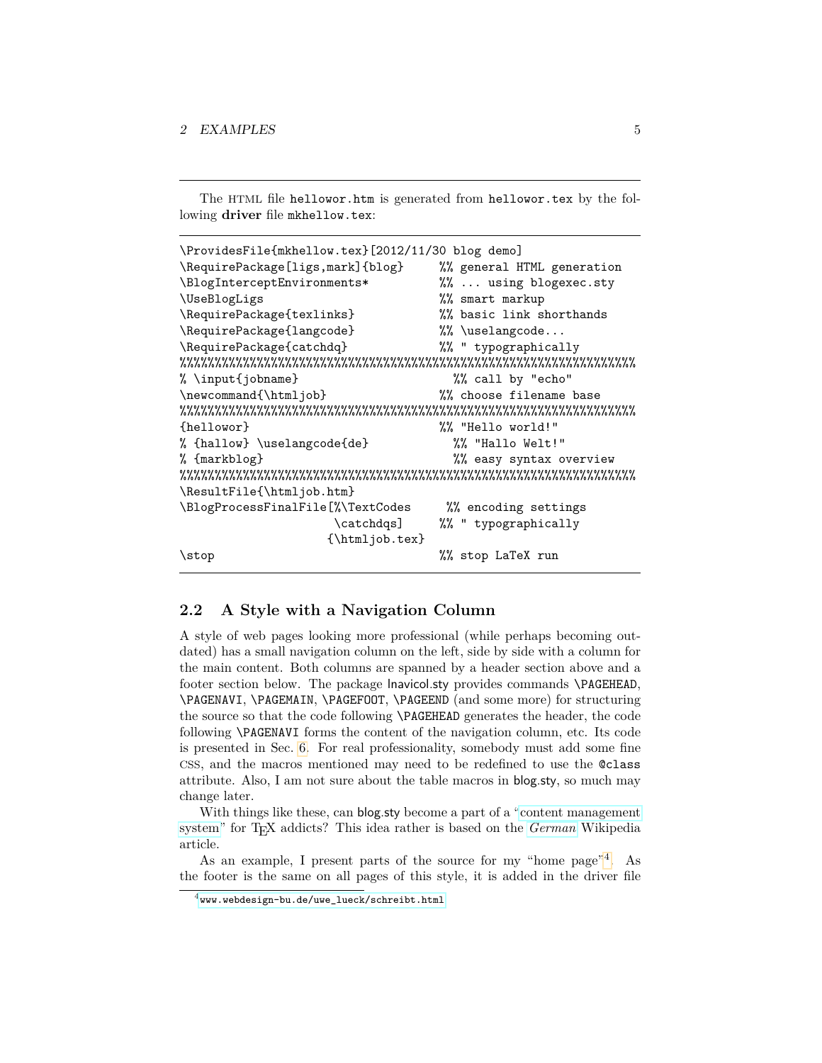The HTML file hellowor.htm is generated from hellowor.tex by the following **driver** file mkhellow.tex:

```
\ProvidesFile{mkhellow.tex}[2012/11/30 blog demo]
\RequirePackage[ligs,mark]{blog} %% general HTML generation
\BlogInterceptEnvironments* %% ... using blogexec.sty
\UseBlogLigs %% smart markup
\RequirePackage{texlinks} %% basic link shorthands
\RequirePackage{langcode} %%\uselangcode...
\RequirePackage{catchdq} %% " typographically
%%%%%%%%%%%%%%%%%%%%%%%%%%%%%%%%%%%%%%%%%%%%%%%%%%%%%%%%%%%%%%%%%
% \input{jobname} %% call by "echo"
\newcommand{\htmljob} %% choose filename base
%%%%%%%%%%%%%%%%%%%%%%%%%%%%%%%%%%%%%%%%%%%%%%%%%%%%%%%%%%%%%%%%%
{hellowor} %% "Hello world!"
% {hallow} \uselangcode{de} %% "Hallo Welt!"
% {markblog} %% easy syntax overview
%%%%%%%%%%%%%%%%%%%%%%%%%%%%%%%%%%%%%%%%%%%%%%%%%%%%%%%%%%%%%%%%%
\ResultFile{\htmljob.htm}
\BlogProcessFinalFile[%\TextCodes %% encoding settings
                  \catchdqs] %% " typographically
                 {\htmljob.tex}
\stop %% stop LaTeX run
```
### <span id="page-4-0"></span>**2.2 A Style with a Navigation Column**

A style of web pages looking more professional (while perhaps becoming outdated) has a small navigation column on the left, side by side with a column for the main content. Both columns are spanned by a header section above and a footer section below. The package lnavicol.sty provides commands **\PAGEHEAD**, \PAGENAVI, \PAGEMAIN, \PAGEFOOT, \PAGEEND (and some more) for structuring the source so that the code following \PAGEHEAD generates the header, the code following \PAGENAVI forms the content of the navigation column, etc. Its code is presented in Sec. [6.](#page-44-1) For real professionality, somebody must add some fine CSS, and the macros mentioned may need to be redefined to use the @class attribute. Also, I am not sure about the table macros in blog.sty, so much may change later.

With things like these, can blog.sty become a part of a ["content management](http://en.wikipedia.org/wiki/content management system)" [system"](http://en.wikipedia.org/wiki/content management system) for TEX addicts? This idea rather is based on the *[German](http://de.wikipedia.org/wiki/Content Management System)* Wikipedia article.

As an example, I present parts of the source for my "home page"<sup>[4](#page-4-1)</sup>. As the footer is the same on all pages of this style, it is added in the driver file

<span id="page-4-1"></span> $4$ [www.webdesign-bu.de/uwe\\_lueck/schreibt.html](http://www.webdesign-bu.de/uwe_lueck/schreibt.html)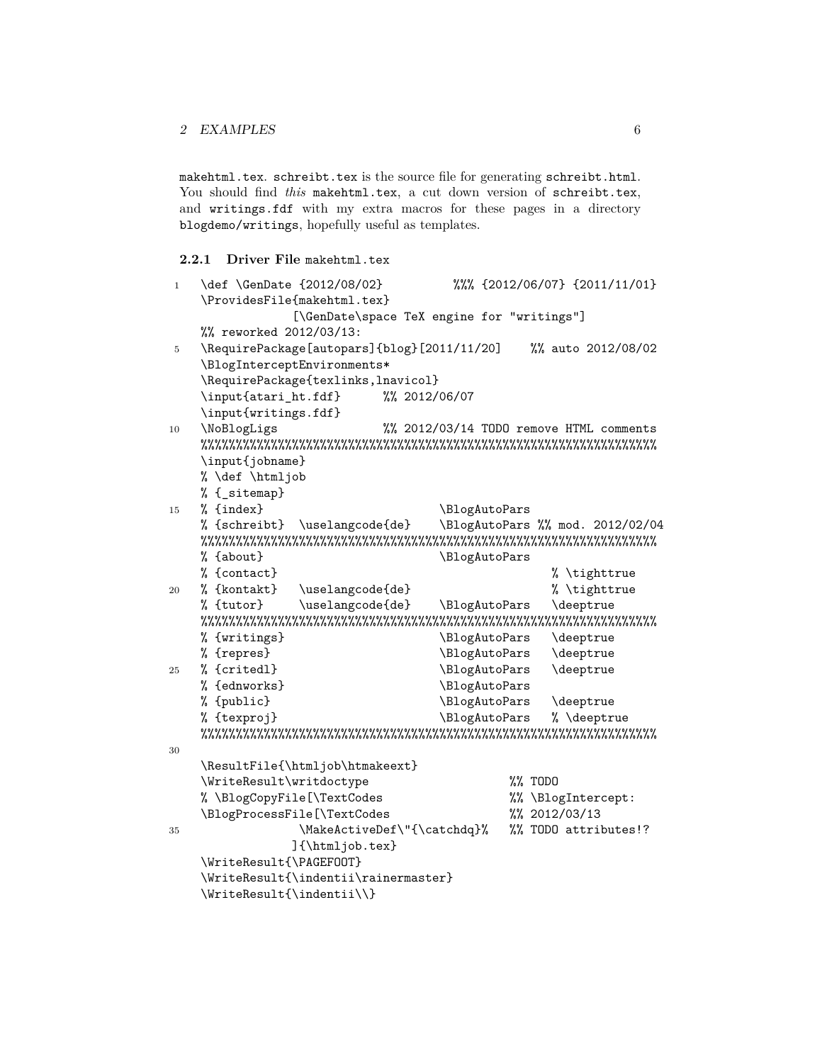### 2 EXAMPLES 6

makehtml.tex. schreibt.tex is the source file for generating schreibt.html. You should find *this* makehtml.tex, a cut down version of schreibt.tex, and writings.fdf with my extra macros for these pages in a directory blogdemo/writings, hopefully useful as templates.

### <span id="page-5-0"></span>**2.2.1 Driver File** makehtml.tex

```
1 \def \GenDate {2012/08/02} %%% {2012/06/07} {2011/11/01}
   \ProvidesFile{makehtml.tex}
               [\GenDate\space TeX engine for "writings"]
   %% reworked 2012/03/13:
5 \RequirePackage[autopars]{blog}[2011/11/20] %% auto 2012/08/02
   \BlogInterceptEnvironments*
   \RequirePackage{texlinks,lnavicol}
   \input{atari ht.fdf} %% 2012/06/07
   \input{writings.fdf}
10 \NoBlogLigs %% 2012/03/14 TODO remove HTML comments
   %%%%%%%%%%%%%%%%%%%%%%%%%%%%%%%%%%%%%%%%%%%%%%%%%%%%%%%%%%%%%%%%%
   \input{jobname}
   % \def \htmljob
   % {_sitemap}
15 % {index} \BlogAutoPars
   % {schreibt} \uselangcode{de} \BlogAutoPars %% mod. 2012/02/04
   %%%%%%%%%%%%%%%%%%%%%%%%%%%%%%%%%%%%%%%%%%%%%%%%%%%%%%%%%%%%%%%%%
   % {about}    \BlogAutoPars
   % {contact}<br>% {kontakt} \uselangcode{de} % \tighttrue % {kontakt}
20 % \{kontakt\} \uselangcode\{de\}% {tutor} \uselangcode{de} \BlogAutoPars \deeptrue
   %%%%%%%%%%%%%%%%%%%%%%%%%%%%%%%%%%%%%%%%%%%%%%%%%%%%%%%%%%%%%%%%%
   % {writings} \BlogAutoPars \deeptrue
   % {repres} \Delta \BlogAutoPars \deeptrue
25 % {critedl} \Delta \BlogAutoPars \deeptrue
   % {ednworks} \BlogAutoPars
   % {public} \Delta \BlogAutoPars \deeptrue
   % {texproj} \Bbb{C} \BlogAutoPars % \deeptrue
   %%%%%%%%%%%%%%%%%%%%%%%%%%%%%%%%%%%%%%%%%%%%%%%%%%%%%%%%%%%%%%%%%
30
   \ResultFile{\htmljob\htmakeext}
   \WriteResult\writdoctype %% TODO
   % \BlogCopyFile[\TextCodes \frac{3}{8} \BlogIntercept:
   \BlogProcessFile[\TextCodes \frac{3}{8} 2012/03/13
35 \MakeActiveDef\"{\catchdq}% %% TODO attributes!?
               ]{\htmljob.tex}
   \WriteResult{\PAGEFOOT}
   \WriteResult{\indentii\rainermaster}
   \WriteResult{\indentii\\}
```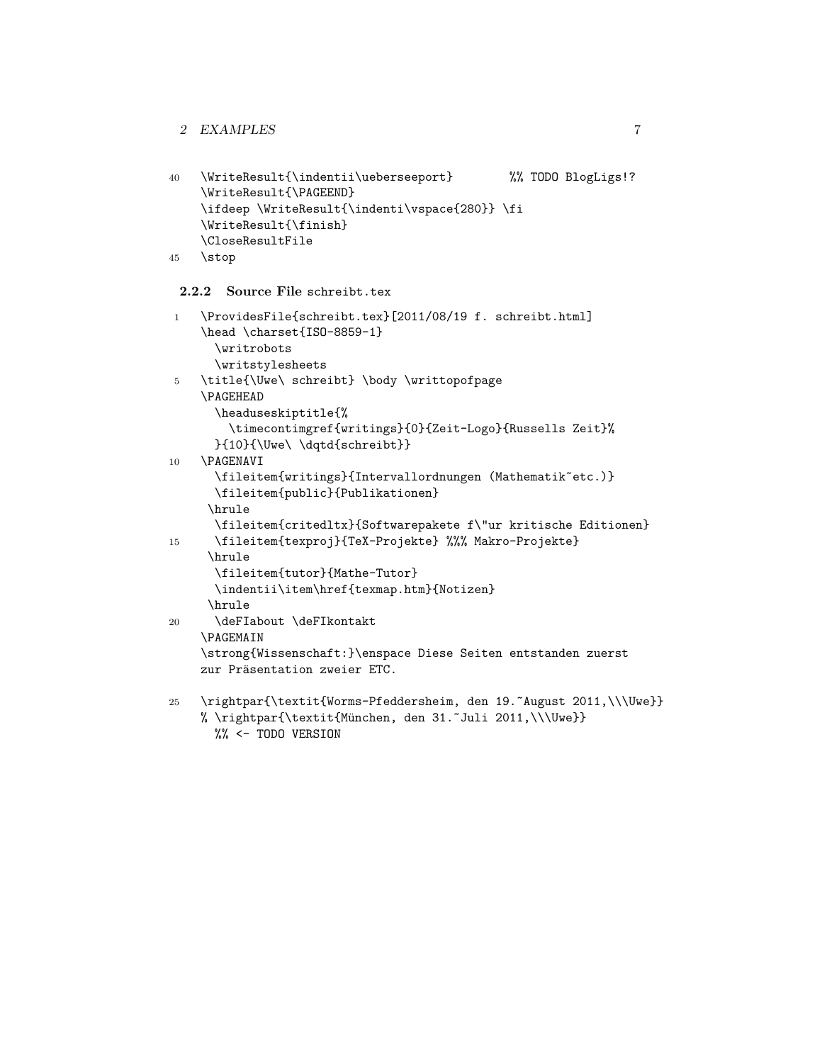```
40 \WriteResult{\indentii\ueberseeport} %% TODO BlogLigs!?
    \WriteResult{\PAGEEND}
    \ifdeep \WriteResult{\indenti\vspace{280}} \fi
    \WriteResult{\finish}
    \CloseResultFile
45 \stop
```
### <span id="page-6-0"></span>**2.2.2 Source File** schreibt.tex

```
1 \ProvidesFile{schreibt.tex}[2011/08/19 f. schreibt.html]
    \head \charset{ISO-8859-1}
      \writrobots
      \writstylesheets
5 \title{\Uwe\ schreibt} \body \writtopofpage
    \PAGEHEAD
      \headuseskiptitle{%
        \timecontimgref{writings}{0}{Zeit-Logo}{Russells Zeit}%
      }{10}{\Uwe\ \dqtd{schreibt}}
10 \PAGENAVI
      \fileitem{writings}{Intervallordnungen (Mathematik˜etc.)}
      \fileitem{public}{Publikationen}
     \hrule
      \fileitem{critedltx}{Softwarepakete f\"ur kritische Editionen}
15 \fileitem{texproj}{TeX-Projekte} %%% Makro-Projekte}
     \hrule
      \fileitem{tutor}{Mathe-Tutor}
      \indentii\item\href{texmap.htm}{Notizen}
     \hrule
20 \deFIabout \deFIkontakt
    \PAGEMAIN
    \strong{Wissenschaft:}\enspace Diese Seiten entstanden zuerst
    zur Präsentation zweier ETC.
25 \rightpar{\textit{Worms-Pfeddersheim, den 19.˜August 2011,\\\Uwe}}
    % \rightpar{\textit{M¨unchen, den 31.˜Juli 2011,\\\Uwe}}
```

```
%% <- TODO VERSION
```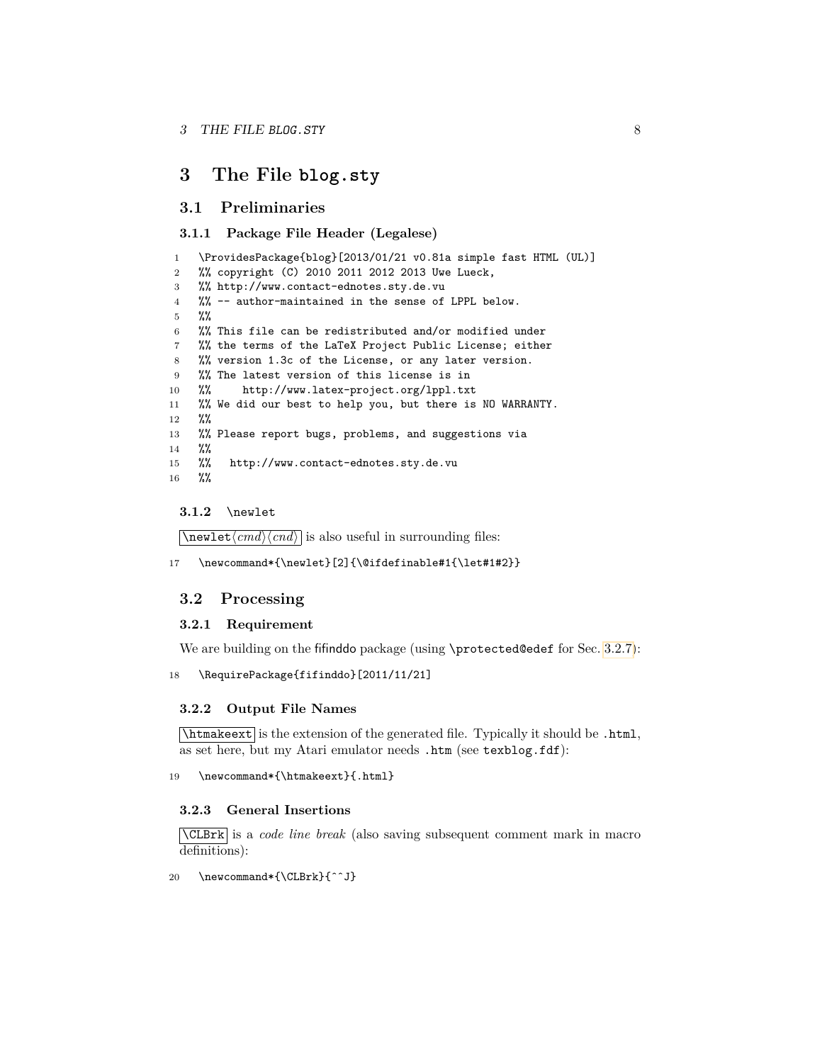# <span id="page-7-0"></span>**3 The File blog.sty**

### <span id="page-7-1"></span>**3.1 Preliminaries**

### <span id="page-7-2"></span>**3.1.1 Package File Header (Legalese)**

```
1 \ProvidesPackage{blog}[2013/01/21 v0.81a simple fast HTML (UL)]
2 %% copyright (C) 2010 2011 2012 2013 Uwe Lueck,
3 %% http://www.contact-ednotes.sty.de.vu
4 %% -- author-maintained in the sense of LPPL below.
5 %%
6 %% This file can be redistributed and/or modified under
7 %% the terms of the LaTeX Project Public License; either
8 %% version 1.3c of the License, or any later version.
9 %% The latest version of this license is in
10 %% http://www.latex-project.org/lppl.txt
11 %% We did our best to help you, but there is NO WARRANTY.
12 %%
13 %% Please report bugs, problems, and suggestions via
14 %%
15 %% http://www.contact-ednotes.sty.de.vu
16 %%
```
#### <span id="page-7-3"></span>**3.1.2** \newlet

 $\overline{\text{newlet}\langle cmd \rangle \langle cnd \rangle}$  is also useful in surrounding files:

17 \newcommand\*{\newlet}[2]{\@ifdefinable#1{\let#1#2}}

### <span id="page-7-4"></span>**3.2 Processing**

#### <span id="page-7-5"></span>**3.2.1 Requirement**

We are building on the fifinddo package (using \protected@edef for Sec. [3.2.7\)](#page-10-0):

18 \RequirePackage{fifinddo}[2011/11/21]

### <span id="page-7-6"></span>**3.2.2 Output File Names**

 $\lambda$ thtmakeext is the extension of the generated file. Typically it should be .html, as set here, but my Atari emulator needs .htm (see texblog.fdf):

19 \newcommand\*{\htmakeext}{.html}

#### <span id="page-7-7"></span>**3.2.3 General Insertions**

\CLBrk is a *code line break* (also saving subsequent comment mark in macro definitions):

20 \newcommand\*{\CLBrk}{ˆˆJ}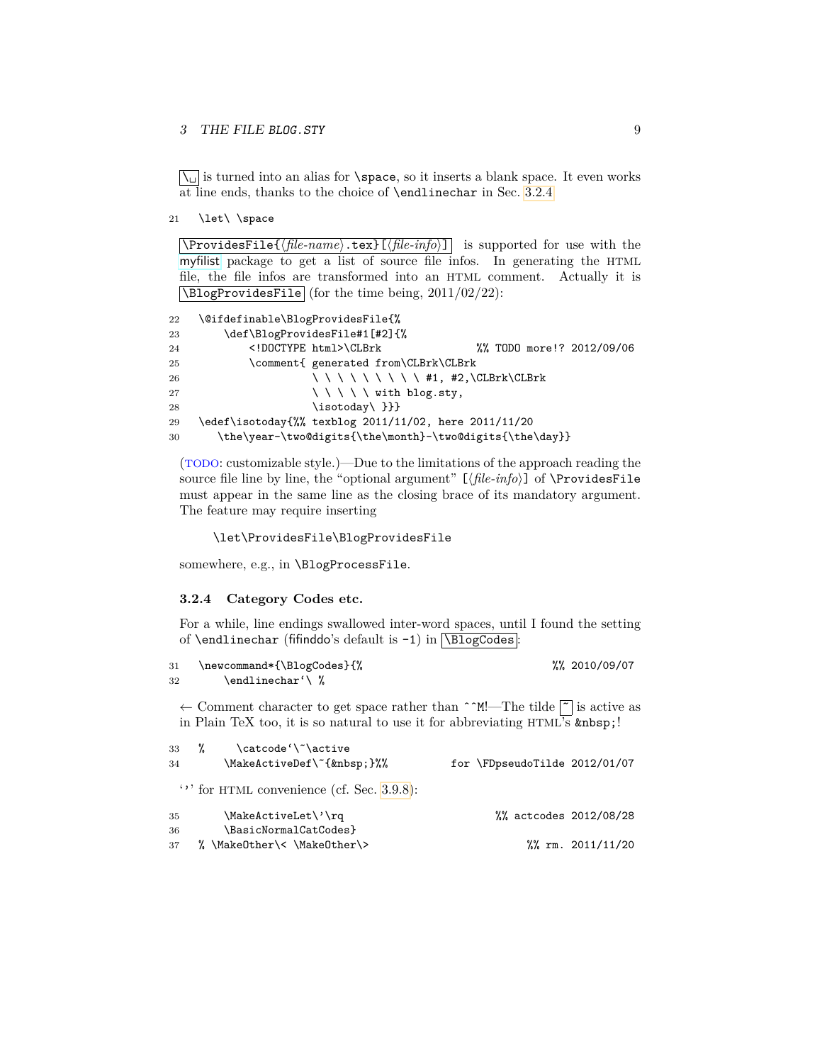### 3 THE FILE BLOG. STY 9

 $\setminus$  is turned into an alias for  $\spadesuit$  space, so it inserts a blank space. It even works at line ends, thanks to the choice of \endlinechar in Sec. [3.2.4.](#page-8-0)

21 \let\ \space

 $\sqrt{\text{ProvidesFile}\{\text{file-name}\}\text{text} \cdot \text{text}\}\text{if}\{\text{file-info}\}\}$  is supported for use with the [myfilist](http://www.ctan.org/pkg/morehype) package to get a list of source file infos. In generating the HTML file, the file infos are transformed into an HTML comment. Actually it is  $\boxed{\text{NBlogProvidesFile}}$  (for the time being, 2011/02/22):

```
22 \@ifdefinable\BlogProvidesFile{%
23 \def\BlogProvidesFile#1[#2]{%
24 <!DOCTYPE html>\CLBrk %% TODO more!? 2012/09/06
25 \comment{ generated from\CLBrk\CLBrk
26 \qquad \qquad \qquad \qquad \qquad \qquad \qquad \qquad \qquad \qquad \qquad \qquad \qquad \qquad \qquad \qquad \qquad \qquad \qquad \qquad \qquad \qquad \qquad \qquad \qquad \qquad \qquad \qquad \qquad \qquad \qquad \qquad \qquad \qquad \qquad \qquad \qquad \qquad \qquad \qquad \qquad27 \ \ \ \ \ with blog.sty,
28 \isotoday\ }}}
29 \edef\isotoday{%% texblog 2011/11/02, here 2011/11/20
30 \the\year-\two@digits{\the\month}-\two@digits{\the\day}}
```
(TODO: customizable style.)—Due to the limitations of the approach reading the source file line by line, the "optional argument" [ $\langle file\text{-}info \rangle$ ] of  $\ProvidesFile$ must appear in the same line as the closing brace of its mandatory argument. The feature may require inserting

```
\let\ProvidesFile\BlogProvidesFile
```
somewhere, e.g., in \BlogProcessFile.

#### <span id="page-8-0"></span>**3.2.4 Category Codes etc.**

For a while, line endings swallowed inter-word spaces, until I found the setting of \endlinechar (fifinddo's default is  $-1$ ) in  $\Delta$ BlogCodes :

```
31 \newcommand*{\BlogCodes}{% %% 2010/09/07
32 \endlinechar'\ %
```
← Comment character to get space rather than  $\hat{ }$   $\hat{M}$ !—The tilde  $\hat{ }$  is active as in Plain TeX too, it is so natural to use it for abbreviating  $HTML's$   $\$ ;

| 34 | 33 $\%$ | \catcode'\~\active<br>\MakeActiveDef\~{ }%%      | for \FDpseudoTilde 2012/01/07 |                      |
|----|---------|--------------------------------------------------|-------------------------------|----------------------|
|    |         | $\cdot$ , for HTML convenience (cf. Sec. 3.9.8): |                               |                      |
| 35 |         | \MakeActiveLet\'\rq                              | %% actcodes 2012/08/28        |                      |
| 36 |         | \BasicNormalCatCodes}                            |                               |                      |
| 37 |         | % \MakeOther\< \MakeOther\>                      |                               | $\frac{2011}{11/20}$ |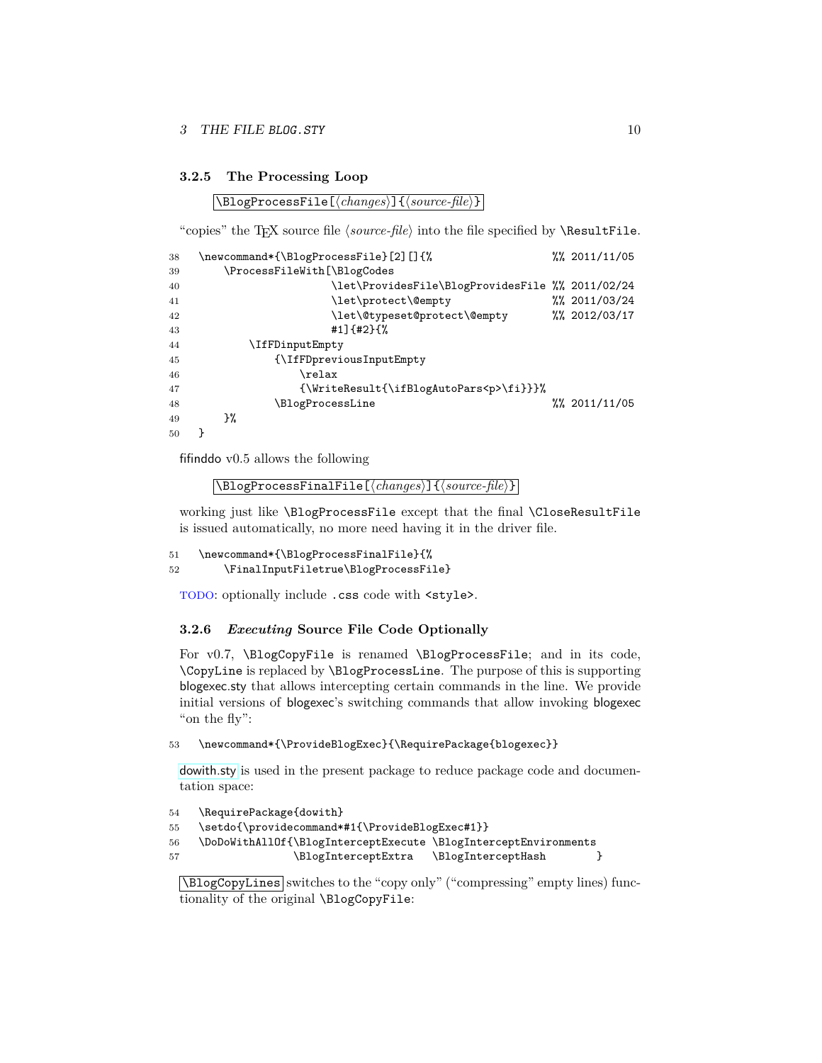#### <span id="page-9-0"></span>**3.2.5 The Processing Loop**

 $\Delta$ BlogProcessFile[ $\langle changes \rangle$ ]{ $\langle source\text{-file} \rangle$ }

"copies" the T<sub>E</sub>X source file  $\langle source\text{-}file\rangle$  into the file specified by  $\Re$ esultFile.

| 38 | \newcommand*{\BlogProcessFile}[2][]{%            | %% 2011/11/05        |
|----|--------------------------------------------------|----------------------|
| 39 | \ProcessFileWith[\BlogCodes                      |                      |
| 40 | \let\ProvidesFile\BlogProvidesFile %% 2011/02/24 |                      |
| 41 | \let\protect\@empty                              | $\frac{2011}{03224}$ |
| 42 | \let\@typeset@protect\@empty                     | %% 2012/03/17        |
| 43 | #1] $\{$ #2} $\{$ %                              |                      |
| 44 | \IfFDinputEmpty                                  |                      |
| 45 | {\IfFDpreviousInputEmpty                         |                      |
| 46 | $\texttt{relax}$                                 |                      |
| 47 | {\WriteResult{\ifBlogAutoPars <p>\fi}}}%</p>     |                      |
| 48 | \BlogProcessLine                                 | $\frac{2011}{1105}$  |
| 49 | }‰                                               |                      |
| 50 |                                                  |                      |

fifinddo v0.5 allows the following

```
\lceil\{\texttt{BlogProcessFinalFile}[\langle changes\rangle]\}\{\langle source\text{-file}\rangle\}\rceil
```
working just like \BlogProcessFile except that the final \CloseResultFile is issued automatically, no more need having it in the driver file.

```
51 \newcommand*{\BlogProcessFinalFile}{%
52 \FinalInputFiletrue\BlogProcessFile}
```
TODO: optionally include .css code with  $\langle$ style>.

#### <span id="page-9-1"></span>**3.2.6** *Executing* **Source File Code Optionally**

For v0.7, \BlogCopyFile is renamed \BlogProcessFile; and in its code, \CopyLine is replaced by \BlogProcessLine. The purpose of this is supporting blogexec.sty that allows intercepting certain commands in the line. We provide initial versions of blogexec's switching commands that allow invoking blogexec "on the fly":

### 53 \newcommand\*{\ProvideBlogExec}{\RequirePackage{blogexec}}

[dowith.sty](http://www.ctan.org/pkg/dowith) is used in the present package to reduce package code and documentation space:

```
54 \RequirePackage{dowith}
55 \setdo{\providecommand*#1{\ProvideBlogExec#1}}
56 \DoDoWithAllOf{\BlogInterceptExecute \BlogInterceptEnvironments
57 \BlogInterceptExtra \BlogInterceptHash }
```

```
\BlogCopyLines switches to the "copy only" ("compressing" empty lines) func-
tionality of the original \BlogCopyFile:
```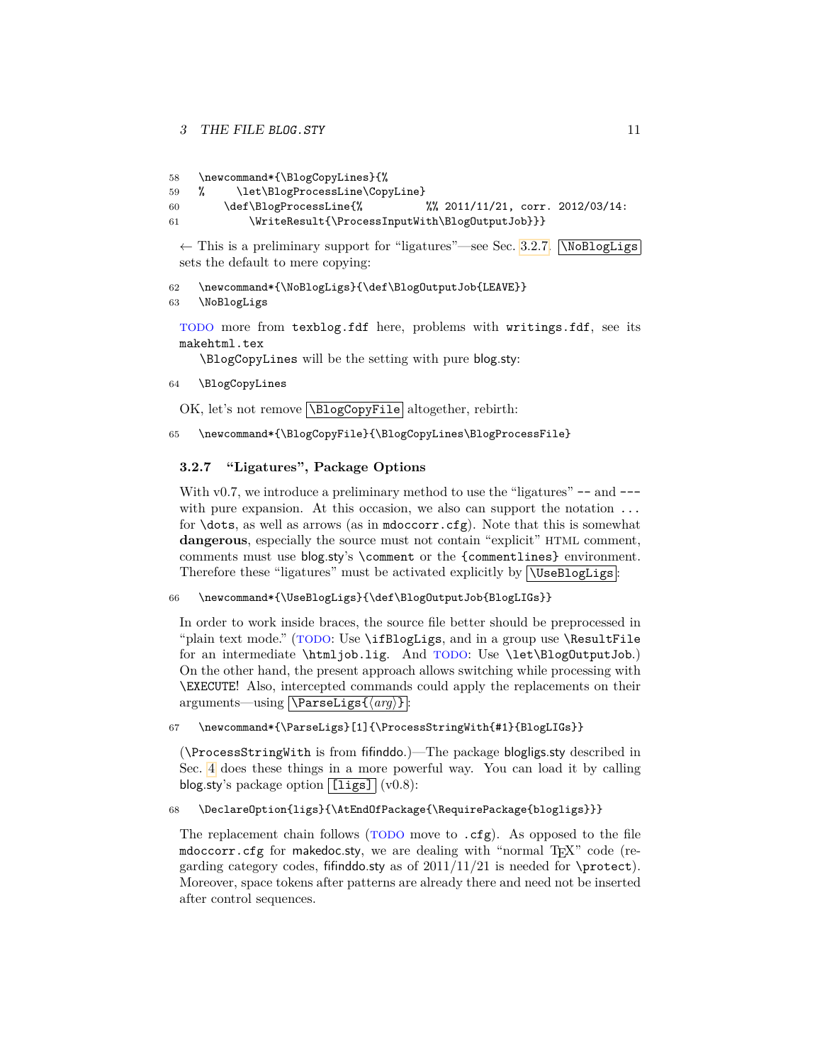```
58 \newcommand*{\BlogCopyLines}{%
```

```
59 % \let\BlogProcessLine\CopyLine}
60 \def\BlogProcessLine{% %% 2011/11/21, corr. 2012/03/14:
61 \WriteResult{\ProcessInputWith\BlogOutputJob}}}
```
 $\leftarrow$  This is a preliminary support for "ligatures"—see Sec. [3.2.7.](#page-10-0)  $\big[\text{NoBlogLigs}\big]$ sets the default to mere copying:

62 \newcommand\*{\NoBlogLigs}{\def\BlogOutputJob{LEAVE}}

```
63 \NoBlogLigs
```
TODO more from texblog.fdf here, problems with writings.fdf, see its makehtml.tex

\BlogCopyLines will be the setting with pure blog.sty:

```
64 \BlogCopyLines
```
OK, let's not remove  $\overline{\text{NBlogCopyFile}}$  altogether, rebirth:

```
65 \newcommand*{\BlogCopyFile}{\BlogCopyLines\BlogProcessFile}
```
### <span id="page-10-0"></span>**3.2.7 "Ligatures", Package Options**

With  $v_{0.7}$ , we introduce a preliminary method to use the "ligatures"  $-$  and  $$ with pure expansion. At this occasion, we also can support the notation ... for \dots, as well as arrows (as in mdoccorr.cfg). Note that this is somewhat **dangerous**, especially the source must not contain "explicit" HTML comment, comments must use blog.sty's \comment or the {commentlines} environment. Therefore these "ligatures" must be activated explicitly by  $\sqrt{\text{UseBlogLigs}}$ :

66 \newcommand\*{\UseBlogLigs}{\def\BlogOutputJob{BlogLIGs}}

In order to work inside braces, the source file better should be preprocessed in "plain text mode." (TODO: Use \ifBlogLigs, and in a group use \ResultFile for an intermediate \htmljob.lig. And TODO: Use \let\BlogOutputJob.) On the other hand, the present approach allows switching while processing with \EXECUTE! Also, intercepted commands could apply the replacements on their arguments—using **\ParseLigs**{\arg\} :

67 \newcommand\*{\ParseLigs}[1]{\ProcessStringWith{#1}{BlogLIGs}}

(\ProcessStringWith is from fifinddo.)—The package blogligs.sty described in Sec. [4](#page-39-0) does these things in a more powerful way. You can load it by calling blog.sty's package option  $\boxed{\texttt{[ligs]}} (v0.8)$ :

68 \DeclareOption{ligs}{\AtEndOfPackage{\RequirePackage{blogligs}}}

The replacement chain follows (TODO move to .cfg). As opposed to the file mdoccorr.cfg for makedoc.sty, we are dealing with "normal  $T_F X$ " code (regarding category codes, fifind do.sty as of  $2011/11/21$  is needed for \protect). Moreover, space tokens after patterns are already there and need not be inserted after control sequences.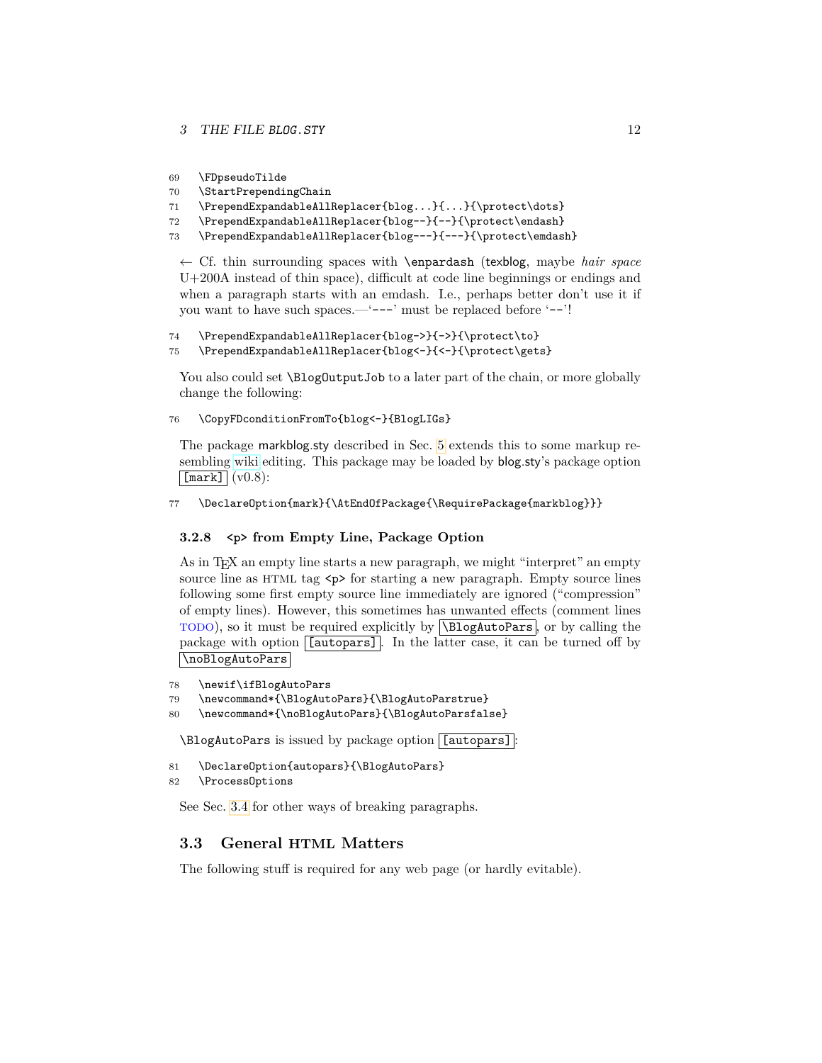```
69 \FDpseudoTilde
```
- 70 \StartPrependingChain
- 71 \PrependExpandableAllReplacer{blog...}{...}{\protect\dots}
- 72 \PrependExpandableAllReplacer{blog--}{--}{\protect\endash}
- 73 \PrependExpandableAllReplacer{blog---}{---}{\protect\emdash}

← Cf. thin surrounding spaces with \enpardash (texblog, maybe *hair space* U+200A instead of thin space), difficult at code line beginnings or endings and when a paragraph starts with an emdash. I.e., perhaps better don't use it if you want to have such spaces.—'---' must be replaced before '--'!

```
74 \PrependExpandableAllReplacer{blog->}{->}{\protect\to}
75 \PrependExpandableAllReplacer{blog<-}{<-}{\protect\gets}
```
You also could set **\BlogOutputJob** to a later part of the chain, or more globally change the following:

```
76 \CopyFDconditionFromTo{blog<-}{BlogLIGs}
```
The package markblog.sty described in Sec. [5](#page-42-0) extends this to some markup resembling [wiki](http://en.wikipedia.org/wiki/wiki) editing. This package may be loaded by blog.sty's package option  $\lceil$ [mark] $\lceil$  (v0.8):

```
77 \DeclareOption{mark}{\AtEndOfPackage{\RequirePackage{markblog}}}
```
#### <span id="page-11-0"></span>**3.2.8 <p> from Empty Line, Package Option**

As in T<sub>EX</sub> an empty line starts a new paragraph, we might "interpret" an empty source line as HTML tag  $\langle p \rangle$  for starting a new paragraph. Empty source lines following some first empty source line immediately are ignored ("compression" of empty lines). However, this sometimes has unwanted effects (comment lines TODO), so it must be required explicitly by \BlogAutoPars , or by calling the package with option [*autopars*]. In the latter case, it can be turned off by \noBlogAutoPars

```
78 \newif\ifBlogAutoPars
```

```
79 \newcommand*{\BlogAutoPars}{\BlogAutoParstrue}
```

```
80 \newcommand*{\noBlogAutoPars}{\BlogAutoParsfalse}
```
\BlogAutoPars is issued by package option [[autopars] :

```
81 \DeclareOption{autopars}{\BlogAutoPars}
```

```
82 \ProcessOptions
```
See Sec. [3.4](#page-17-0) for other ways of breaking paragraphs.

### <span id="page-11-1"></span>**3.3 General HTML Matters**

The following stuff is required for any web page (or hardly evitable).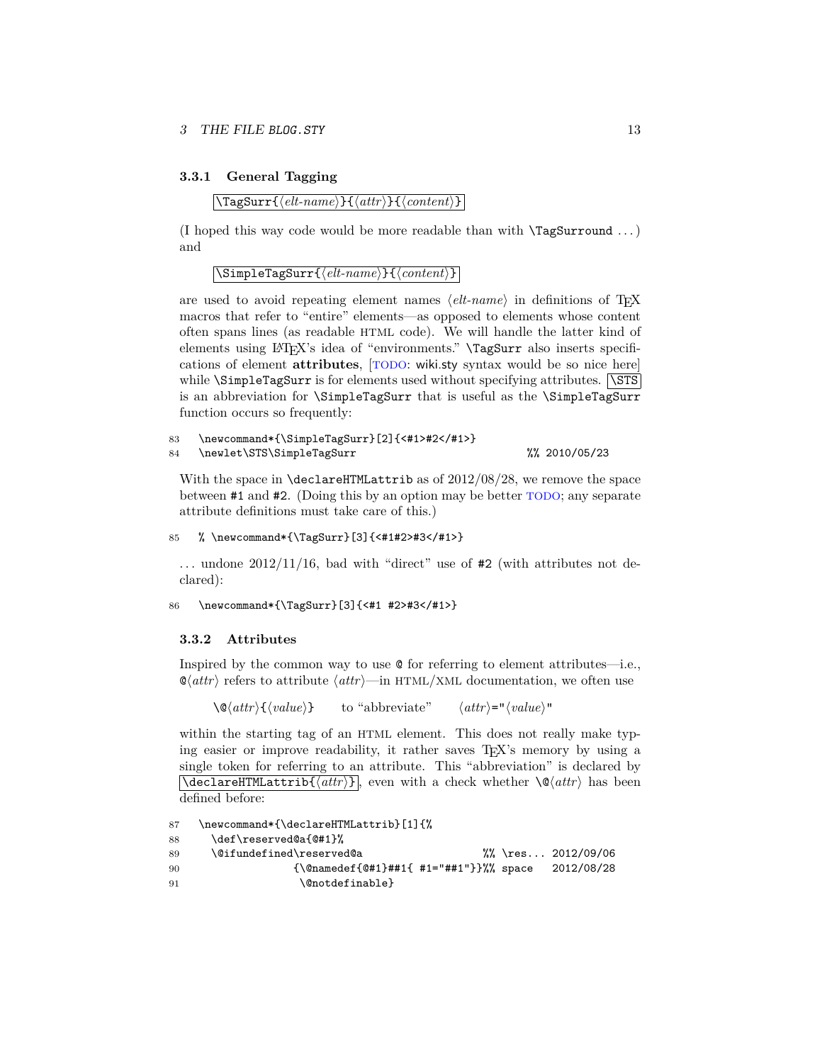#### <span id="page-12-0"></span>**3.3.1 General Tagging**

#### $\langle$ TagSurr{ $\langle$ *elt-name*}}{ $\langle$ *attr*}}{*\content*}}

(I hoped this way code would be more readable than with  $\Tag{Surround} \dots$ ) and

 $\langle$ SimpleTagSurr{ $\langle$ *elt-name*}}{ $\langle content \rangle$ }

are used to avoid repeating element names  $\langle$ *elt-name* $\rangle$  in definitions of T<sub>EX</sub> macros that refer to "entire" elements—as opposed to elements whose content often spans lines (as readable HTML code). We will handle the latter kind of elements using LAT<sub>EX</sub>'s idea of "environments." \TagSurr also inserts specifications of element **attributes**, [TODO: wiki.sty syntax would be so nice here] while  $\S$ impleTagSurr is for elements used without specifying attributes.  $\S$ STS is an abbreviation for \SimpleTagSurr that is useful as the \SimpleTagSurr function occurs so frequently:

```
83 \newcommand*{\SimpleTagSurr}[2]{<#1>#2</#1>}
84 \newlet\STS\SimpleTagSurr %% 2010/05/23
```
With the space in \declareHTMLattrib as of 2012/08/28, we remove the space between #1 and #2. (Doing this by an option may be better TODO; any separate attribute definitions must take care of this.)

```
85 % \newcommand*{\TagSurr}[3]{<#1#2>#3</#1>}
```
... undone  $2012/11/16$ , bad with "direct" use of #2 (with attributes not declared):

```
86 \newcommand*{\TagSurr}[3]{<#1 #2>#3</#1>}
```
#### <span id="page-12-1"></span>**3.3.2 Attributes**

Inspired by the common way to use @ for referring to element attributes—i.e.,  $\mathcal{Q}(attr)$  refers to attribute  $\langle attr \rangle$ —in HTML/XML documentation, we often use

 $\langle \mathcal{Q}(attr) \{ \langle value \rangle \}$  to "abbreviate"  $\langle attr \rangle = "langle value \rangle"$ 

within the starting tag of an HTML element. This does not really make typing easier or improve readability, it rather saves  $T_F X$ 's memory by using a single token for referring to an attribute. This "abbreviation" is declared by  $\overline{\det{H1MLattrib({\text{attr}})}}$ , even with a check whether  $\Q{\text{attr}}$  has been defined before:

```
87 \newcommand*{\declareHTMLattrib}[1]{%
88 \def\reserved@a{@#1}%
89 \@ifundefined\reserved@a %% \res... 2012/09/06
90 {\@namedef{@#1}##1{ #1="##1"}}%% space 2012/08/28
91 \@notdefinable}
```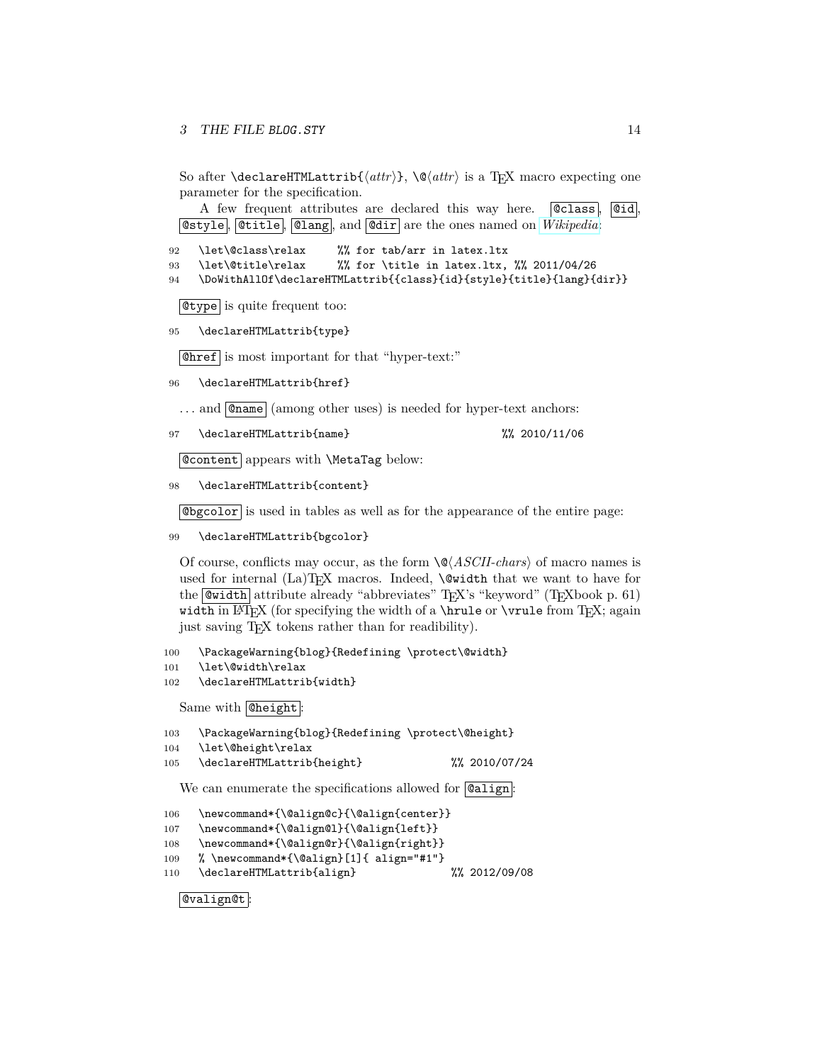So after **\declareHTMLattrib{** $\langle \text{attr} \rangle$ }, **\@** $\langle \text{attr} \rangle$  is a T<sub>E</sub>X macro expecting one parameter for the specification.

A few frequent attributes are declared this way here. **Class**, **Cid**, **@style, @title, @lang, and @dir** are the ones named on *[Wikipedia](http://en.wikipedia.org/wiki/HTML#Attributes)*:

92 \let\@class\relax %% for tab/arr in latex.ltx

93 \let\@title\relax %% for \title in latex.ltx, %% 2011/04/26

94 \DoWithAllOf\declareHTMLattrib{{class}{id}{style}{title}{lang}{dir}}

@type is quite frequent too:

95 \declareHTMLattrib{type}

@href is most important for that "hyper-text:"

96 \declareHTMLattrib{href}

... and **@name** (among other uses) is needed for hyper-text anchors:

97 \declareHTMLattrib{name} %% 2010/11/06

@content appears with \MetaTag below:

98 \declareHTMLattrib{content}

@bgcolor is used in tables as well as for the appearance of the entire page:

99 \declareHTMLattrib{bgcolor}

Of course, conflicts may occur, as the form  $\QASCII-chars$  of macro names is used for internal  $(La)$ T<sub>E</sub>X macros. Indeed,  $\&$  width that we want to have for the **@width** attribute already "abbreviates" T<sub>E</sub>X's "keyword" (T<sub>E</sub>Xbook p. 61) width in LATEX (for specifying the width of a \hrule or \vrule from TEX; again just saving T<sub>E</sub>X tokens rather than for readibility).

100 \PackageWarning{blog}{Redefining \protect\@width}

- 101 \let\@width\relax
- 102 \declareHTMLattrib{width}

Same with **Cheight** 

103 \PackageWarning{blog}{Redefining \protect\@height}

104 \let\@height\relax

105 \declareHTMLattrib{height} %% 2010/07/24

We can enumerate the specifications allowed for **@align**:

```
106 \newcommand*{\@align@c}{\@align{center}}
```
- 107 \newcommand\*{\@align@l}{\@align{left}}
- 108 \newcommand\*{\@align@r}{\@align{right}}
- 109 % \newcommand\*{\@align}[1]{ align="#1"}
- 110 \declareHTMLattrib{align} %% 2012/09/08

 $\fbox{Quating}$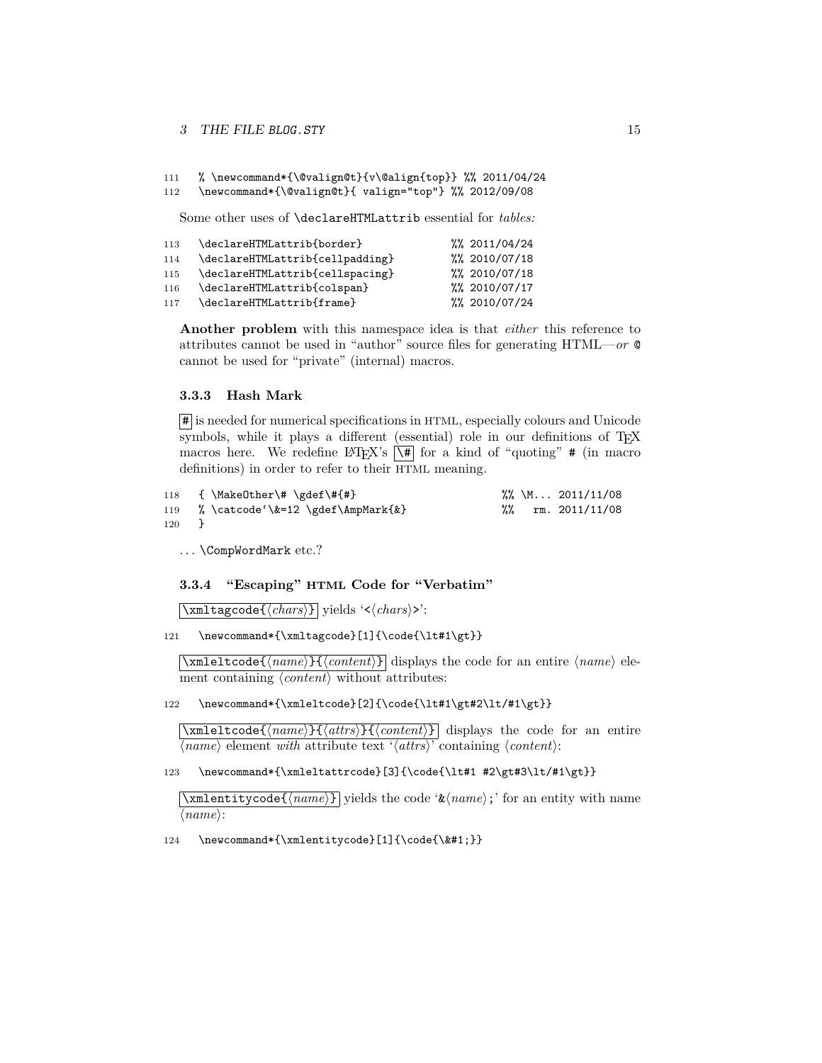#### 3 THE FILE BLOG. STY 15

```
111 % \newcommand*{\@valign@t}{v\@align{top}} %% 2011/04/24
```
112 \newcommand\*{\@valign@t}{ valign="top"} %% 2012/09/08

Some other uses of \declareHTMLattrib essential for *tables:*

| 113 | \declareHTMLattrib{border}      | $\frac{2011}{04}$ /24 |
|-----|---------------------------------|-----------------------|
| 114 | \declareHTMLattrib{cellpadding} | %% 2010/07/18         |
| 115 | \declareHTMLattrib{cellspacing} | %% 2010/07/18         |
| 116 | \declareHTMLattrib{colspan}     | %% 2010/07/17         |
| 117 | \declareHTMLattrib{frame}       | %% 2010/07/24         |

**Another problem** with this namespace idea is that *either* this reference to attributes cannot be used in "author" source files for generating HTML—*or* @ cannot be used for "private" (internal) macros.

#### <span id="page-14-0"></span>**3.3.3 Hash Mark**

 $|\mathbf{\#}|$  is needed for numerical specifications in HTML, especially colours and Unicode symbols, while it plays a different (essential) role in our definitions of T<sub>E</sub>X macros here. We redefine LAT<sub>EX</sub>'s  $\overline{\setminus\#}$  for a kind of "quoting" # (in macro definitions) in order to refer to their HTML meaning.

| 118 | {\MakeOther\#\gdef\#{#}                |  | $\frac{2011}{1108}$ |
|-----|----------------------------------------|--|---------------------|
|     | 119 % \catcode \&=12 \gdef \AmpMark{&} |  | rm. 2011/11/08      |
| 120 |                                        |  |                     |

. . . \CompWordMark etc.?

<span id="page-14-1"></span>**3.3.4 "Escaping" HTML Code for "Verbatim"**

\\table\\standard{\chars\} yields '<\/chars\} \.

121 \newcommand\*{\xmltagcode}[1]{\code{\lt#1\gt}}

 $\{\mathsf{xmleltcode} \}$  (*name*)}  $\{\langle content \rangle\}$  displays the code for an entire  $\langle name \rangle$  element containing  $\langle content \rangle$  without attributes:

122 \newcommand\*{\xmleltcode}[2]{\code{\lt#1\gt#2\lt/#1\gt}}

 $\overline{\{\xan{\texttt{letcode}(\textit{name})\}\}\{\langle \textit{attrs}\rangle\}}$  displays the code for an entire  $\langle name \rangle$  element *with* attribute text  $\langle \langle \mathit{attrs} \rangle$  containing  $\langle \mathit{content} \rangle$ :

123 \newcommand\*{\xmleltattrcode}[3]{\code{\lt#1 #2\gt#3\lt/#1\gt}}

 $\overline{\xrightarrow{\mathbf{x}} \mathbf{m}$  lettives  $\langle \overline{\mathit{name}} \rangle$  yields the code ' $\&\langle \overline{\mathit{name}} \rangle$ ;' for an entity with name  $\langle name \rangle$ :

124 \newcommand\*{\xmlentitycode}[1]{\code{\}}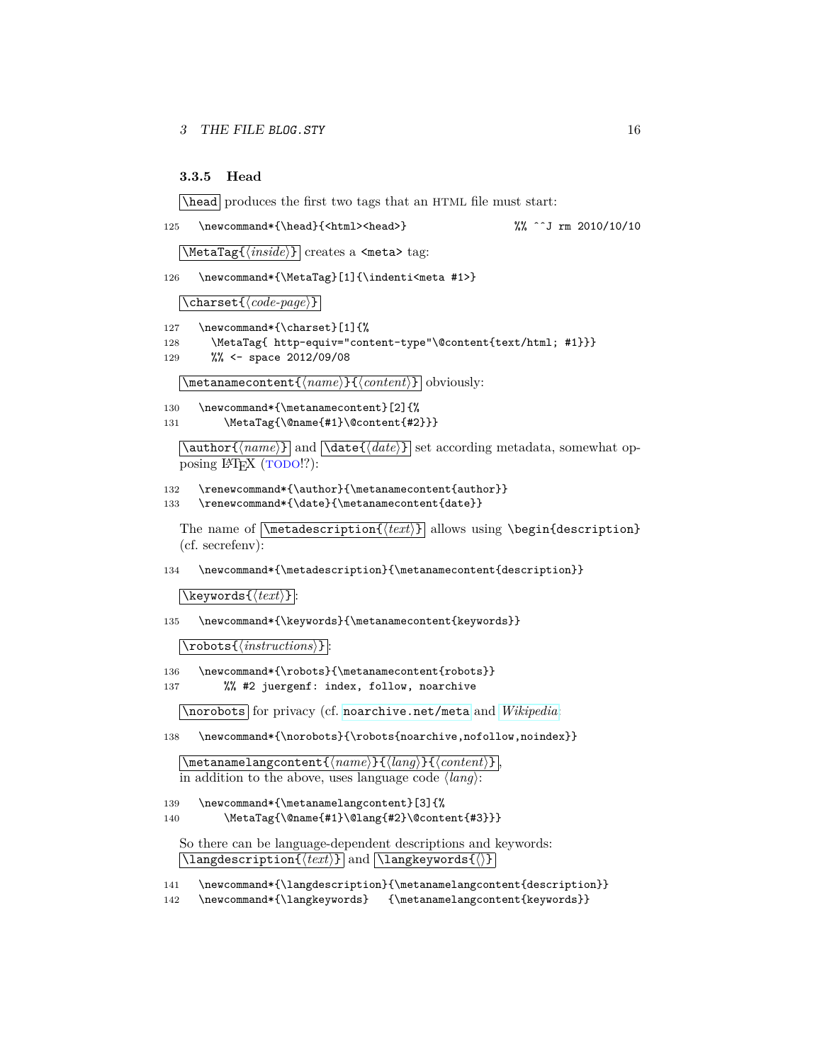#### <span id="page-15-0"></span>**3.3.5 Head**

\head produces the first two tags that an HTML file must start:

125 \newcommand\*{\head}{<html><head>} %% ^^J rm 2010/10/10

\MetaTag{\*inside*}} creates a <meta> tag:

126 \newcommand\*{\MetaTag}[1]{\indenti<meta #1>}

 $\{\langle code\text{-}page\rangle\}$ 

127 \newcommand\*{\charset}[1]{%

128 \MetaTag{ http-equiv="content-type"\@content{text/html; #1}}}

129 %% <- space 2012/09/08

 $\setminus$ metanamecontent $\{\langle name \rangle\}\{\langle content \rangle\}$  obviously:

130 \newcommand\*{\metanamecontent}[2]{% 131 \MetaTag{\@name{#1}\@content{#2}}}

 $\overline{\{\langle name \rangle\}}$  and  $\overline{\langle date \rangle\}}$  set according metadata, somewhat opposing L<sup>AT</sup>FX (TODO!?):

132 \renewcommand\*{\author}{\metanamecontent{author}} 133 \renewcommand\*{\date}{\metanamecontent{date}}

The name of  $\mathcal{\text{\textit{text}}}\$  allows using  $\begin{cases}$  description} (cf. secrefenv):

134 \newcommand\*{\metadescription}{\metanamecontent{description}}

 $\lambda$ keywords $\{\langle text \rangle\}$ :

135 \newcommand\*{\keywords}{\metanamecontent{keywords}}

 $|\backslash{\textsf{robots}}\{\langle\mathit{instructions}\rangle\}|$ 

- 136 \newcommand\*{\robots}{\metanamecontent{robots}}
- 137 %% #2 juergenf: index, follow, noarchive

\norobots for privacy (cf. [noarchive.net/meta](http://noarchive.net/meta) and *[Wikipedia](http://en.wikipedia.org/wiki/Robots meta tag#The_robots_attribute)*:

138 \newcommand\*{\norobots}{\robots{noarchive,nofollow,noindex}}

 $\mathcal{h}_\text{mean}({\text{name}})$  { $\langle {\text{long}} \rangle$ }  $\{ \langle {\text{content}} \rangle$  }, in addition to the above, uses language code  $\langle \textit{lang} \rangle$ :

```
139 \newcommand*{\metanamelangcontent}[3]{%
```
140 \MetaTag{\@name{#1}\@lang{#2}\@content{#3}}}

So there can be language-dependent descriptions and keywords:  $\lceil$ **langdescription**{ $\langle text \rangle$ } and  $\lceil$ **langkeywords**{ $\langle$ } and

- 141 \newcommand\*{\langdescription}{\metanamelangcontent{description}}
- 142 \newcommand\*{\langkeywords} {\metanamelangcontent{keywords}}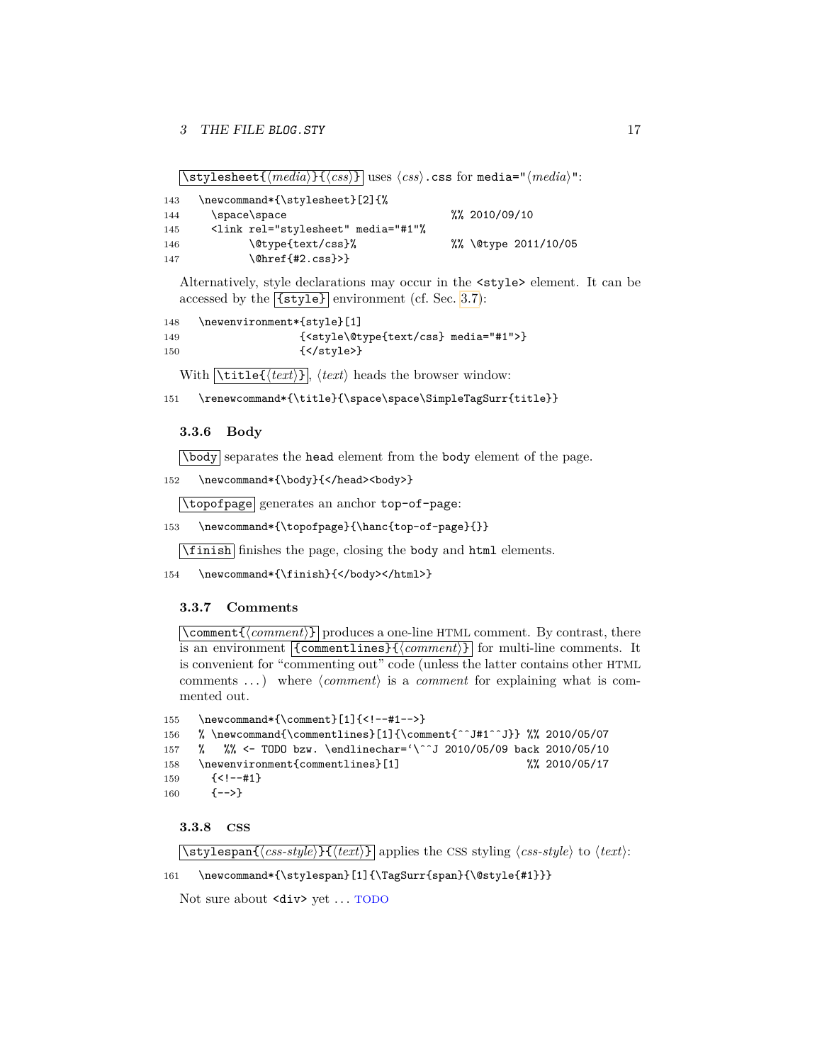$\sqrt{\text{style}(\text{resheet}\{\text{media}\}+\text{cos}\}$  uses  $\langle \text{cos}\rangle$ .css for media=" $\langle \text{media}\rangle$ ":

| 143 | \newcommand*{\stylesheet}[2]{%                            |                        |
|-----|-----------------------------------------------------------|------------------------|
| 144 | \space\space                                              | $\frac{2010}{09}$ /10  |
| 145 | <link %<="" media="#1" rel="stylesheet" td=""/> <td></td> |                        |
| 146 | \@type{text/css}%                                         | %% \@type $2011/10/05$ |
| 147 | $\{\text{the}2\text{.}\text{cs}\}\$                       |                        |

Alternatively, style declarations may occur in the <style> element. It can be accessed by the  $\overline{\text{{\sf {[style]}}}$  environment (cf. Sec. [3.7\)](#page-19-0):

```
148 \newenvironment*{style}[1]
149 {<style\@type{text/css} media="#1">}
150 {</style>}
```
With  $\overline{\text{title}({\text{text}})}$ ,  $\langle {\text{text}} \rangle$  heads the browser window:

151 \renewcommand\*{\title}{\space\space\SimpleTagSurr{title}}

#### <span id="page-16-0"></span>**3.3.6 Body**

\body separates the head element from the body element of the page.

152 \newcommand\*{\body}{</head><br/>>body>}

\topofpage generates an anchor top-of-page:

```
153 \newcommand*{\topofpage}{\hanc{top-of-page}{}}
```
\finish finishes the page, closing the body and html elements.

```
154 \newcommand*{\finish}{</body></html>}
```
### <span id="page-16-1"></span>**3.3.7 Comments**

 $\overline{\mathrm{command}}$  $\overline{\mathrm{command}}$ is an environment  $\{\text{commentlines}\}\{\langle \text{comment}\rangle\}$  for multi-line comments. It is convenient for "commenting out" code (unless the latter contains other HTML comments  $\ldots$ ) where  $\langle comment \rangle$  is a *comment* for explaining what is commented out.

```
155 \newcommand*{\comment}[1]{<!--#1-->}
156 % \newcommand{\commentlines}[1]{\comment{ˆˆJ#1ˆˆJ}} %% 2010/05/07
157 % %% <- TODO bzw. \endlinechar='\^^J 2010/05/09 back 2010/05/10
158 \newenvironment{commentlines}[1] %% 2010/05/17
159 {<!--#1}
160 {-->}
```
<span id="page-16-2"></span>**3.3.8 CSS**

 $\overline{\text{S书ylespan}\{\text{}(css-style)}\}\{\text{}(text)\}\$  applies the CSS styling  $\langle \text{css-style} \rangle$  to  $\langle \text{text}\rangle$ :

```
161 \newcommand*{\stylespan}[1]{\TagSurr{span}{\@style{#1}}}
```
Not sure about <div> yet . . . TODO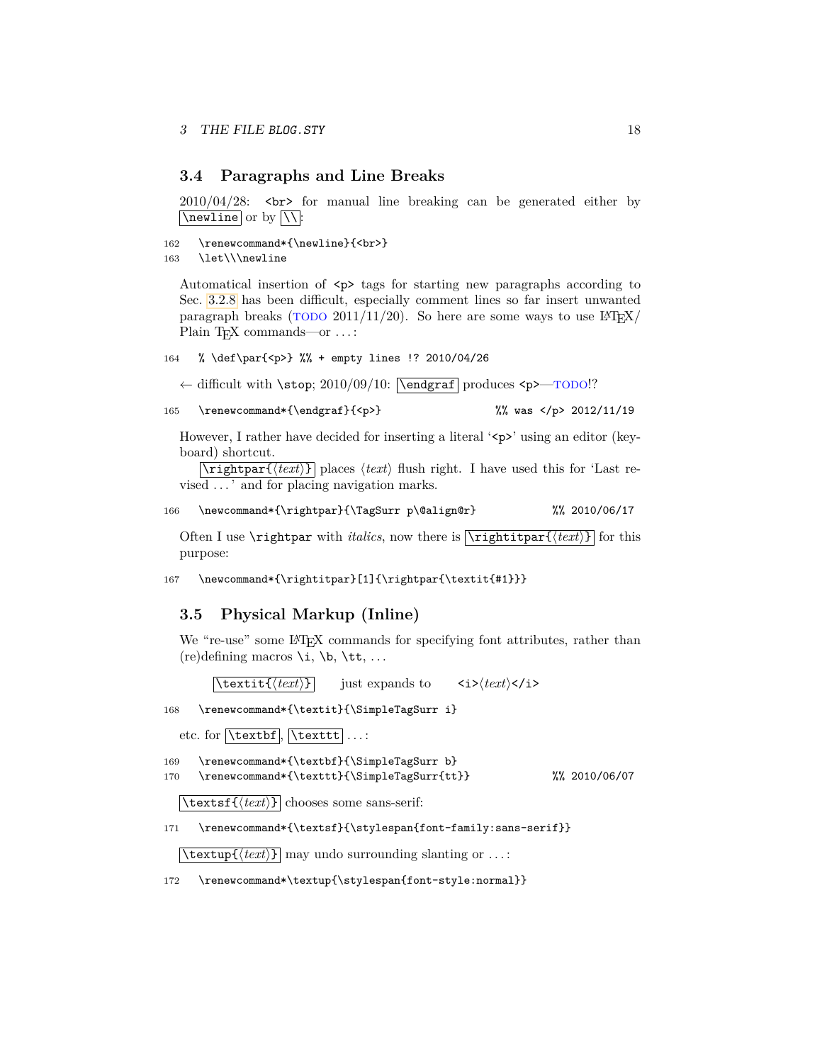### <span id="page-17-0"></span>**3.4 Paragraphs and Line Breaks**

2010/04/28: <br> for manual line breaking can be generated either by  $\sqrt{\text{newhere}}$  or by  $\sqrt{\ }$ :

```
162 \renewcommand*{\newline}{<br>><br/>}
```

```
163 \let\\\newline
```
Automatical insertion of  $\langle p \rangle$  tags for starting new paragraphs according to Sec. [3.2.8](#page-11-0) has been difficult, especially comment lines so far insert unwanted paragraph breaks ( $\overline{TODO}$  2011/11/20). So here are some ways to use  $\frac{14T}{X}$ Plain T<sub>F</sub>X commands—or ...:

```
164 % \def\par{<p>} %% + empty lines !? 2010/04/26
```
← difficult with \stop; 2010/09/10: \endgraf produces <p>—TODO!?

```
165 \renewcommand*{\endgraf}{<p>} %% was </p> 2012/11/19
```
However, I rather have decided for inserting a literal ' $\langle p \rangle$ ' using an editor (keyboard) shortcut.

 $\overline{\text{tripthpart}(text)}$  places  $\langle text \rangle$  flush right. I have used this for 'Last revised . . . ' and for placing navigation marks.

```
166 \newcommand*{\rightpar}{\TagSurr p\@align@r} %% 2010/06/17
```
Often I use  $\rightarrow$  with *italics*, now there is  $\left\{\text{text}\right\}$  for this purpose:

167 \newcommand\*{\rightitpar}[1]{\rightpar{\textit{#1}}}

### <span id="page-17-1"></span>**3.5 Physical Markup (Inline)**

We "re-use" some LAT<sub>EX</sub> commands for specifying font attributes, rather than  $(re)$ defining macros \i, \b, \tt, ...

 $\left[ \frac{\text{textit{text}}}{\text{text}} \right]$  just expands to  $\left. \frac{\text{textit{text}}}{\text{text}} \right.$ 

168 \renewcommand\*{\textit}{\SimpleTagSurr i}

etc. for  $\text{textbf}, \text{texttt}.$ 

169 \renewcommand\*{\textbf}{\SimpleTagSurr b} 170 \renewcommand\*{\texttt}{\SimpleTagSurr{tt}} %% 2010/06/07

 $\text{textf}(text)$  chooses some sans-serif:

171 \renewcommand\*{\textsf}{\stylespan{font-family:sans-serif}}

 $\text{textup}{\text{text}}$  may undo surrounding slanting or ...:

172 \renewcommand\*\textup{\stylespan{font-style:normal}}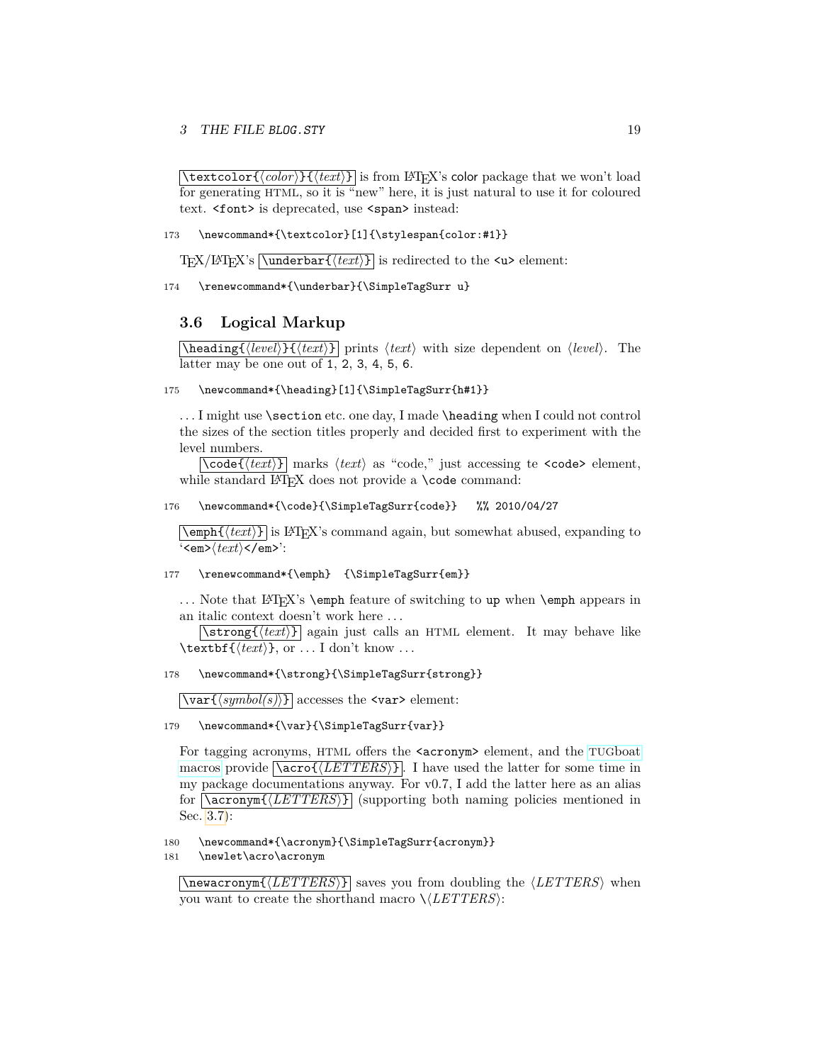$\left[\text{testcolor}\{\langle color \rangle\}$  $\left(\langle \text{text} \rangle\right\rangle\right]$  is from LAT<sub>E</sub>X's color package that we won't load for generating HTML, so it is "new" here, it is just natural to use it for coloured text. <font> is deprecated, use <span> instead:

173 \newcommand\*{\textcolor}[1]{\stylespan{color:#1}}

T<sub>EX</sub>/LAT<sub>EX</sub>'s  $\overline{\mathrm{hnderbar\{}}(text)}$  is redirected to the  $\leq$ u> element:

174 \renewcommand\*{\underbar}{\SimpleTagSurr u}

### <span id="page-18-0"></span>**3.6 Logical Markup**

 $\hbox{\tt\char'4\acute{}}$  heading $\{ \langle level \rangle\}$   $\{ \langle text \rangle\}$  prints  $\langle text \rangle$  with size dependent on  $\langle level \rangle$ . The latter may be one out of 1, 2, 3, 4, 5, 6.

### 175 \newcommand\*{\heading}[1]{\SimpleTagSurr{h#1}}

... I might use \section etc. one day, I made \heading when I could not control the sizes of the section titles properly and decided first to experiment with the level numbers.

 $\overline{\cosh\left(\frac{text}{t}t\right)}$  marks  $\langle text \rangle$  as "code," just accessing te **<code>** element, while standard LATEX does not provide a **\code** command:

#### 176 \newcommand\*{\code}{\SimpleTagSurr{code}} %% 2010/04/27

 $\text{depth}(text)$  is LAT<sub>E</sub>X's command again, but somewhat abused, expanding to '<em>h*text*i</em>':

#### 177 \renewcommand\*{\emph} {\SimpleTagSurr{em}}

... Note that LAT<sub>EX</sub>'s **\emph** feature of switching to up when **\emph** appears in an italic context doesn't work here . . .

 $\left[\text{strong}\left\{\text{text/}t\right\}\right]$  again just calls an HTML element. It may behave like  $\text{textbf}$ {*(text)*}, or ... I don't know ...

#### 178 \newcommand\*{\strong}{\SimpleTagSurr{strong}}

 $\varphi(symbol(s))$  accesses the **star>** element:

179 \newcommand\*{\var}{\SimpleTagSurr{var}}

For tagging acronyms, HTML offers the  $\alpha$  cronym> element, and the TUG[boat](http://ctan.org/pkg/tugboat) [macros](http://ctan.org/pkg/tugboat) provide  $\sqrt{\text{acco}\left(\sqrt{\text{LETTERS}}\right)}$ . I have used the latter for some time in my package documentations anyway. For v0.7, I add the latter here as an alias for  $\langle \text{LETTERS} \rangle$  (supporting both naming policies mentioned in Sec. [3.7\)](#page-19-0):

180 \newcommand\*{\acronym}{\SimpleTagSurr{acronym}}

181 \newlet\acro\acronym

 $\{\langle \text{LETTERS} \rangle\}$  saves you from doubling the  $\langle \text{LETTERS} \rangle$  when you want to create the shorthand macro  $\setminus \langle LETTERS \rangle$ :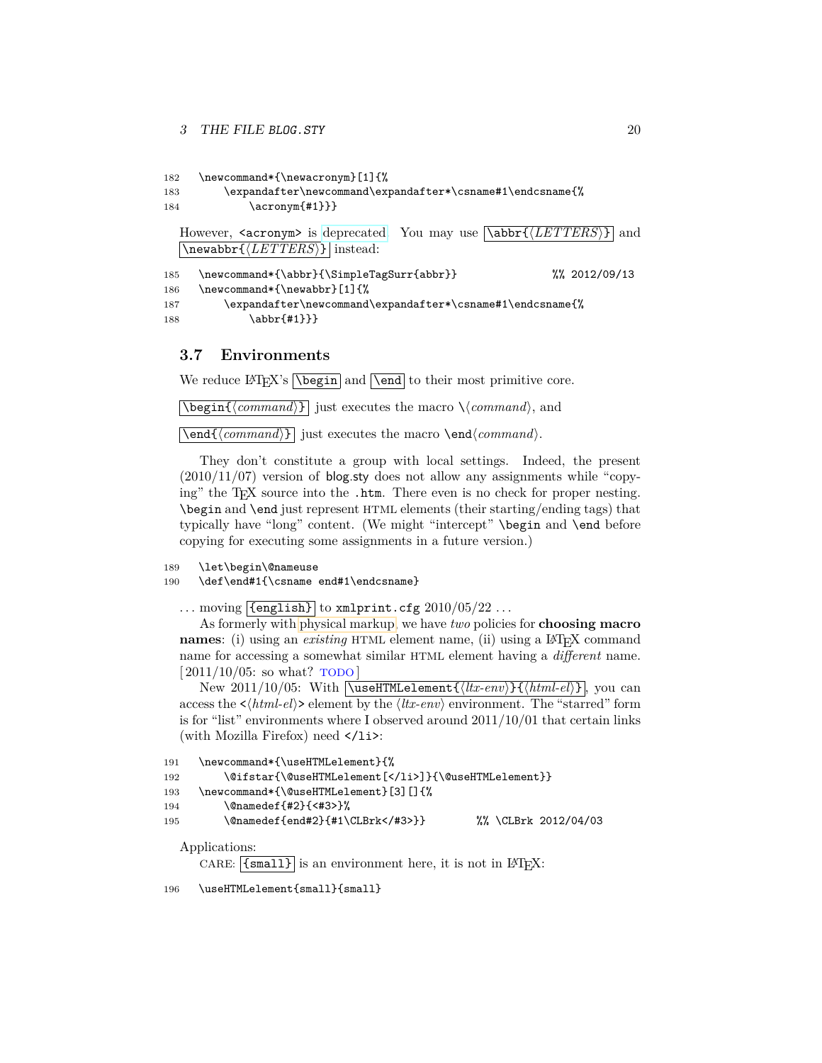```
182 \newcommand*{\newacronym}[1]{%
183 \expandafter\newcommand\expandafter*\csname#1\endcsname{%
184 \acronym{#1}}}
  However, <acronym> is deprecated. You may use \abbr{hLETTERSi} and
  \newabbr{\langle LETTERS\rangle} instead:
185 \newcommand*{\abbr}{\SimpleTagSurr{abbr}} %% 2012/09/13
186 \newcommand*{\newabbr}[1]{%
187 \expandafter\newcommand\expandafter*\csname#1\endcsname{%
188 \abbr{#1}}}
```
### <span id="page-19-0"></span>**3.7 Environments**

We reduce  $\langle \Delta F \rangle$ 's  $\langle \Delta \rangle$  and  $\langle \Delta \rangle$  to their most primitive core.

 $\Delta$ **\begin{** $\langle command \rangle$ } just executes the macro  $\langle command \rangle$ , and

 $\overline{\mathrm{dommand}}$ iust executes the macro  $\end{dommand}$ .

They don't constitute a group with local settings. Indeed, the present  $(2010/11/07)$  version of blog.sty does not allow any assignments while "copying" the T<sub>E</sub>X source into the .htm. There even is no check for proper nesting. \begin and \end just represent HTML elements (their starting/ending tags) that typically have "long" content. (We might "intercept" \begin and \end before copying for executing some assignments in a future version.)

```
189 \let\begin\@nameuse
```

```
190 \def\end#1{\csname end#1\endcsname}
```
... moving  $\overline{\{\text{length}\}}$  to xmlprint.cfg  $2010/05/22$  ...

As formerly with [physical markup,](#page-17-1) we have *two* policies for **choosing macro names**: (i) using an *existing* HTML element name, (ii) using a LAT<sub>E</sub>X command name for accessing a somewhat similar HTML element having a *different* name.  $[2011/10/05:$  so what? TODO

New 2011/10/05: With  $\sqrt{\text{UseHTMLElement}\{\langle \text{ltx-env}\rangle\}\{\langle \text{html-} \text{len}\rangle\}}$ , you can access the  $\langle h, h, e \rangle$  element by the  $\langle l, w, e \rangle$  environment. The "starred" form is for "list" environments where I observed around 2011/10/01 that certain links (with Mozilla Firefox) need  $\langle$ /1i>:

```
191 \newcommand*{\useHTMLelement}{%
192 \@ifstar{\@useHTMLelement[</li>]}{\@useHTMLelement}}
193 \newcommand*{\@useHTMLelement}[3][]{%
194 \@namedef{#2}{<#3>}%
195 \@namedef{end#2}{#1\CLBrk</#3>}} %% \CLBrk 2012/04/03
```
Applications:

CARE:  $[\{small}]$  is an environment here, it is not in  $\mathbb{F}$ F<sub>F</sub>X:

196 \useHTMLelement{small}{small}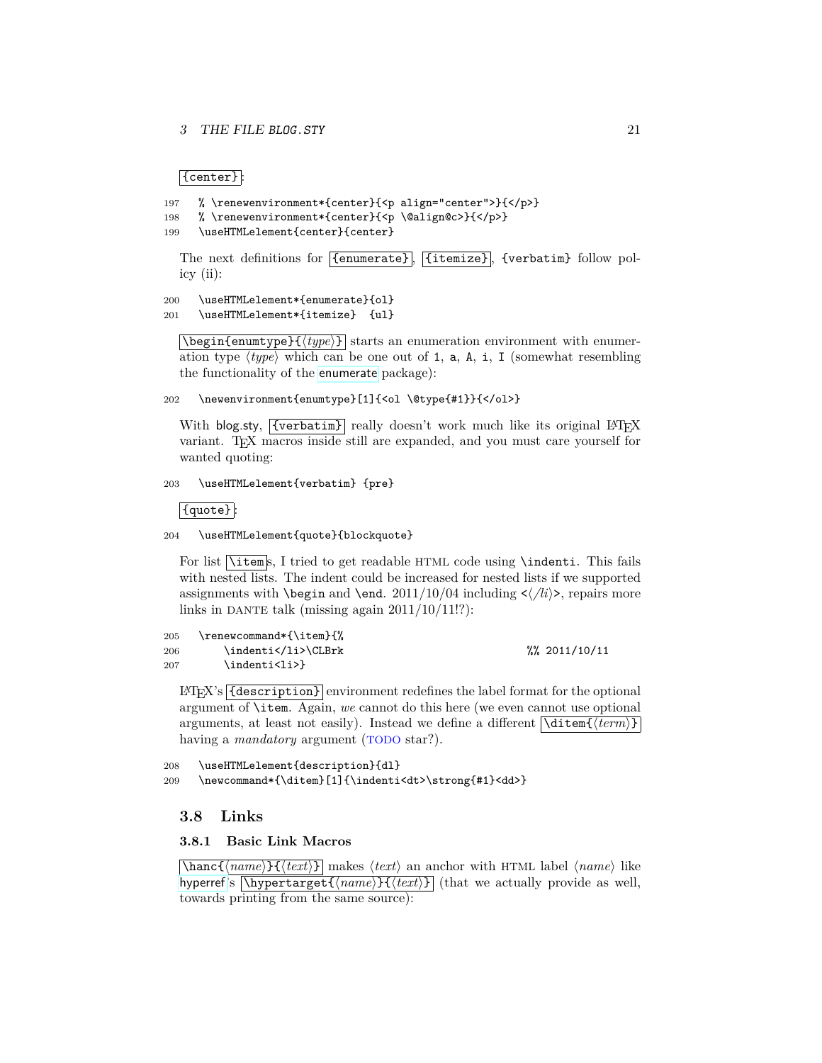$|\{center\}|$ 

```
197 % \renewenvironment*{center}{<p align="center">}{</p>}
```

```
198 % \renewenvironment*{center}{<p \@align@c>}{</p>}
```

```
199 \useHTMLelement{center}{center}
```
The next definitions for [{enumerate}], [{itemize}], {verbatim} follow policy (ii):

```
200 \useHTMLelement*{enumerate}{ol}
201 \useHTMLelement*{itemize} {ul}
```
 $\delta$  \begin{enumtype}{ $\langle type \rangle$ } starts an enumeration environment with enumeration type  $\langle type \rangle$  which can be one out of 1, a, A, i, I (somewhat resembling the functionality of the [enumerate](http://www.ctan.org/pkg/enumerate) package):

202 \newenvironment{enumtype}[1]{<ol \@type{#1}}{</ol>}

With blog.sty,  $\overline{\text{ \{verbatin\}}}$  really doesn't work much like its original LATEX variant. T<sub>E</sub>X macros inside still are expanded, and you must care yourself for wanted quoting:

#### 203 \useHTMLelement{verbatim} {pre}

 $|\{\texttt{quote}\}|$ 

204 \useHTMLelement{quote}{blockquote}

For list  $\{\text{item } s, I \text{ tree} \}$  tried to get readable HTML code using  $\text{indent}$  indenti. This fails with nested lists. The indent could be increased for nested lists if we supported assignments with **\begin** and **\end.** 2011/10/04 including  $\langle /li \rangle$ , repairs more links in DANTE talk (missing again  $2011/10/11!$ ?):

| 205 | \renewcommand*{\item}{% |                      |
|-----|-------------------------|----------------------|
| 206 | \indenti\CLBrk          | $\frac{2011}{10/11}$ |
| 207 | \indenti <li>}</li>     |                      |

LATEX's {description} environment redefines the label format for the optional argument of \item. Again, *we* cannot do this here (we even cannot use optional arguments, at least not easily). Instead we define a different  $\overline{\text{ditem}\{ \text{term}\}}$ having a *mandatory* argument (TODO star?).

208 \useHTMLelement{description}{dl} 209 \newcommand\*{\ditem}[1]{\indenti<dt>\strong{#1}<dd>}

### <span id="page-20-0"></span>**3.8 Links**

### <span id="page-20-1"></span>**3.8.1 Basic Link Macros**

 $\{\hbox{hanc}\{\hbox{name}\}\}\$  makes  $\text{limits}$  an anchor with HTML label  $\langle \hbox{name} \rangle$  like [hyperref](http://www.ctan.org/pkg/hyperref)'s  $\hbox{\textbackslash{hypertarget}}$ { $\hbox{\textbackslash{name}}$ } { $\hbox{\textbackslash{text}}$ } (that we actually provide as well, towards printing from the same source):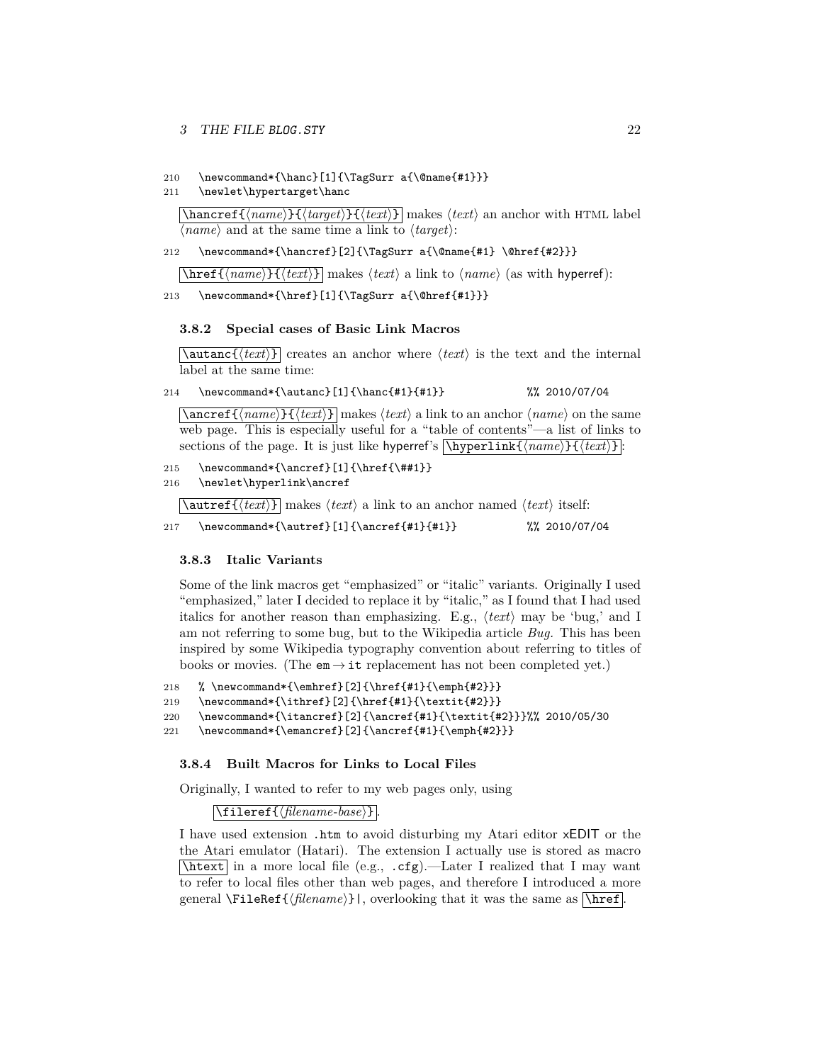#### 3 THE FILE BLOG.STY 22

#### 210 \newcommand\*{\hanc}[1]{\TagSurr a{\@name{#1}}}

#### 211 \newlet\hypertarget\hanc

 $\hbox{\tt \hbox{hancerf}}({\it name}\}$  $\{{{\it target}\}$  $\{{{\it text}\}$  makes  ${\it text}$  an anchor with HTML label  $\langle name \rangle$  and at the same time a link to  $\langle target \rangle$ :

### 212 \newcommand\*{\hancref}[2]{\TagSurr a{\@name{#1} \@href{#2}}}

 $\hbox{\langle} \hbox{\langle} \hbox{\langle} \hbox{\langle} \hbox{\langle} \hbox{\langle} \hbox{\langle} \hbox{\langle} \hbox{\langle} \hbox{\langle} \hbox{\langle} \hbox{\langle} \hbox{\langle} \hbox{\langle} \hbox{\langle} \hbox{\langle} \hbox{\langle} \hbox{\langle} \hbox{\langle} \hbox{\langle} \hbox{\langle} \hbox{\langle} \hbox{\langle} \hbox{\langle} \hbox{\langle} \hbox{\langle} \hbox{\langle} \hbox{\langle} \hbox{\langle} \hbox{\langle} \hbox{\langle} \hbox{\langle} \hbox{\langle} \hbox{\langle} \hbox{\langle} \hbox{\langle} \hbox{\$ 

#### 213 \newcommand\*{\href}[1]{\TagSurr a{\@href{#1}}}

#### <span id="page-21-0"></span>**3.8.2 Special cases of Basic Link Macros**

 $\lambda$ autanc $\{\langle text \rangle\}$  creates an anchor where  $\langle text \rangle$  is the text and the internal label at the same time:

```
214 \newcommand*{\autanc}[1]{\hanc{#1}{#1}} %% 2010/07/04
```
 $\langle$  ancref{ $\langle name \rangle$ }  $\langle \langle text \rangle$ } makes  $\langle text \rangle$  a link to an anchor  $\langle name \rangle$  on the same web page. This is especially useful for a "table of contents"—a list of links to sections of the page. It is just like hyperref's  $\hbox{\tt \hypoarithm}\{{\text{name}}\}$ :

```
215 \newcommand*{\ancref}[1]{\href{\##1}}
```
216 \newlet\hyperlink\ancref

 $\{\text{text}\}$  makes  $\text{int}$  a link to an anchor named  $\text{text}\}$  itself:

217 \newcommand\*{\autref}[1]{\ancref{#1}{#1}} %% 2010/07/04

### <span id="page-21-1"></span>**3.8.3 Italic Variants**

Some of the link macros get "emphasized" or "italic" variants. Originally I used "emphasized," later I decided to replace it by "italic," as I found that I had used italics for another reason than emphasizing. E.g.,  $\langle \text{text} \rangle$  may be 'bug,' and I am not referring to some bug, but to the Wikipedia article *Bug.* This has been inspired by some Wikipedia typography convention about referring to titles of books or movies. (The  $em \rightarrow it$  replacement has not been completed yet.)

```
218 % \newcommand*{\emhref}[2]{\href{#1}{\emph{#2}}}
```

```
219 \newcommand*{\ithref}[2]{\href{#1}{\textit{#2}}}
```
- 220 \newcommand\*{\itancref}[2]{\ancref{#1}{\textit{#2}}}%% 2010/05/30
- 221 \newcommand\*{\emancref}[2]{\ancref{#1}{\emph{#2}}}

#### <span id="page-21-2"></span>**3.8.4 Built Macros for Links to Local Files**

Originally, I wanted to refer to my web pages only, using

### $\left[\frac{\{filename\}}{\{filename\}}\right]$

I have used extension .htm to avoid disturbing my Atari editor xEDIT or the the Atari emulator (Hatari). The extension I actually use is stored as macro  $\hbox{\tt \char'4}$  in a more local file (e.g., .cfg).—Later I realized that I may want to refer to local files other than web pages, and therefore I introduced a more general  $\left\{ {\widehat{flename}} \right\}$ , overlooking that it was the same as  $\left\{ {\widehat{flename}} \right\}$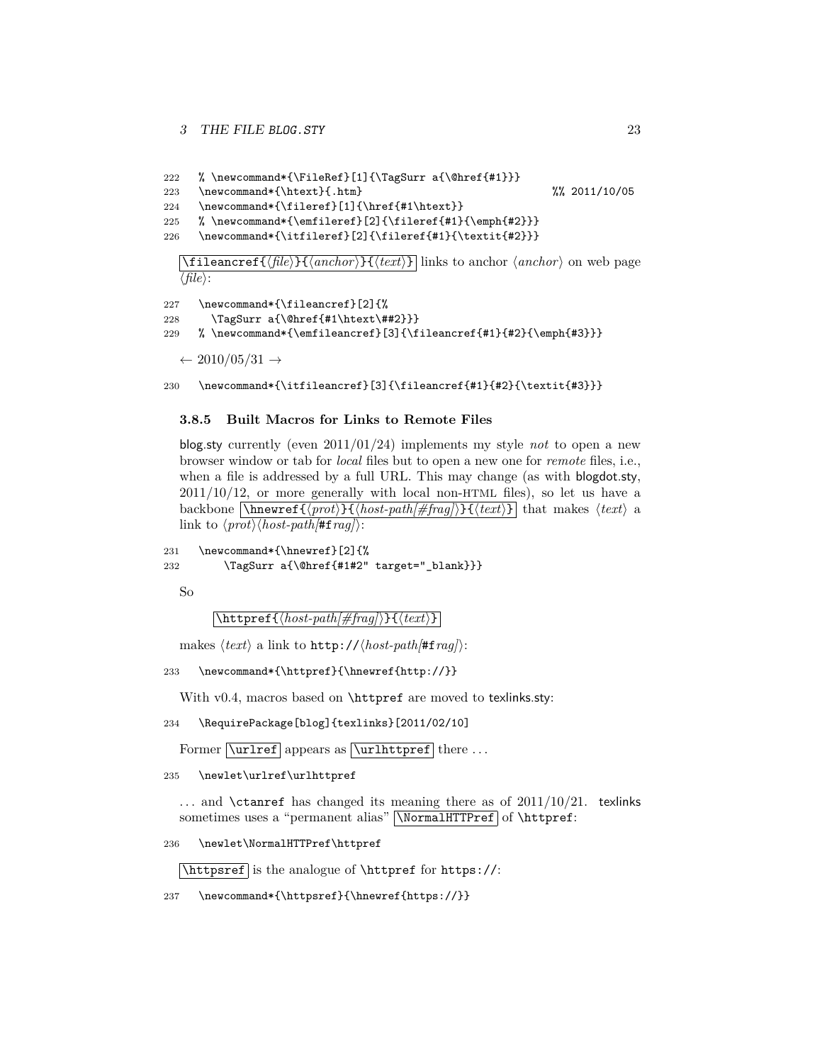```
222 % \newcommand*{\FileRef}[1]{\TagSurr a{\@href{#1}}}
223 \newcommand*{\htext}{.htm} %% 2011/10/05
```

```
224 \newcommand*{\fileref}[1]{\href{#1\htext}}
```

```
225 % \newcommand*{\emfileref}[2]{\fileref{#1}{\emph{#2}}}
```
226 \newcommand\*{\itfileref}[2]{\fileref{#1}{\textit{#2}}}

 $\left\{ \frac{h}{\ell} \right\}$  (*anchor*)  $\left\{ \frac{h}{\ell} \right\}$  links to anchor  $\langle \frac{anchor}{on} \rangle$  on web page  $\langle file \rangle$ :

```
227 \newcommand*{\fileancref}[2]{%
```

```
228 \TagSurr a{\@href{#1\htext\##2}}}
```

```
229 % \newcommand*{\emfileancref}[3]{\fileancref{#1}{#2}{\emph{#3}}}
```
 $\leftarrow 2010/05/31 \rightarrow$ 

230 \newcommand\*{\itfileancref}[3]{\fileancref{#1}{#2}{\textit{#3}}}

### <span id="page-22-0"></span>**3.8.5 Built Macros for Links to Remote Files**

blog.sty currently (even 2011/01/24) implements my style *not* to open a new browser window or tab for *local* files but to open a new one for *remote* files, i.e., when a file is addressed by a full URL. This may change (as with blogdot.sty,  $2011/10/12$ , or more generally with local non-HTML files), so let us have a backbone  $\overline{\mathcal{H}(post)}{\mathcal{H}(host-path[\#frag])}{\mathcal{H}(text)}$  that makes  $\langle text \rangle$  a link to  $\langle prot \rangle \langle host-path/\#frag \rangle$ :

```
231 \newcommand*{\hnewref}[2]{%
232 \TagSurr a{\@href{#1#2" target="_blank}}}
```
So

 $\left[ \left\langle \frac{host-path/\#frag}{\#frag} \right\rangle \right\}$ 

makes  $\langle text \rangle$  a link to http:// $\langle host\text{-}path/\#frag \rangle$ :

```
233 \newcommand*{\httpref}{\hnewref{http://}}
```
With v0.4, macros based on \httpref are moved to texlinks.sty:

```
234 \RequirePackage[blog]{texlinks}[2011/02/10]
```
Former  $\Vert \$ appears as  $\Vert \$ urlhttpref there ...

235 \newlet\urlref\urlhttpref

... and \ctanref has changed its meaning there as of  $2011/10/21$ . texlinks sometimes uses a "permanent alias" NormalHTTPref of \httpref:

236 \newlet\NormalHTTPref\httpref

 $\hbox{\hbox{\tt \tt \tt \tt \tt \tt}}$  is the analogue of  $\hbox{\tt \tt \tt \tt \tt \tt \tt}$  for  $\hbox{\tt \tt \tt \tt \tt \tt}$ 

237 \newcommand\*{\httpsref}{\hnewref{https://}}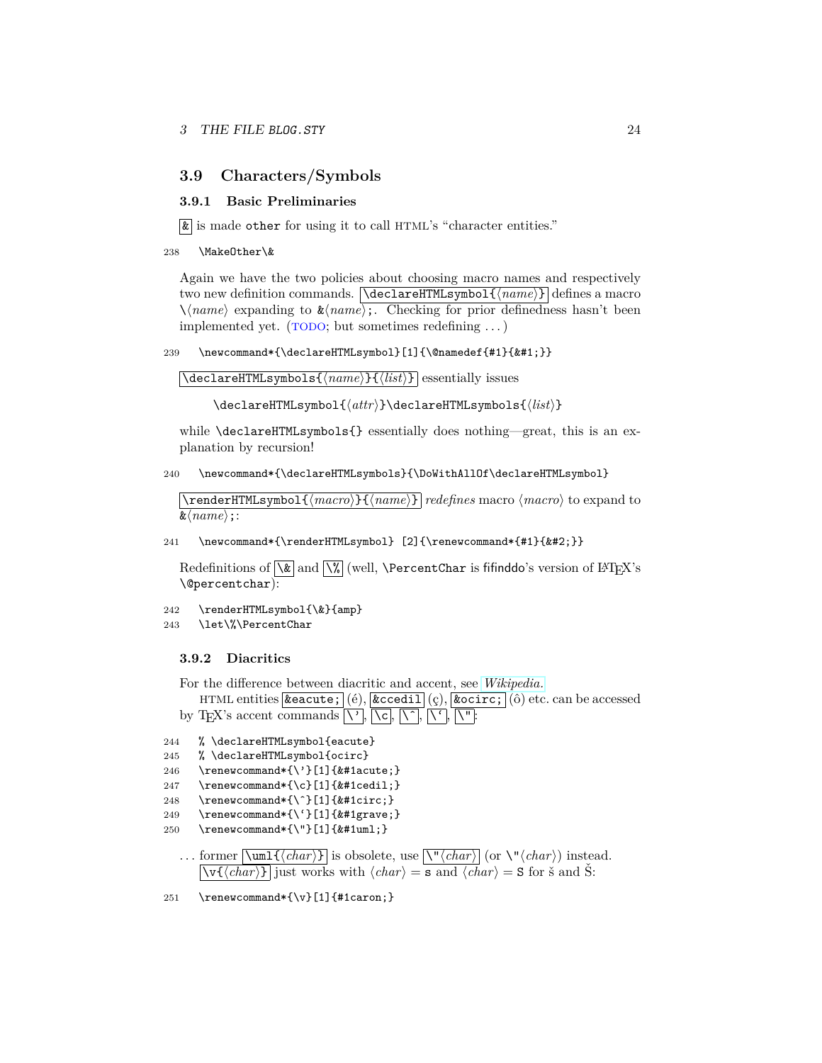### <span id="page-23-0"></span>**3.9 Characters/Symbols**

### <span id="page-23-1"></span>**3.9.1 Basic Preliminaries**

 $\boxed{\&}$  is made other for using it to call HTML's "character entities."

```
238 \MakeOther\&
```
Again we have the two policies about choosing macro names and respectively two new definition commands.  $\text{NeclareHTMLsymbol}({\text{name}})$  defines a macro  $\lambda$ *(name)* expanding to  $\&$ *(name)*;. Checking for prior definedness hasn't been implemented yet.  $(TODO; but sometimes redefining ...)$ 

239 \newcommand\*{\declareHTMLsymbol}[1]{\@namedef{#1}{}}

\declareHTMLsymbols{ $\langle name \rangle$ }{ $\langle list \rangle$ } essentially issues

\declareHTMLsymbol{ $\{attr\}$ \declareHTMLsymbols{ $\{list\}$ }

while  $\texttt{MLSymbols}$  essentially does nothing—great, this is an explanation by recursion!

240 \newcommand\*{\declareHTMLsymbols}{\DoWithAllOf\declareHTMLsymbol}

\renderHTMLsymbol{ $\langle macro\rangle$ } { $\langle name\rangle$ } *redefines* macro  $\langle macro\rangle$  to expand to  $\&\langle name \rangle$ **;**:

241 \newcommand\*{\renderHTMLsymbol} [2]{\renewcommand\*{#1}{}}

Redefinitions of  $\sqrt{\&}$  and  $\sqrt{\&}$  (well,  $\PercentChar$  is fifinddo's version of  $\mathbb{F}$ EX's \@percentchar):

242 \renderHTMLsymbol{\&}{amp}

```
243 \let\%\PercentChar
```
#### <span id="page-23-2"></span>**3.9.2 Diacritics**

For the difference between diacritic and accent, see *[Wikipedia.](http://en.wikipedia.org/wiki/Diacritic)*

```
HTML entities \alpha (é), \alpha (e), \alpha (c), \alpha (c), \alpha (i) etc. can be accessed
by TEX's accent commands \sum, \c c, \c c, \c c, \c c, \c c, \c c
```

```
244 % \declareHTMLsymbol{eacute}
```

```
245 % \declareHTMLsymbol{ocirc}
```

```
246 \renewcommand*{\'}[1]{&#1acute;}
```

```
247 \renewcommand*{\c}[1]{&#1cedil;}
```

```
248 \renewcommand*{\^}[1]{&#1circ;}
```

```
249 \renewcommand*{\'}[1]{&#1grave;}
```
- 250 \renewcommand\*{\"}[1]{&#1uml;}
	- ... former  $\overline{\mathrm{Num1} \{ \frac{char}{\} }$  is obsolete, use  $\overline{\mathrm{Var} }$  (or  $\mathrm{Var} \cdot \mathrm{char}$ ) instead.  $\overline{\langle \text{v}(\langle char \rangle) \rangle}$  just works with  $\langle char \rangle = \overline{\mathbf{s}$  and  $\langle char \rangle = \mathbf{S}$  for  $\check{\mathbf{s}}$  and  $\check{\mathbf{S}}$ :
- 251 \renewcommand\*{\v}[1]{#1caron;}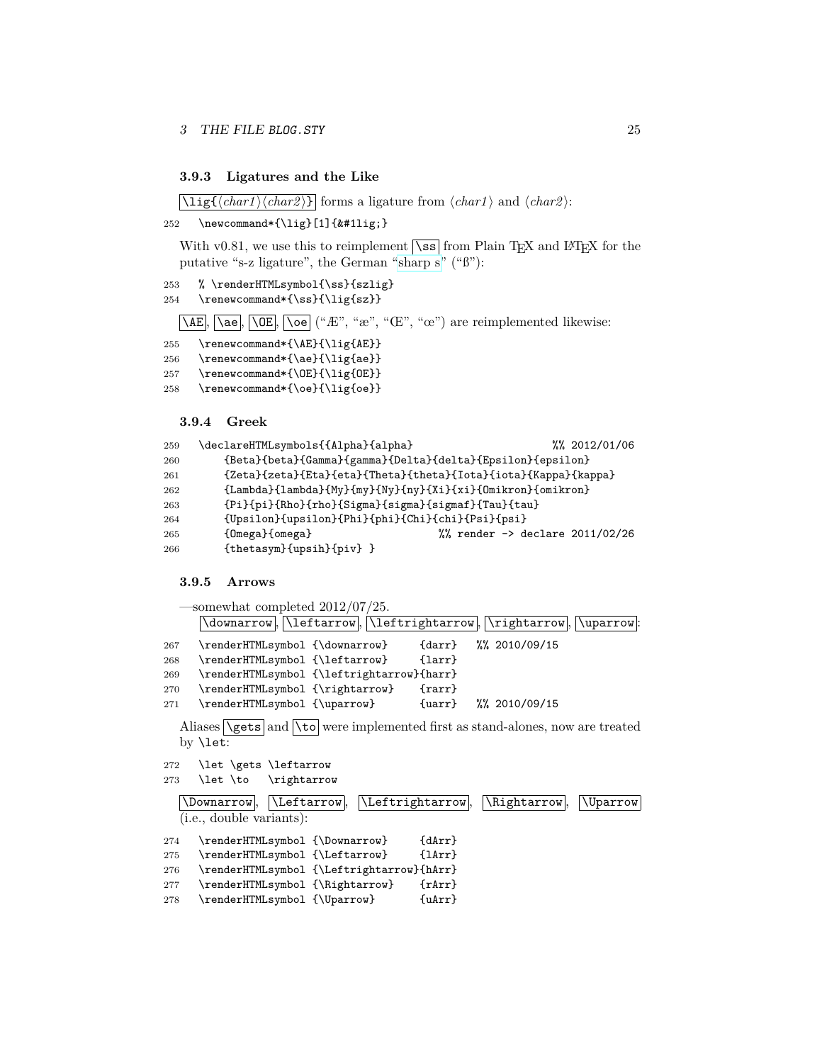#### <span id="page-24-0"></span>**3.9.3 Ligatures and the Like**

 $\langle \text{harg}(\langle char1 \rangle \langle char2 \rangle)$  forms a ligature from  $\langle char1 \rangle$  and  $\langle char2 \rangle$ :

```
252 \newcommand*{\lig}[1]{&#1lig;}
```
With v0.81, we use this to reimplement  $\sqrt{\text{ss}}$  from Plain TEX and LATEX for the putative "s-z ligature", the German ["sharp s"](http://en.wikipedia.org/wiki/sharp s) ("ß"):

```
253 % \renderHTMLsymbol{\ss}{szlig}
254 \renewcommand*{\ss}{\lig{sz}}
```
 $\overline{\Delta E}$ ,  $\overline{\Delta e}$ ,  $\overline{\Delta E}$ ,  $\overline{\Delta e}$  ("Æ", "æ", "Œ", "œ") are reimplemented likewise:

```
255 \renewcommand*{\AE}{\lig{AE}}
```

```
256 \renewcommand*{\ae}{\lig{ae}}
```
257 \renewcommand\*{\OE}{\lig{OE}}

```
258 \renewcommand*{\oe}{\lig{oe}}
```
<span id="page-24-1"></span>**3.9.4 Greek**

```
259 \declareHTMLsymbols{{Alpha}{alpha} %% 2012/01/06
260 {Beta}{beta}{Gamma}{gamma}{Delta}{delta}{Epsilon}{epsilon}
261 {Zeta}{zeta}{Eta}{eta}{Theta}{theta}{Iota}{iota}{Kappa}{kappa}
262 {Lambda}{lambda}{My}{my}{Ny}{ny}{Xi}{xi}{Omikron}{omikron}
263 {Pi}{pi}{Rho}{rho}{Sigma}{sigma}{sigmaf}{Tau}{tau}
264 {Upsilon}{upsilon}{Phi}{phi}{Chi}{chi}{Psi}{psi}
265 {Omega}{omega} %% render -> declare 2011/02/26
266 {thetasym}{upsih}{piv} }
```
### <span id="page-24-2"></span>**3.9.5 Arrows**

|     | $\sim$ somewhat completed 2012/07/25.                             |            |                       |  |
|-----|-------------------------------------------------------------------|------------|-----------------------|--|
|     | \downarrow, \leftarrow, \leftrightarrow, \\rightarrow, \\uparrow: |            |                       |  |
| 267 | \renderHTMLsymbol {\downarrow}                                    | $\{darr\}$ | $\frac{2010}{09}$ /15 |  |
| 268 | \renderHTMLsymbol {\leftarrow}                                    | $\{larr\}$ |                       |  |
| 269 | \renderHTMLsymbol {\leftrightarrow}{harr}                         |            |                       |  |
| 270 | \renderHTMLsymbol {\rightarrow}                                   | $\{rarr\}$ |                       |  |
| 271 | \renderHTMLsymbol {\uparrow}                                      | $\{uarr\}$ | $\frac{2010}{09}$ /15 |  |
|     |                                                                   |            |                       |  |

Aliases  $\sqrt{\text{gets}}$  and  $\sqrt{\text{to}}$  were implemented first as stand-alones, now are treated by \let:

```
272 \let \gets \leftarrow
```

```
273 \let \to \rightarrow
```

|     | $ \$ Leftarrow,<br>\Downarrow.            | $\Lambda$ . Leftrightarrow | \Rightarrow. | <i><u><b>N</b>parrow</u></i> |
|-----|-------------------------------------------|----------------------------|--------------|------------------------------|
|     | ( <i>i.e.</i> , double variants):         |                            |              |                              |
| 274 | \renderHTMLsymbol {\Downarrow}            | $\{dArr\}$                 |              |                              |
| 275 | \renderHTMLsymbol {\Leftarrow}            | $\{1Arr\}$                 |              |                              |
| 276 | \renderHTMLsymbol {\Leftrightarrow}{hArr} |                            |              |                              |
| 277 | \renderHTMLsymbol {\Rightarrow}           | $\{rArr\}$                 |              |                              |
| 278 | \renderHTMLsymbol {\Uparrow}              | $\{uArr\}$                 |              |                              |
|     |                                           |                            |              |                              |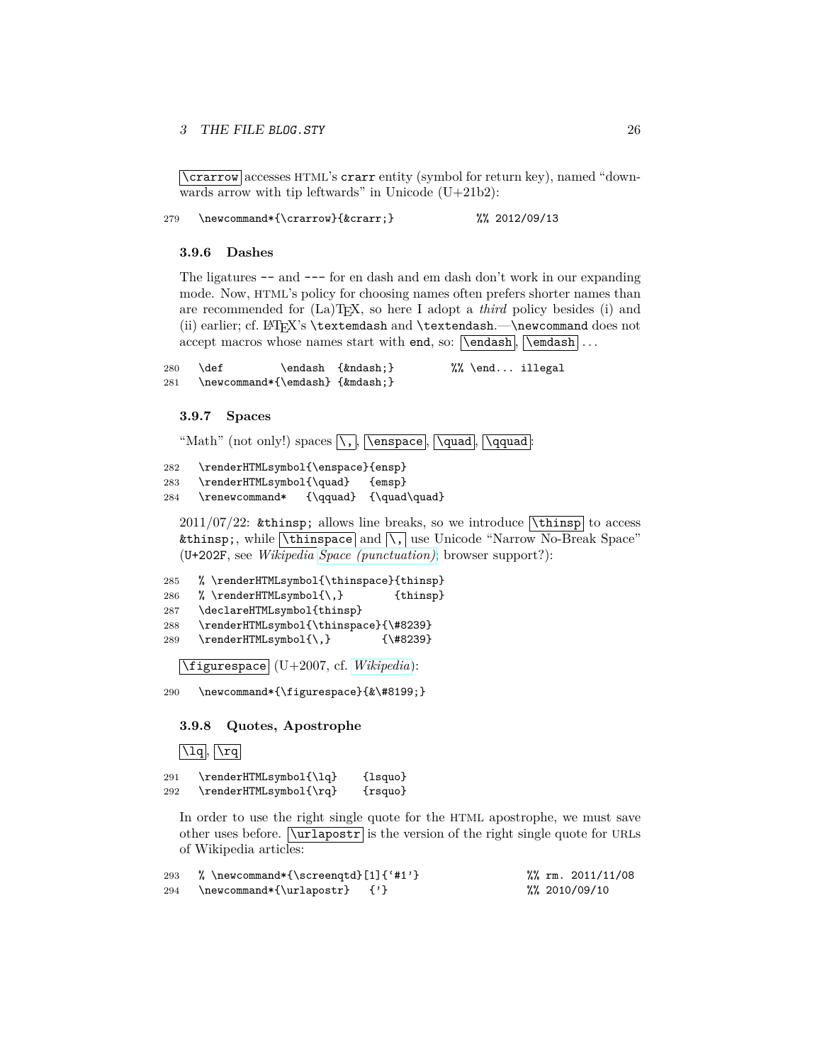### 3 THE FILE BLOG. STY 26

\crarrow accesses HTML's crarr entity (symbol for return key), named "downwards arrow with tip leftwards" in Unicode  $(U+21b2)$ :

279 \newcommand\*{\crarrow}{↵} %% 2012/09/13

#### <span id="page-25-0"></span>**3.9.6 Dashes**

The ligatures -- and --- for en dash and em dash don't work in our expanding mode. Now, HTML's policy for choosing names often prefers shorter names than are recommended for (La)TEX, so here I adopt a *third* policy besides (i) and (ii) earlier; cf. LAT<sub>E</sub>X's \textemdash and \textendash.—\newcommand does not accept macros whose names start with end, so:  $\end{math}$ ,  $\end{math}$ ,  $\end{math}$ ...

280 \def  $\{kndash\; \}$  %% \end... illegal 281 \newcommand\*{\emdash} {—}

#### <span id="page-25-1"></span>**3.9.7 Spaces**

"Math" (not only!) spaces  $\overline{\setminus}$ ,  $\overline{\setminus}$  and,  $\overline{\setminus}$  ,  $\overline{\setminus}$  and  $\overline{\setminus}$ 

```
282 \renderHTMLsymbol{\enspace}{ensp}
```
283 \renderHTMLsymbol{\quad} {emsp}

284 \renewcommand\* {\qquad} {\quad\quad}

 $2011/07/22$ : & thinsp; allows line breaks, so we introduce  $\lambda$  thinsp to access  , while  $\boxed{\text{thinspace}}$  and  $\boxed{\setminus}$  use Unicode "Narrow No-Break Space" (U+202F, see *Wikipedia [Space \(punctuation\)](http://en.wikipedia.org/wiki/Space (punctuation))*; browser support?):

```
285 % \renderHTMLsymbol{\thinspace}{thinsp}
286 % \renderHTMLsymbol{\,} {thinsp}
287 \declareHTMLsymbol{thinsp}
288 \renderHTMLsymbol{\thinspace}{\#8239}
289 \renderHTMLsymbol{\,} {\#8239}
```
\figurespace (U+2007, cf. *[Wikipedia](http://en.wikipedia.org/wiki/Figure space)*):

290 \newcommand\*{\figurespace}{&\#8199;}

#### <span id="page-25-2"></span>**3.9.8 Quotes, Apostrophe**

```
\overline{\operatorname{u}_q}, \overline{\operatorname{v}_q}
```
291 \renderHTMLsymbol{\lq} {lsquo} 292 \renderHTMLsymbol{\rq} {rsquo}

In order to use the right single quote for the HTML apostrophe, we must save other uses before.  $\[\varphi\]$  is the version of the right single quote for URLs of Wikipedia articles:

| 293 | % \newcommand*{\screenqtd}[1]{'#1'} |  | $\frac{\%}{\%}$ rm. 2011/11/08 |
|-----|-------------------------------------|--|--------------------------------|
| 294 | $\newcommand*{\\urlapostr} \{'\'}$  |  | %%2010/09/10                   |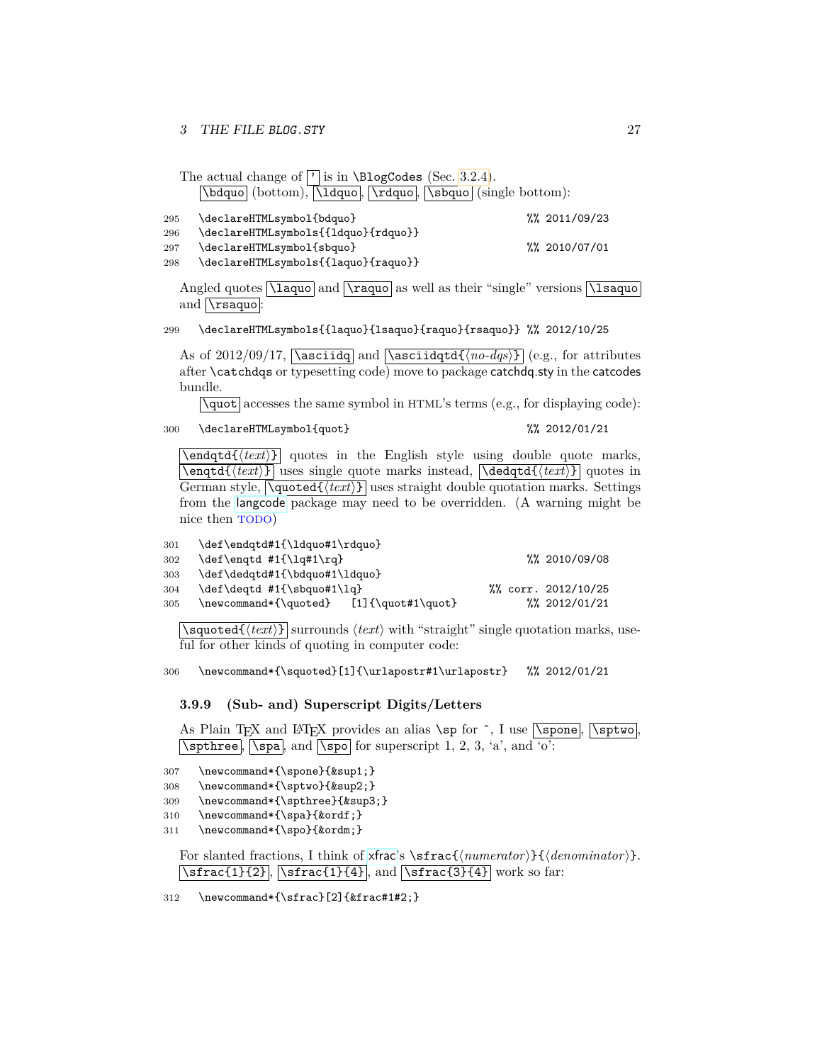|     | The actual change of $\lceil \cdot \rceil$ is in \BlogCodes (Sec. 3.2.4). |                       |  |
|-----|---------------------------------------------------------------------------|-----------------------|--|
|     | [\bdquo] (bottom), [\ldquo], [\rdquo], [\sbquo] (single bottom):          |                       |  |
| 295 | \declareHTMLsymbol{bdquo}                                                 | $\frac{2011}{09}$ /23 |  |
| 296 | \declareHTMLsymbols{{ldquo}{rdquo}}                                       |                       |  |
| 297 | \declareHTMLsymbol{sbquo}                                                 | %% 2010/07/01         |  |

298 \declareHTMLsymbols{{laquo}{raquo}}

Angled quotes  $\langle \langle \rangle$  and  $\langle \rangle$  as well as their "single" versions  $\langle \rangle$  as a and  $\langle$ rsaquo  $|$ 

299 \declareHTMLsymbols{{laquo}{lsaquo}{raquo}{rsaquo}} %% 2012/10/25

As of 2012/09/17,  $\sqrt{\text{asciidq}}$  and  $\sqrt{\text{hoc-idqtd} \cdot \text{hoc_idq}}$  (e.g., for attributes after \catchdqs or typesetting code) move to package catchdq.sty in the catcodes bundle.

 $\gamma$  accesses the same symbol in HTML's terms (e.g., for displaying code):

```
300 \declareHTMLsymbol{quot} %% 2012/01/21
```
 $\text{Vendqtd}(text)$  quotes in the English style using double quote marks,  $\overline{\mathrm{det}(text)}$  uses single quote marks instead,  $\overline{\mathrm{det}(text)}$  quotes in German style,  $\sqrt{\text{quoted}(\text{text})}$  uses straight double quotation marks. Settings from the [langcode](http://www.ctan.org/pkg/langcode) package may need to be overridden. (A warning might be nice then TODO)

| 301 | \def\endqtd#1{\ldquo#1\rdquo}           |  |                      |
|-----|-----------------------------------------|--|----------------------|
| 302 | \def\engtd #1{\lg#1\rg}                 |  | %% 2010/09/08        |
| 303 | \def\dedqtd#1{\bdquo#1\ldquo}           |  |                      |
| 304 | \def\deqtd #1{\sbquo#1\lq}              |  | %% corr. 2012/10/25  |
| 305 | \newcommand*{\quoted} [1]{\quot#1\quot} |  | $\frac{2012}{01/21}$ |

 $\overline{\sqrt{\text{Squared}(\text{text})}}$  surrounds  $\langle \text{text}\rangle$  with "straight" single quotation marks, useful for other kinds of quoting in computer code:

306 \newcommand\*{\squoted}[1]{\urlapostr#1\urlapostr} %% 2012/01/21

### <span id="page-26-0"></span>**3.9.9 (Sub- and) Superscript Digits/Letters**

As Plain T<sub>F</sub>X and L<sup>AT</sup>F<sub>X</sub> provides an alias \sp for  $\hat{\ }$ , I use  $\gamma$  \spone ,  $\gamma$ <sub>N</sub> \sptwo , \sptwo , \sptwo , \sptwo , \sptwo , \sptwo , \sptwo , \sptwo , \sptwo , \sptwo , \sptwo , \sptwo , \sptwo , \sptwo , \spt  $\sqrt{\sqrt{\text{cpthree}}}$ ,  $\sqrt{\text{spa}}$ , and  $\sqrt{\text{spo}}$  for superscript 1, 2, 3, 'a', and 'o':

307 \newcommand\*{\spone}{¹}

```
308 \newcommand*{\sptwo}{²}
```
309 \newcommand\*{\spthree}{³}

- 310 \newcommand\*{\spa}{ª}
- 311 \newcommand\*{\spo}{º}

For slanted fractions, I think of [xfrac](http://www.ctan.org/pkg/xfrac)'s \sfrac{\*numerator*}}{\*denominator*}}.  $\left[\frac{1}{2}, \frac{1}{4} \right]$ ,  $\left[\frac{1}{4}\right]$ , and  $\left[\frac{3}{4}\right]$  work so far:

312 \newcommand\*{\sfrac}[2]{&frac#1#2;}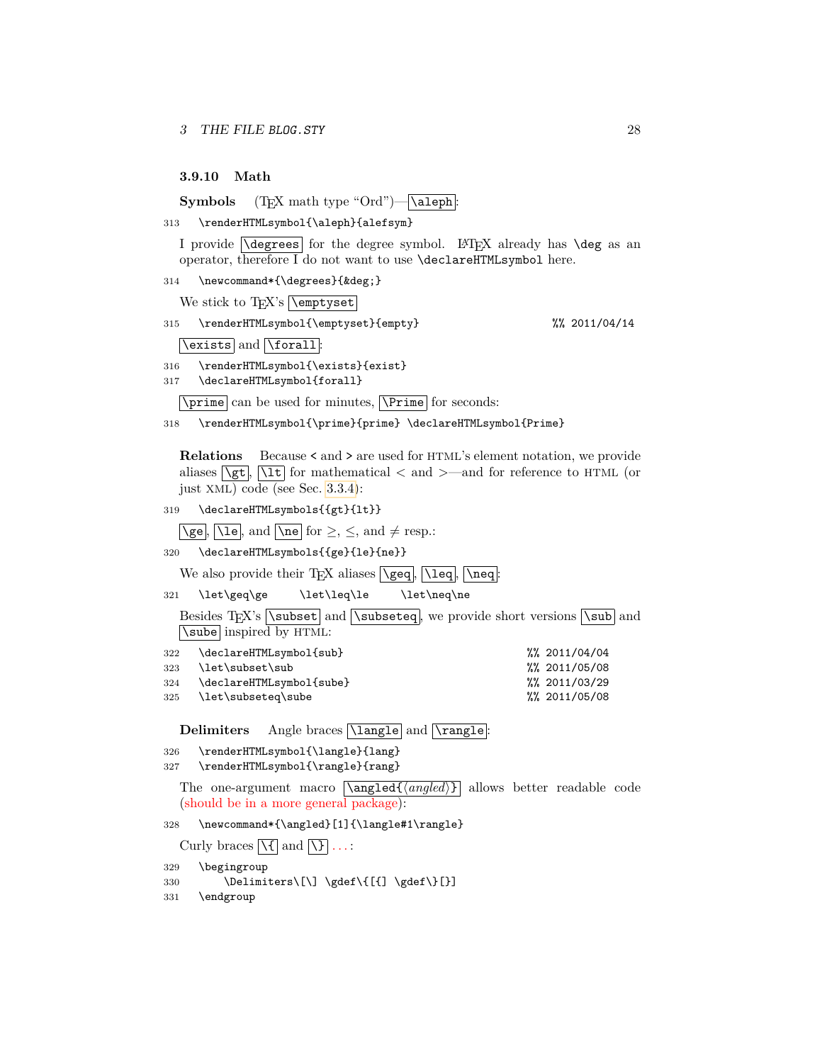<span id="page-27-0"></span>**3.9.10 Math**

**Symbols** (T<sub>E</sub>X math type "Ord")— \aleph :

313 \renderHTMLsymbol{\aleph}{alefsym}

I provide  $\overline{\text{degrees}}$  for the degree symbol. LAT<sub>EX</sub> already has  $\text{deg}$  as an operator, therefore I do not want to use \declareHTMLsymbol here.

314 \newcommand\*{\degrees}{°}

We stick to TEX's **\emptyset** 

315 \renderHTMLsymbol{\emptyset}{empty} %% 2011/04/14

\exists and \forall :

316 \renderHTMLsymbol{\exists}{exist}

317 \declareHTMLsymbol{forall}

 $\perp$  can be used for minutes,  $\Prime$  for seconds:

318 \renderHTMLsymbol{\prime}{prime} \declareHTMLsymbol{Prime}

**Relations** Because < and > are used for HTML's element notation, we provide aliases  $\sqrt{\text{gt}}$ ,  $\sqrt{1\text{t}}$  for mathematical  $\lt$  and  $\gt$ —and for reference to HTML (or just XML) code (see Sec. [3.3.4\)](#page-14-1):

319 \declareHTMLsymbols{{gt}{lt}}

 $\overline{\text{Vge}}, \overline{\text{Vle}}, \text{and } \overline{\text{Vne}} \text{ for } \ge, \le, \text{and } \neq \text{resp.}:$ 

320 \declareHTMLsymbols{{ge}{le}{ne}}

We also provide their TEX aliases  $\lceil \text{geq} \rceil$ ,  $\lceil \text{leq} \rceil$ ,  $\lceil \text{neq} \rceil$ 

321 \let\geq\ge \let\leq\le \let\neq\ne

Besides TEX's  $\simeq$  and  $\simeq$ , we provide short versions  $\simeq$  and \sube inspired by HTML:

| 322 | \declareHTMLsymbol{sub}      | $\frac{2011}{04}$ |
|-----|------------------------------|-------------------|
|     | 323 \let\subset\sub          | %%2011/05/08      |
|     | 324 \declareHTMLsymbol{sube} | %%2011/03/29      |
|     | 325 \let\subseteq\sube       | %% 2011/05/08     |

Delimiters Angle braces  $\boxed{\langle \text{language} \rangle}$ 

```
326 \renderHTMLsymbol{\langle}{lang}
```
327 \renderHTMLsymbol{\rangle}{rang}

The one-argument macro  $\langle \text{angle}(i) \rangle$  allows better readable code (should be in a more general package):

328 \newcommand\*{\angled}[1]{\langle#1\rangle}

Curly braces  $\left[\sqrt{t}\right]$  and  $\left[\sqrt{t}\right]$  ...:

329 \begingroup

330 \Delimiters\[\] \gdef\{[{] \gdef\}[}]

331 \endgroup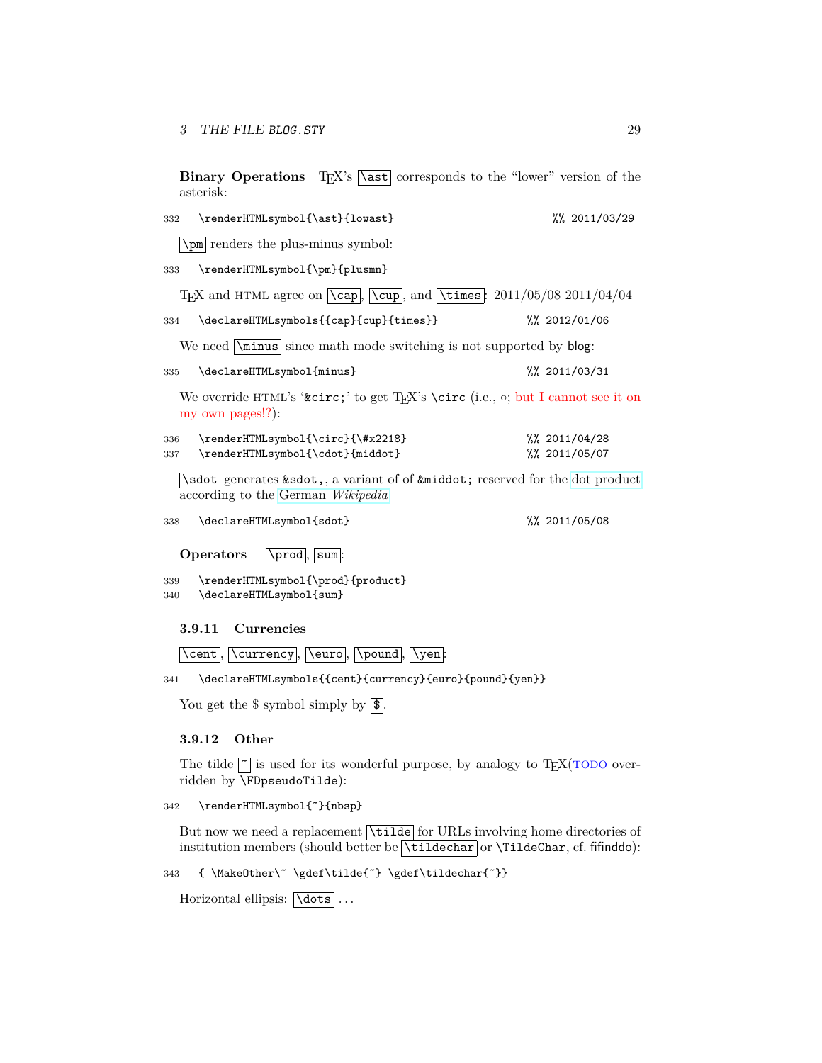**Binary Operations** T<sub>EX</sub>'s  $\sqrt{\text{ast}}$  corresponds to the "lower" version of the asterisk:

| 332 | \renderHTMLsymbol{\ast}{lowast}                                                                                                 | %% 2011/03/29         |
|-----|---------------------------------------------------------------------------------------------------------------------------------|-----------------------|
|     | \pm renders the plus-minus symbol:                                                                                              |                       |
| 333 | \renderHTMLsymbol{\pm}{plusmn}                                                                                                  |                       |
|     | TEX and HTML agree on $\overline{\text{Cap}}$ , $\overline{\text{cup}}$ , and $\overline{\text{times}}$ : 2011/05/08 2011/04/04 |                       |
| 334 | \declareHTMLsymbols{{cap}{cup}{times}}                                                                                          | %% 2012/01/06         |
|     | We need $\mathbf{s}$ is not supported by blog:                                                                                  |                       |
| 335 | \declareHTMLsymbol{minus}                                                                                                       | %% 2011/03/31         |
|     | We override HTML's 'ˆ' to get T <sub>F</sub> X's \circ (i.e., $\circ$ ; but I cannot see it on<br>my own pages!?):              |                       |
| 336 | \renderHTMLsymbol{\circ}{\#x2218}                                                                                               | $\frac{2011}{04}$ /28 |
| 337 | \renderHTMLsymbol{\cdot}{middot}                                                                                                | %% 2011/05/07         |
|     | \sdot generates & sdot, a variant of of & middot; reserved for the dot product<br>according to the German <i>Wikipedia</i>      |                       |

according to the German *[Wikipedia](http://de.wikipedia.org/wiki/Malzeichen#Skalarprodukt)*

338 \declareHTMLsymbol{sdot} %% 2011/05/08

**Operators Notify**.

339 \renderHTMLsymbol{\prod}{product} 340 \declareHTMLsymbol{sum}

<span id="page-28-0"></span>**3.9.11 Currencies**

 $\overline{\ker}, \overline{\ker}$ ,  $\overline{\ker}$ ,  $\overline{\ker}$ ,  $\overline{\ker}$ ,  $\overline{\ker}$ 

341 \declareHTMLsymbols{{cent}{currency}{euro}{pound}{yen}}

You get the  $\frac{1}{2}$  symbol simply by  $\boxed{\$}$ .

### <span id="page-28-1"></span>**3.9.12 Other**

The tilde  $\tilde{ }$  is used for its wonderful purpose, by analogy to T<sub>E</sub>X(TODO overridden by \FDpseudoTilde):

342 \renderHTMLsymbol{˜}{nbsp}

But now we need a replacement *\tilde* for URLs involving home directories of institution members (should better be  $\tilde{\tilde{\mathrm{triderar}}}$  or  $\tilde{\mathrm{triderar}}$ , cf. fifinddo):

343 { \MakeOther\˜ \gdef\tilde{˜} \gdef\tildechar{˜}}

Horizontal ellipsis:  $\overline{\text{dots}}$ ...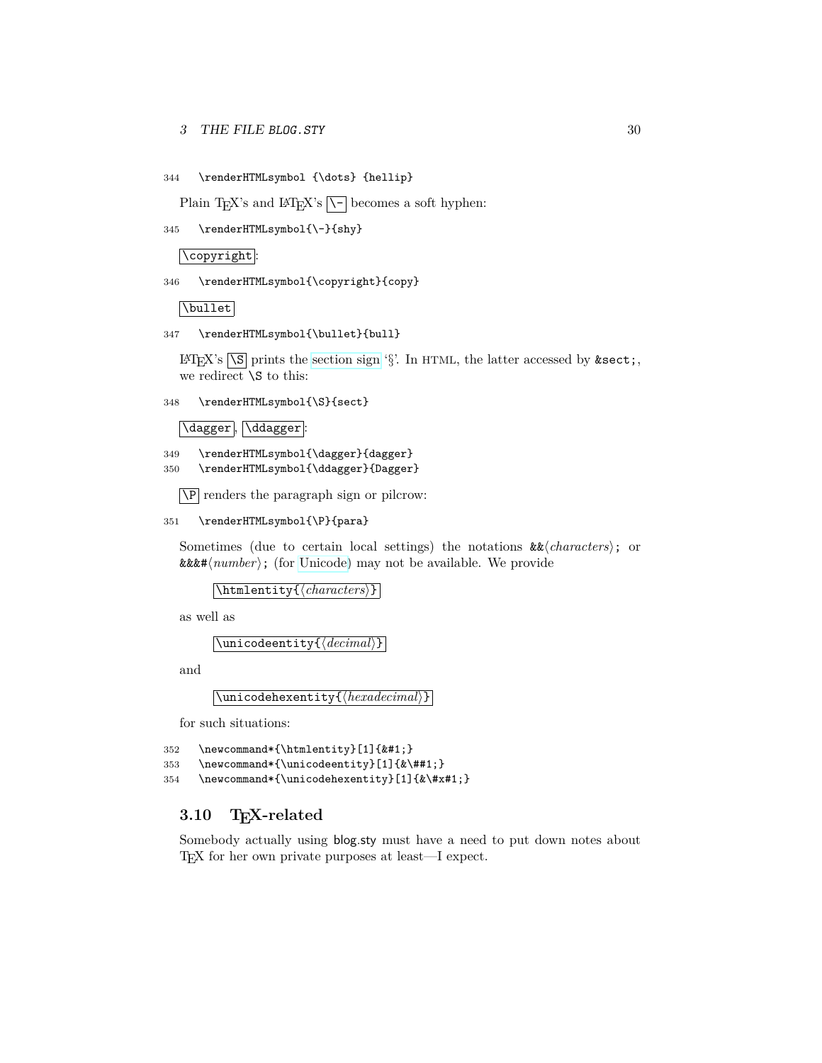### 3 THE FILE BLOG. STY 30

344 \renderHTMLsymbol {\dots} {hellip}

Plain T<sub>E</sub>X's and  $\mathbb{P}T_{\mathbb{E}}X$ 's  $\overline{\setminus \{-\}}$  becomes a soft hyphen:

345 \renderHTMLsymbol{\-}{shy}

\copyright :

```
346 \renderHTMLsymbol{\copyright}{copy}
```
\bullet

```
347 \renderHTMLsymbol{\bullet}{bull}
```
LAT<sub>EX</sub>'s  $\S$  prints the [section sign](http://en.wikipedia.org/wiki/section sign) ' $\S$ '. In HTML, the latter accessed by & sect; we redirect  $\setminus$ S to this:

348 \renderHTMLsymbol{\S}{sect}

\dagger , \ddagger :

349 \renderHTMLsymbol{\dagger}{dagger} 350 \renderHTMLsymbol{\ddagger}{Dagger}

 $\overline{NP}$  renders the paragraph sign or pilcrow:

```
351 \renderHTMLsymbol{\P}{para}
```
Sometimes (due to certain local settings) the notations  $\&\&\langle characters \rangle$ ; or  $\&\&\#(number)$ ; (for [Unicode\)](http://en.wikipedia.org/wiki/Unicode) may not be available. We provide

 $\lambda$ htmlentity{ $\langle characters \rangle$ }

as well as

 $\langle$ unicodeentity{ $\langle$ decimal}}

and

 $\{\langle \text{hexadecimal} \rangle\}$ 

for such situations:

```
352 \newcommand*{\htmlentity}[1]{}
```

```
353 \newcommand*{\unicodeentity}[1]{&\##1;}
```

```
354 \newcommand*{\unicodehexentity}[1]{&\#x#1;}
```
### <span id="page-29-0"></span>**3.10 TEX-related**

Somebody actually using blog.sty must have a need to put down notes about TEX for her own private purposes at least—I expect.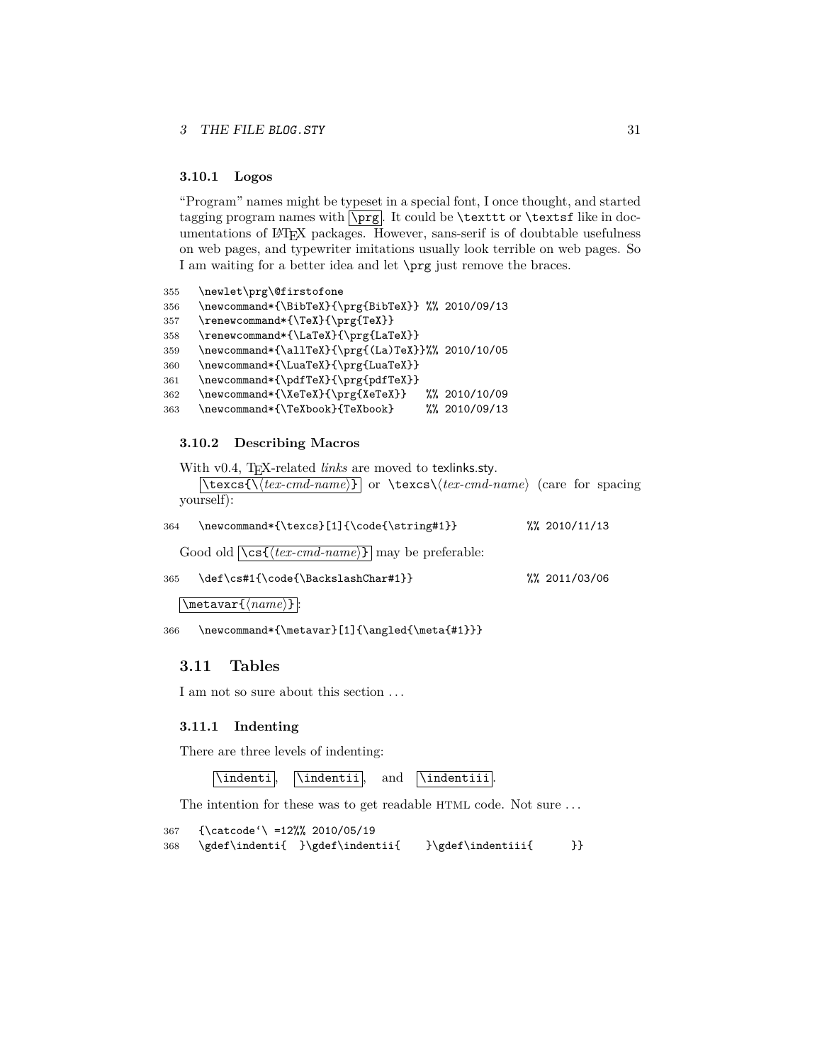#### <span id="page-30-0"></span>**3.10.1 Logos**

"Program" names might be typeset in a special font, I once thought, and started tagging program names with  $\pmb{\text{prg}}$ . It could be **\textsf** or **\textsf** like in documentations of LATEX packages. However, sans-serif is of doubtable usefulness on web pages, and typewriter imitations usually look terrible on web pages. So I am waiting for a better idea and let \prg just remove the braces.

```
355 \newlet\prg\@firstofone
356 \newcommand*{\BibTeX}{\prg{BibTeX}} %% 2010/09/13
357 \renewcommand*{\TeX}{\prg{TeX}}
358 \renewcommand*{\LaTeX}{\prg{LaTeX}}
359 \newcommand*{\allTeX}{\prg{(La)TeX}}%% 2010/10/05
360 \newcommand*{\LuaTeX}{\prg{LuaTeX}}
361 \newcommand*{\pdfTeX}{\prg{pdfTeX}}
362 \newcommand*{\XeTeX}{\prg{XeTeX}} %% 2010/10/09
363 \newcommand*{\TeXbook}{TeXbook} %% 2010/09/13
```
### <span id="page-30-1"></span>**3.10.2 Describing Macros**

With v0.4, T<sub>E</sub>X-related *links* are moved to texlinks.sty.

 $\left[ \text{texcs} \setminus \text{texc} \setminus \text{texc} \setminus \text{texc} \setminus \text{texc} \setminus \text{cexc} \setminus \text{case} \right]$  (care for spacing yourself):

| \newcommand*{\texcs}[1]{\code{\string#1}}<br>364                      | $\frac{2010}{11/13}$ |
|-----------------------------------------------------------------------|----------------------|
| Good old $\sqrt{cs\{(textrm{-}cmd\text{-}name)\}}$ may be preferable: |                      |
| \def\cs#1{\code{\BackslashChar#1}}<br>365                             | $\frac{2011}{03006}$ |
| $\text{%max}\{\langle name\rangle\}.$                                 |                      |

366 \newcommand\*{\metavar}[1]{\angled{\meta{#1}}}

### <span id="page-30-2"></span>**3.11 Tables**

I am not so sure about this section . . .

#### <span id="page-30-3"></span>**3.11.1 Indenting**

There are three levels of indenting:

```
\indenti , \indentii , and \indentiii .
```
The intention for these was to get readable HTML code. Not sure . . .

```
367 {\catcode'\ =12%% 2010/05/19
368 \gdef\indenti{ }\gdef\indentii{ }\gdef\indentiii{ }}
```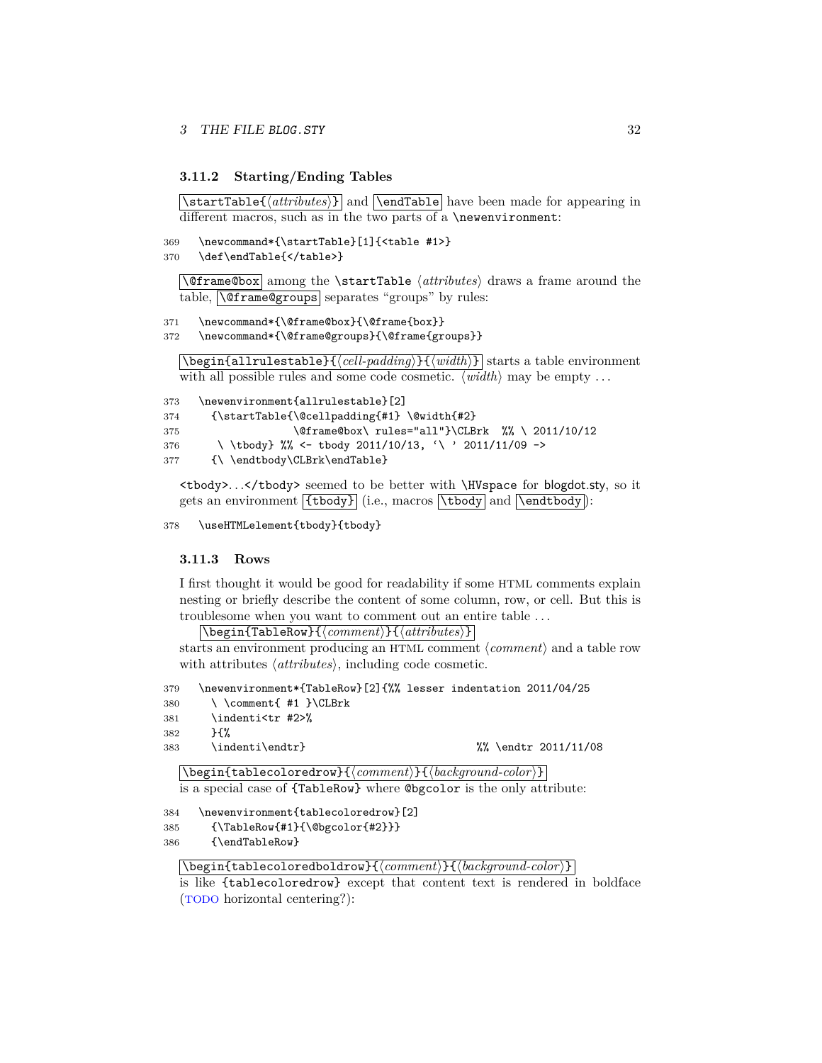### <span id="page-31-0"></span>**3.11.2 Starting/Ending Tables**

 $\{\text{d}t$  and  $\end{math}$  and  $\text{label}$  have been made for appearing in different macros, such as in the two parts of a \newenvironment:

```
369 \newcommand*{\startTable}[1]{<table #1>}
```

```
370 \def\endTable{</table>}
```
 $\langle$  **@frame@box** among the  $\frac{\atop \}{\text{atributes}}$  draws a frame around the table,  $\langle\Gamma\rangle$  \**@frame@groups** separates "groups" by rules:

```
371 \newcommand*{\@frame@box}{\@frame{box}}
```

```
372 \newcommand*{\@frame@groups}{\@frame{groups}}
```
\begin{allrulestable}{h*cell-padding*i}{h*width*i} starts a table environment with all possible rules and some code cosmetic.  $\langle width \rangle$  may be empty ...

```
373 \newenvironment{allrulestable}[2]
374 {\startTable{\@cellpadding{#1} \@width{#2}
375 \@frame@box\ rules="all"}\CLBrk %% \ 2011/10/12
376 \ \tbody} %% <- tbody 2011/10/13, '\ ' 2011/11/09 ->
377 {\ \endtbody\CLBrk\endTable}
```
<tbody>. . .</tbody> seemed to be better with \HVspace for blogdot.sty, so it gets an environment  $\{\text{tbody}\}$  (i.e., macros  $\text{btbody}$  and  $\text{Vendtbody}$ ):

378 \useHTMLelement{tbody}{tbody}

#### <span id="page-31-1"></span>**3.11.3 Rows**

I first thought it would be good for readability if some HTML comments explain nesting or briefly describe the content of some column, row, or cell. But this is troublesome when you want to comment out an entire table . . .

 $\backslash$ begin{TableRow}{ $\langle comment \rangle$ }{ $\langle attributes \rangle$ }

starts an environment producing an HTML comment  $\langle comment \rangle$  and a table row with attributes  $\langle$  *attributes* $\rangle$ , including code cosmetic.

```
379 \newenvironment*{TableRow}[2]{%% lesser indentation 2011/04/25
380 \ \comment{ #1 }\CLBrk
381 \indenti<tr #2>%
382 }{%
383 \indenti\endtr} %% \endtr 2011/11/08
  \backslashbegin{tablecoloredrow}{\langle comment\rangle}{\langle background-color\rangle}
  is a special case of {TableRow} where @bgcolor is the only attribute:
384 \newenvironment{tablecoloredrow}[2]
385 {\TableRow{#1}{\@bgcolor{#2}}}
386 {\endTableRow}
```
 $\{\begin{aligned} \Delta\left\{ \left\langle \mathit{background-color}\right\rangle \} \right\} \end{aligned}$ 

```
is like {tablecoloredrow} except that content text is rendered in boldface
(TODO horizontal centering?):
```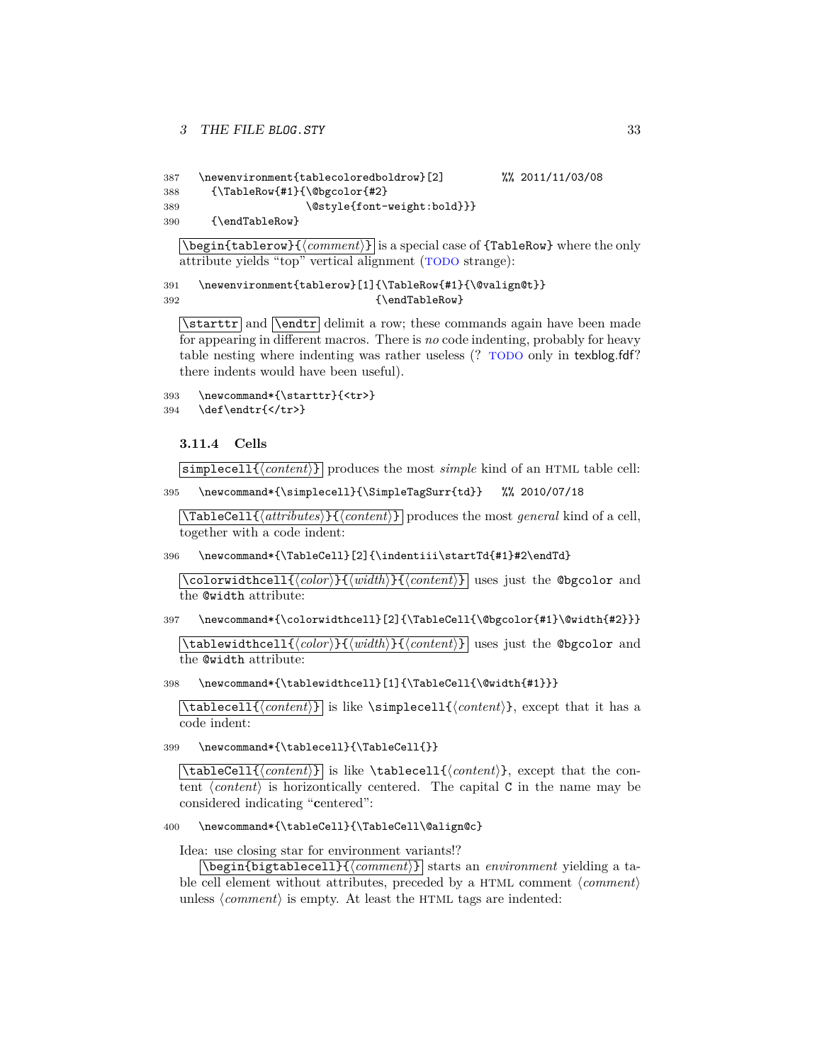```
387 \newenvironment{tablecoloredboldrow}[2] %% 2011/11/03/08
388 {\TableRow{#1}{\@bgcolor{#2}
389 \\text{\text{\style{font-weight:bold}}}
390 {\endTableRow}
```
 $\begin{bmatrix} \begin{array}{c}\end{array}$   $\end{bmatrix}$   $\{comment\}$  is a special case of  $\{\texttt{TableRow}\}$  where the only attribute yields "top" vertical alignment (TODO strange):

```
391 \newenvironment{tablerow}[1]{\TableRow{#1}{\@valign@t}}
392 {\endTableRow}
```
 $\bar{\text{rad}}$  and  $\bar{\text{delimit}}$  a row; these commands again have been made for appearing in different macros. There is *no* code indenting, probably for heavy table nesting where indenting was rather useless (? TODO only in texblog.fdf? there indents would have been useful).

```
393 \newcommand*{\starttr}{<tr>}
394 \def\endtr{</tr>}
```
<span id="page-32-0"></span>**3.11.4 Cells**

 $\boxed{\text{simplecell}\{\langle \text{content}\rangle\}}$  produces the most *simple* kind of an HTML table cell:

395 \newcommand\*{\simplecell}{\SimpleTagSurr{td}} %% 2010/07/18

 $\overline{\text{TableCell}\{\text{attributes}\}}$  $\{\text{content}\}\$  produces the most *general* kind of a cell, together with a code indent:

396 \newcommand\*{\TableCell}[2]{\indentiii\startTd{#1}#2\endTd}

 $\overline{\cosh(\cosh(\cosh t))\cosh(\cosh t))}$  uses just the @bgcolor and the @width attribute:

397 \newcommand\*{\colorwidthcell}[2]{\TableCell{\@bgcolor{#1}\@width{#2}}}

\tablewidthcell{h*color*i}{h*width*i}{h*content*i} uses just the @bgcolor and the @width attribute:

398 \newcommand\*{\tablewidthcell}[1]{\TableCell{\@width{#1}}}

 $\{\tanh\{\coath\}\}\$ is like  $\sim\text{hctan}\$ , except that it has a code indent:

399 \newcommand\*{\tablecell}{\TableCell{}}

 $\{\tanh\{\coath\} \}$  is like  $\tanh\{\tanh\}$ , except that the content  $\langle content \rangle$  is horizontically centered. The capital C in the name may be considered indicating "**c**entered":

### 400 \newcommand\*{\tableCell}{\TableCell\@align@c}

Idea: use closing star for environment variants!?

\begin{bigtablecell}{h*comment*i} starts an *environment* yielding a table cell element without attributes, preceded by a HTML comment  $\langle comment \rangle$ unless  $\langle comment \rangle$  is empty. At least the HTML tags are indented: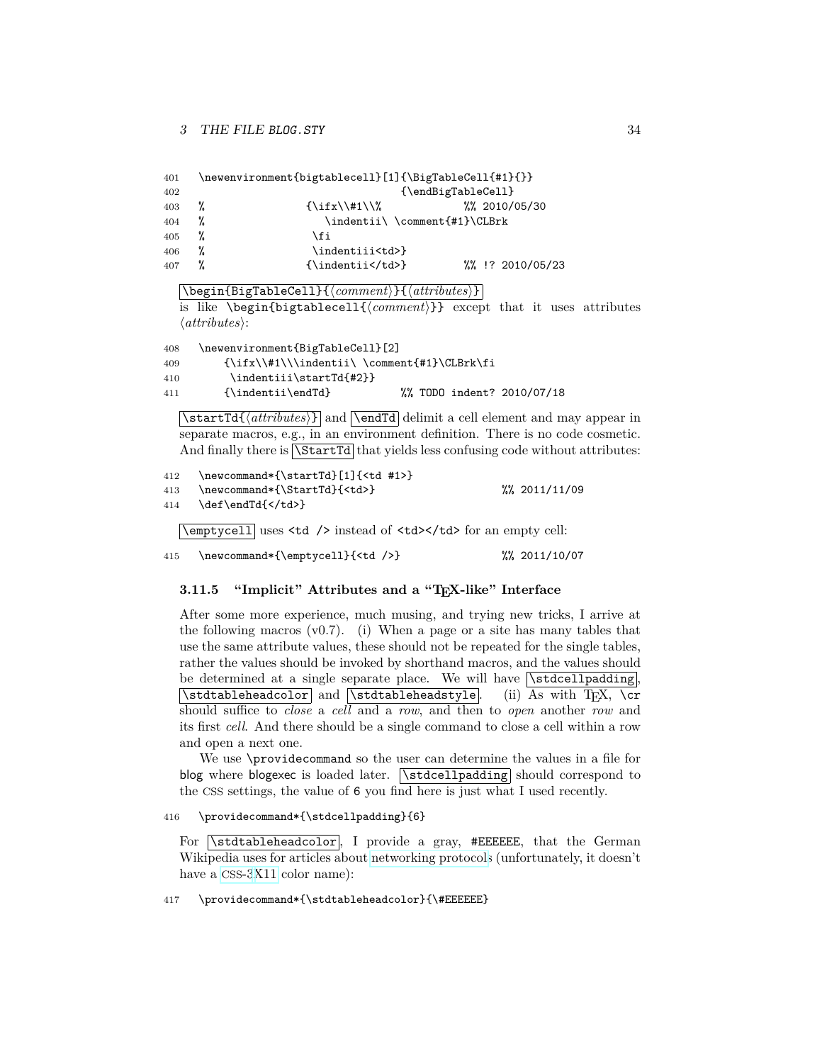| 401 |   | \newenvironment{bigtablecell}[1]{\BigTableCell{#1}{}} |                                          |  |
|-----|---|-------------------------------------------------------|------------------------------------------|--|
| 402 |   |                                                       | {\endBigTableCell}                       |  |
| 403 | % | $\iint x \times 1/\%$                                 | $\frac{2010}{105}$ /30                   |  |
| 404 | % | \indentii\ \comment{#1}\CLBrk                         |                                          |  |
| 405 |   | \fi                                                   |                                          |  |
| 406 | % | \indentiii <td>}</td> <td></td>                       | }                                        |  |
| 407 |   | $\{\infty\}$                                          | $\frac{1}{2}$ , $\frac{1}{2}$ 2010/05/23 |  |
|     |   |                                                       |                                          |  |

\begin{BigTableCell}{h*comment*i}{h*attributes*i}

is like  $\begin{subarray}{c}$  is like  $\begin{subarray}{c}$  except that it uses attributes  $\langle attributes \rangle$ :

 \newenvironment{BigTableCell}[2]  ${\ifx\:\#1\\\indentii\\ \complement\#1}\CLBrk\fi$  \indentiii\startTd{#2}} {\indentii\endTd} %% TODO indent? 2010/07/18

 $\text{Td}(atributes)$  and  $\end{taf}$  delimit a cell element and may appear in separate macros, e.g., in an environment definition. There is no code cosmetic. And finally there is  $\sqrt{\text{StartId}}$  that yields less confusing code without attributes:

412 \newcommand\*{\startTd}[1]{<td #1>} 413 \newcommand\*{\StartTd}{<td>} %% 2011/11/09 414 \def\endTd{</td>}

\emptycell uses <td /> instead of <td></td> for an empty cell:

```
415 \newcommand*{\emptycell}{<td />} %% 2011/10/07
```
### <span id="page-33-0"></span>**3.11.5 "Implicit" Attributes and a "TEX-like" Interface**

After some more experience, much musing, and trying new tricks, I arrive at the following macros (v0.7). (i) When a page or a site has many tables that use the same attribute values, these should not be repeated for the single tables, rather the values should be invoked by shorthand macros, and the values should be determined at a single separate place. We will have  $\sqrt{\text{stdcellpadding}}$ .  $\sqrt{\text{statableheadcolor}}$  and  $\sqrt{\text{statableheadstyle}}$ . (ii) As with TEX,  $\cr$ should suffice to *close* a *cell* and a *row*, and then to *open* another *row* and its first *cell*. And there should be a single command to close a cell within a row and open a next one.

We use \providecommand so the user can determine the values in a file for blog where blogexec is loaded later.  $\widehat{\text{Nstdcellpadding}}$  should correspond to the CSS settings, the value of 6 you find here is just what I used recently.

#### 416 \providecommand\*{\stdcellpadding}{6}

For  $\kappa$  stdtableheadcolor, I provide a gray, #EEEEEE, that the German Wikipedia uses for articles about [networking protocols](http://en.wikipedia.org/wiki/networking protocol) (unfortunately, it doesn't have a [CSS](http://en.wikipedia.org/wiki/Web colors#X11_color_names)-[3X11](http://en.wikipedia.org/wiki/X11 color names) color name):

#### 417 \providecommand\*{\stdtableheadcolor}{\#EEEEEE}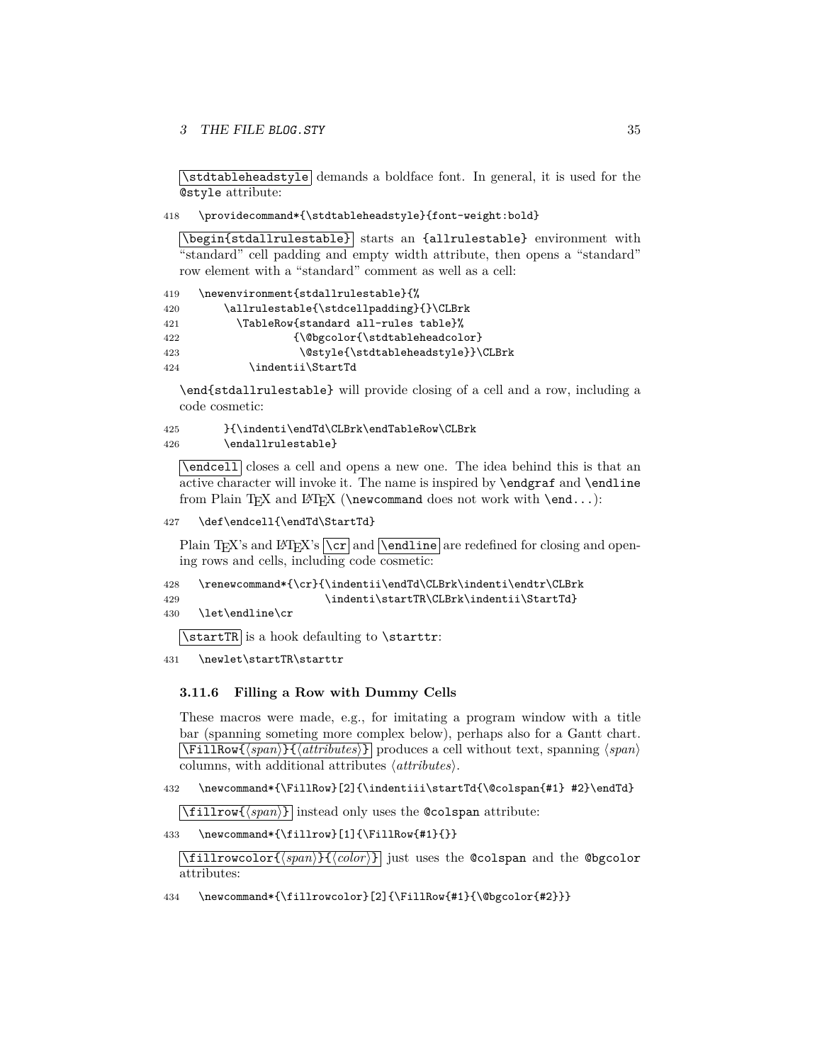3 THE FILE BLOG. STY 35

\stdtableheadstyle demands a boldface font. In general, it is used for the @style attribute:

418 \providecommand\*{\stdtableheadstyle}{font-weight:bold}

\begin{stdallrulestable} starts an {allrulestable} environment with "standard" cell padding and empty width attribute, then opens a "standard" row element with a "standard" comment as well as a cell:

| 419 | \newenvironment{stdallrulestable}{%     |
|-----|-----------------------------------------|
| 420 | \allrulestable{\stdcellpadding}{}\CLBrk |
| 421 | \TableRow{standard all-rules table}%    |
| 422 | {\@bgcolor{\stdtableheadcolor}          |
| 423 | \@style{\stdtableheadstyle}}\CLBrk      |
| 424 | \indentii\StartTd                       |

\end{stdallrulestable} will provide closing of a cell and a row, including a code cosmetic:

425 }{\indenti\endTd\CLBrk\endTableRow\CLBrk 426 \endallrulestable}

 $\overline{\text{Vendcell}}$  closes a cell and opens a new one. The idea behind this is that an active character will invoke it. The name is inspired by \endgraf and \endline from Plain T<sub>E</sub>X and L<sup>AT</sup>E<sub>X</sub> (\newcommand does not work with \end...):

427 \def\endcell{\endTd\StartTd}

Plain T<sub>E</sub>X's and L<sup>AT</sup>EX's  $\overline{\overline{c}}$  and  $\overline{\overline{c}}$  and  $\overline{c}$  are redefined for closing and opening rows and cells, including code cosmetic:

428 \renewcommand\*{\cr}{\indentii\endTd\CLBrk\indenti\endtr\CLBrk 429 \indenti\startTR\CLBrk\indentii\StartTd}

430 \let\endline\cr

 $\text{XstartTR}$  is a hook defaulting to  $\text{start}$ :

431 \newlet\startTR\starttr

### <span id="page-34-0"></span>**3.11.6 Filling a Row with Dummy Cells**

These macros were made, e.g., for imitating a program window with a title bar (spanning someting more complex below), perhaps also for a Gantt chart.  $\overline{\text{FillRow} \{ \text{span}\} \{ \text{attributes} \} }$  produces a cell without text, spanning  $\langle \text{span} \rangle$ columns, with additional attributes  $\langle$  *attributes* $\rangle$ .

432 \newcommand\*{\FillRow}[2]{\indentiii\startTd{\@colspan{#1} #2}\endTd}

 $\boxed{\text{ifillrow} \{\text{span}\}}$  instead only uses the **@colspan** attribute:

433 \newcommand\*{\fillrow}[1]{\FillRow{#1}{}}

 $\left[\frac{\tau_{\text{fullrowcolor}}{\text{span}}}{\text{h}}\right]$  just uses the @colspan and the @bgcolor attributes:

434 \newcommand\*{\fillrowcolor}[2]{\FillRow{#1}{\@bgcolor{#2}}}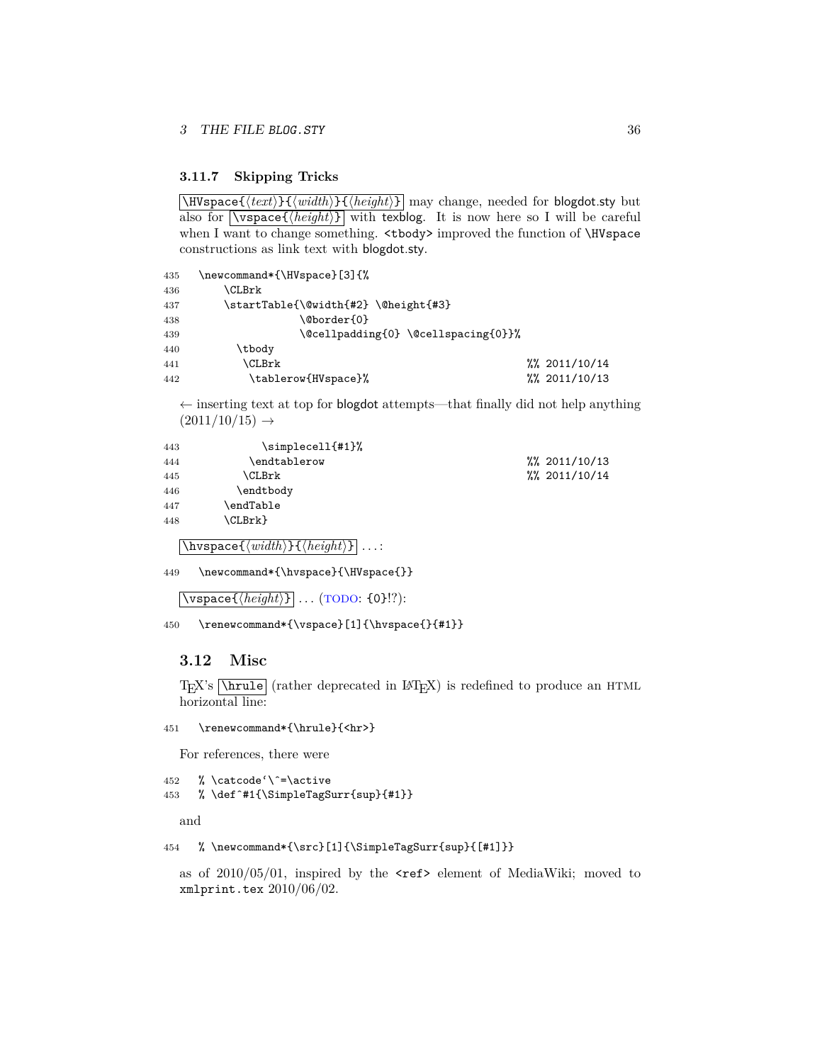### <span id="page-35-0"></span>**3.11.7 Skipping Tricks**

 $\text{Wspace}$ {\text{\text{\laudit}{\laudit}{\laudit}} may change, needed for **blogdot**.sty but also for  $\overline{\{height\}}$  with texplog. It is now here so I will be careful when I want to change something. <tbody> improved the function of \HVspace constructions as link text with blogdot.sty.

```
435 \newcommand*{\HVspace}[3]{%
436 \CLBrk
437 \startTable{\@width{#2} \@height{#3}
438 \\@border{0}
439 \@cellpadding{0} \@cellspacing{0}}%
440 \tbody
441 \CLBrk \\frac{\\left(\) \text{ CLBrk \text{ CLBrk \text{ CLBrk \text{ ClBrk \text{ ClBrk \text{ ClBrk \text{ ClBrk \text{ ClBrk \text{ ClBrk \text{ ClBrk \text{ ClBrk \text{ ClBrk \text{ ClBrk \text{ ClBrk \text{ ClBrk
442 \tablerow{HVspace}% %% 2011/10/13
```
 $\leftarrow$  inserting text at top for blogdot attempts—that finally did not help anything  $(2011/10/15) \rightarrow$ 

| 443 | \simplecell{#1}% |                       |
|-----|------------------|-----------------------|
| 444 | \endtablerow     | $\frac{2011}{10}$ /13 |
| 445 | \CLBrk           | $\frac{2011}{10}$ /14 |
| 446 | \endtbody        |                       |
| 447 | endTable\        |                       |
| 448 | \CLBrk}          |                       |
|     |                  |                       |

 $\overline{\hbox{Nupspace}}{\hbox{#}}$ iwspace $\{\langle width \rangle\}$  $\{ \langle height \rangle\}$  ...:

449 \newcommand\*{\hvspace}{\HVspace{}}

 $\backslash$ vspace $\{\langle height \rangle\}$  . . . (TODO: {0}!?):

450 \renewcommand\*{\vspace}[1]{\hvspace{}{#1}}

### <span id="page-35-1"></span>**3.12 Misc**

 $T_{F}X$ 's  $\hbox{\rm \small{[hrule]}}$  (rather deprecated in  $\hbox{\rm \small{[F$}}X$ ) is redefined to produce an HTML horizontal line:

451 \renewcommand\*{\hrule}{<hr>}

For references, there were

```
452 % \catcode'\ˆ=\active
453 % \defˆ#1{\SimpleTagSurr{sup}{#1}}
```
and

```
454 % \newcommand*{\src}[1]{\SimpleTagSurr{sup}{[#1]}}
```
as of  $2010/05/01$ , inspired by the  $\text{Sref}$  element of MediaWiki; moved to xmlprint.tex 2010/06/02.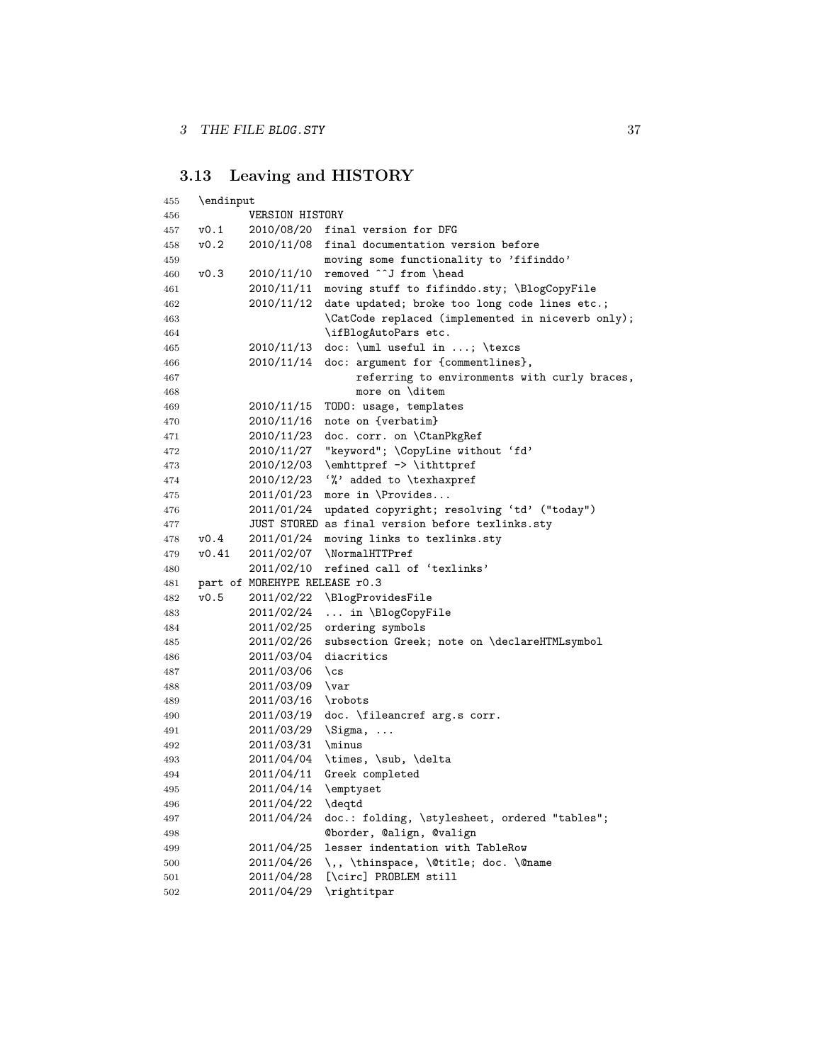# <span id="page-36-0"></span>**3.13 Leaving and HISTORY**

| 455 | \endinput |                               |                                                   |
|-----|-----------|-------------------------------|---------------------------------------------------|
| 456 |           | VERSION HISTORY               |                                                   |
| 457 | v0.1      |                               | 2010/08/20 final version for DFG                  |
| 458 | v0.2      | 2010/11/08                    | final documentation version before                |
| 459 |           |                               | moving some functionality to 'fifinddo'           |
| 460 | v0.3      | 2010/11/10                    | removed ^^J from \head                            |
| 461 |           | 2010/11/11                    | moving stuff to fifinddo.sty; \BlogCopyFile       |
| 462 |           | 2010/11/12                    | date updated; broke too long code lines etc.;     |
| 463 |           |                               | \CatCode replaced (implemented in niceverb only); |
| 464 |           |                               | \ifBlogAutoPars etc.                              |
| 465 |           | 2010/11/13                    | doc: \uml useful in ; \texcs                      |
| 466 |           | 2010/11/14                    | doc: argument for {commentlines},                 |
| 467 |           |                               | referring to environments with curly braces,      |
| 468 |           |                               | more on \ditem                                    |
| 469 |           | 2010/11/15                    | TODO: usage, templates                            |
| 470 |           | 2010/11/16                    | note on {verbatim}                                |
| 471 |           | 2010/11/23                    | doc. corr. on \CtanPkgRef                         |
| 472 |           | 2010/11/27                    | "keyword"; \CopyLine without 'fd'                 |
| 473 |           | 2010/12/03                    | \emhttpref -> \ithttpref                          |
| 474 |           | 2010/12/23                    | '%' added to \texhaxpref                          |
| 475 |           | 2011/01/23                    | more in \Provides                                 |
| 476 |           | 2011/01/24                    | updated copyright; resolving 'td' ("today")       |
| 477 |           |                               | JUST STORED as final version before texlinks.sty  |
| 478 | v0.4      | 2011/01/24                    | moving links to texlinks.sty                      |
| 479 | v0.41     | 2011/02/07                    | \NormalHTTPref                                    |
| 480 |           | 2011/02/10                    | refined call of 'texlinks'                        |
| 481 |           | part of MOREHYPE RELEASE r0.3 |                                                   |
| 482 | v0.5      |                               | 2011/02/22 \BlogProvidesFile                      |
| 483 |           | 2011/02/24                    | in \BlogCopyFile                                  |
| 484 |           | 2011/02/25                    | ordering symbols                                  |
| 485 |           | 2011/02/26                    | subsection Greek; note on \declareHTMLsymbol      |
| 486 |           | 2011/03/04                    | diacritics                                        |
| 487 |           | 2011/03/06                    | $\csc$                                            |
| 488 |           | 2011/03/09                    | $\vartheta$                                       |
| 489 |           | 2011/03/16                    | \robots                                           |
| 490 |           | 2011/03/19                    | doc. \fileancref arg.s corr.                      |
| 491 |           | 2011/03/29                    | $\Sigma, \ldots$                                  |
| 492 |           | 2011/03/31                    | \minus                                            |
| 493 |           | 2011/04/04                    | \times, \sub, \delta                              |
| 494 |           | 2011/04/11                    | Greek completed                                   |
| 495 |           | 2011/04/14                    | \emptyset                                         |
| 496 |           | 2011/04/22                    | \deqtd                                            |
| 497 |           | 2011/04/24                    | doc.: folding, \stylesheet, ordered "tables";     |
| 498 |           |                               | Cborder, Calign, Cvalign                          |
| 499 |           | 2011/04/25                    | lesser indentation with TableRow                  |
| 500 |           | 2011/04/26                    | \,, \thinspace, \@title; doc. \@name              |
| 501 |           | 2011/04/28                    | [\circ] PROBLEM still                             |
| 502 |           | 2011/04/29                    | \rightitpar                                       |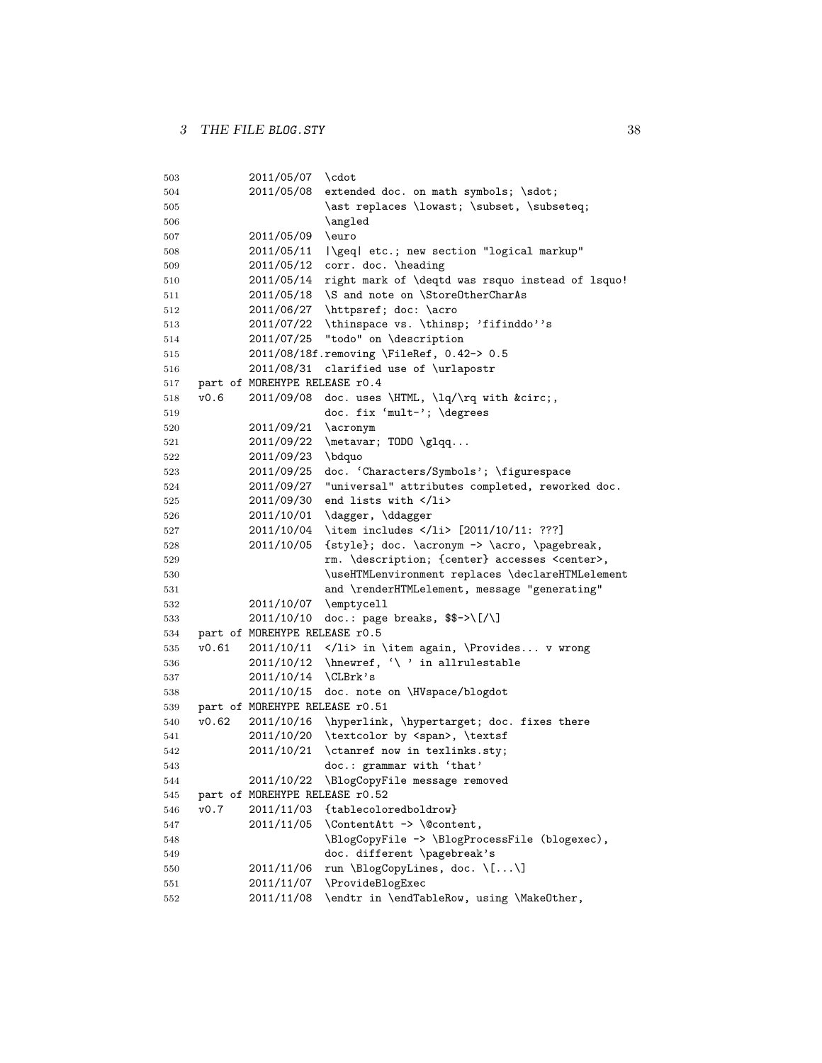```
503 2011/05/07 \cdot
504 2011/05/08 extended doc. on math symbols; \sdot;
505 \despti \ast replaces \lowast; \subset, \subseteq;
506 \angled
507 2011/05/09 \euro
508 2011/05/11 |\geq| etc.; new section "logical markup"
509 2011/05/12 corr. doc. \heading
510 2011/05/14 right mark of \deqtd was rsquo instead of lsquo!
511 2011/05/18 \S and note on \StoreOtherCharAs
512 2011/06/27 \httpsref; doc: \acro
513 2011/07/22 \thinspace vs. \thinsp; 'fifinddo''s
514 2011/07/25 "todo" on \description
515 2011/08/18f.removing \FileRef, 0.42-> 0.5
516 2011/08/31 clarified use of \urlapostr
517 part of MOREHYPE RELEASE r0.4
518 v0.6 2011/09/08 doc. uses \HTML, \lq/\rq with ˆ,
519 doc. fix 'mult-'; \degrees
520 2011/09/21 \acronym
521 2011/09/22 \metavar; TODO \glqq...
522 2011/09/23 \bdquo
523 2011/09/25 doc. 'Characters/Symbols'; \figurespace
524 2011/09/27 "universal" attributes completed, reworked doc.
525 2011/09/30 end lists with </li>
526 2011/10/01 \dagger, \ddagger
527 2011/10/04 \item includes </li> [2011/10/11: ???]
528 2011/10/05 {style}; doc. \acronym -> \acro, \pagebreak,
529 rm. \description; {center} accesses <center>,
530 \useHTMLenvironment replaces \declareHTMLelement
531 and \renderHTMLelement, message "generating"
532 2011/10/07 \emptycell
533 2011/10/10 doc.: page breaks, $$->\[/\]
534 part of MOREHYPE RELEASE r0.5
535 v0.61 2011/10/11 </li> in \item again, \Provides... v wrong
536 2011/10/12 \hnewref, '\ ' in allrulestable
537 2011/10/14 \CLBrk's
538 2011/10/15 doc. note on \HVspace/blogdot
539 part of MOREHYPE RELEASE r0.51
540 v0.62 2011/10/16 \hyperlink, \hypertarget; doc. fixes there
541 2011/10/20 \textcolor by <span>, \textsf
542 2011/10/21 \ctanref now in texlinks.sty;
543 doc.: grammar with 'that'
544 2011/10/22 \BlogCopyFile message removed
545 part of MOREHYPE RELEASE r0.52
546 v0.7 2011/11/03 {tablecoloredboldrow}
547 2011/11/05 \ContentAtt -> \@content,
548 \BlogCopyFile -> \BlogProcessFile (blogexec),
549 doc. different \pagebreak's
550 2011/11/06 run \BlogCopyLines, doc. \lceil \ldots \rceil551 2011/11/07 \ProvideBlogExec
552 2011/11/08 \endtr in \endTableRow, using \MakeOther,
```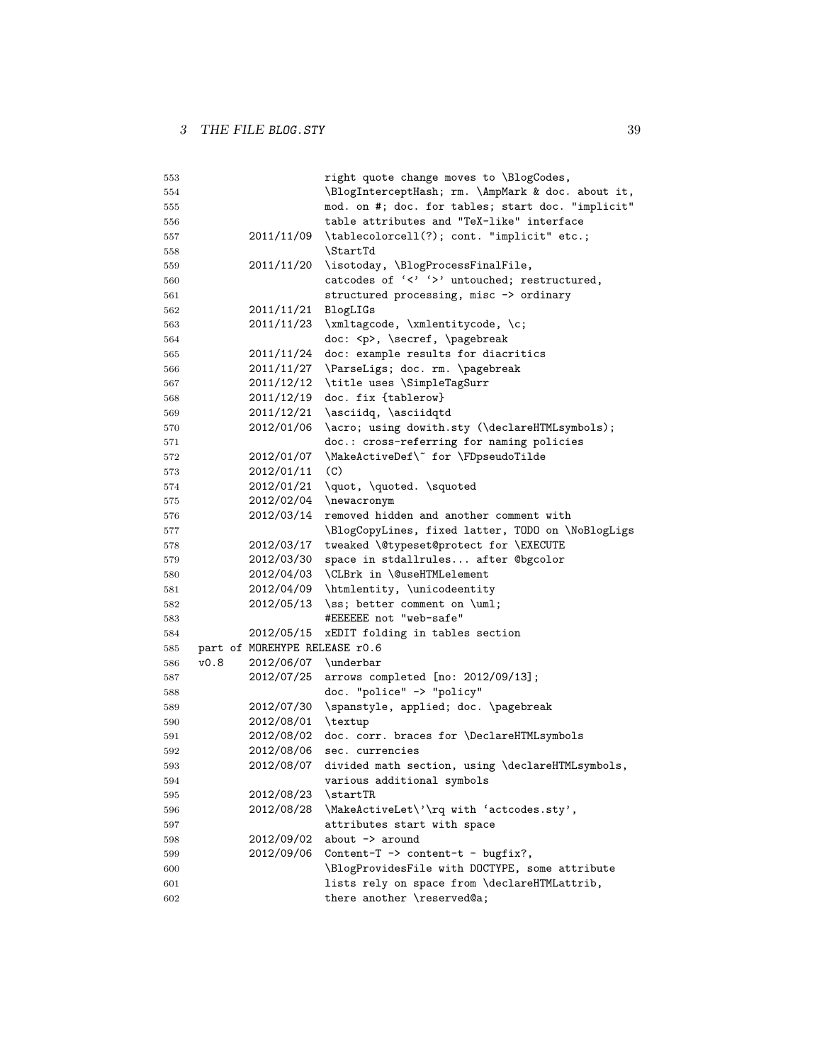| 553 |      |                               | right quote change moves to \BlogCodes,               |
|-----|------|-------------------------------|-------------------------------------------------------|
| 554 |      |                               | \BlogInterceptHash; rm. \AmpMark & doc. about it,     |
| 555 |      |                               | mod. on #; doc. for tables; start doc. "implicit"     |
| 556 |      |                               | table attributes and "TeX-like" interface             |
| 557 |      |                               | 2011/11/09 \tablecolorcell(?); cont. "implicit" etc.; |
| 558 |      |                               | <b>\StartTd</b>                                       |
| 559 |      | 2011/11/20                    | \isotoday, \BlogProcessFinalFile,                     |
| 560 |      |                               | catcodes of '<' '>' untouched; restructured,          |
| 561 |      |                               | structured processing, misc -> ordinary               |
| 562 |      | 2011/11/21                    | BlogLIGs                                              |
| 563 |      | 2011/11/23                    | \xmltagcode, \xmlentitycode, \c;                      |
| 564 |      |                               | doc: <p>, \secref, \pagebreak</p>                     |
| 565 |      |                               | 2011/11/24 doc: example results for diacritics        |
| 566 |      | 2011/11/27                    | \ParseLigs; doc. rm. \pagebreak                       |
| 567 |      | 2011/12/12                    | \title uses \SimpleTagSurr                            |
| 568 |      |                               | 2011/12/19 doc. fix {tablerow}                        |
| 569 |      | 2011/12/21                    | \asciidq, \asciidqtd                                  |
| 570 |      | 2012/01/06                    | \acro; using dowith.sty (\declareHTMLsymbols);        |
| 571 |      |                               | doc.: cross-referring for naming policies             |
| 572 |      | 2012/01/07                    | \MakeActiveDef\" for \FDpseudoTilde                   |
| 573 |      | 2012/01/11                    | (C)                                                   |
| 574 |      |                               | 2012/01/21 \quot, \quoted. \squoted                   |
| 575 |      |                               | 2012/02/04 \newacronym                                |
| 576 |      | 2012/03/14                    | removed hidden and another comment with               |
| 577 |      |                               | \BlogCopyLines, fixed latter, TODO on \NoBlogLigs     |
| 578 |      | 2012/03/17                    | tweaked \@typeset@protect for \EXECUTE                |
| 579 |      | 2012/03/30                    | space in stdallrules after @bgcolor                   |
| 580 |      | 2012/04/03                    | \CLBrk in \@useHTMLelement                            |
| 581 |      |                               | 2012/04/09 \htmlentity, \unicodeentity                |
| 582 |      |                               | $2012/05/13$ \ss; better comment on \uml;             |
| 583 |      |                               | #EEEEEE not "web-safe"                                |
| 584 |      | 2012/05/15                    | xEDIT folding in tables section                       |
| 585 |      | part of MOREHYPE RELEASE r0.6 |                                                       |
| 586 | v0.8 | 2012/06/07 \underbar          |                                                       |
| 587 |      | 2012/07/25                    | arrows completed [no: 2012/09/13];                    |
| 588 |      |                               | doc. "police" -> "policy"                             |
| 589 |      | 2012/07/30                    | \spanstyle, applied; doc. \pagebreak                  |
| 590 |      | 2012/08/01                    | \textup                                               |
| 591 |      | 2012/08/02                    | doc. corr. braces for \DeclareHTMLsymbols             |
| 592 |      | 2012/08/06                    | sec. currencies                                       |
| 593 |      | 2012/08/07                    | divided math section, using \declareHTMLsymbols,      |
| 594 |      |                               | various additional symbols                            |
| 595 |      | 2012/08/23                    | \startTR                                              |
| 596 |      | 2012/08/28                    | \MakeActiveLet\'\rq with 'actcodes.sty',              |
| 597 |      |                               | attributes start with space                           |
| 598 |      | 2012/09/02                    | about $\rightarrow$ around                            |
| 599 |      | 2012/09/06                    | Content-T $\rightarrow$ content-t - bugfix?,          |
| 600 |      |                               | \BlogProvidesFile with DOCTYPE, some attribute        |
| 601 |      |                               | lists rely on space from \declareHTMLattrib,          |
| 602 |      |                               | there another \reserved@a;                            |
|     |      |                               |                                                       |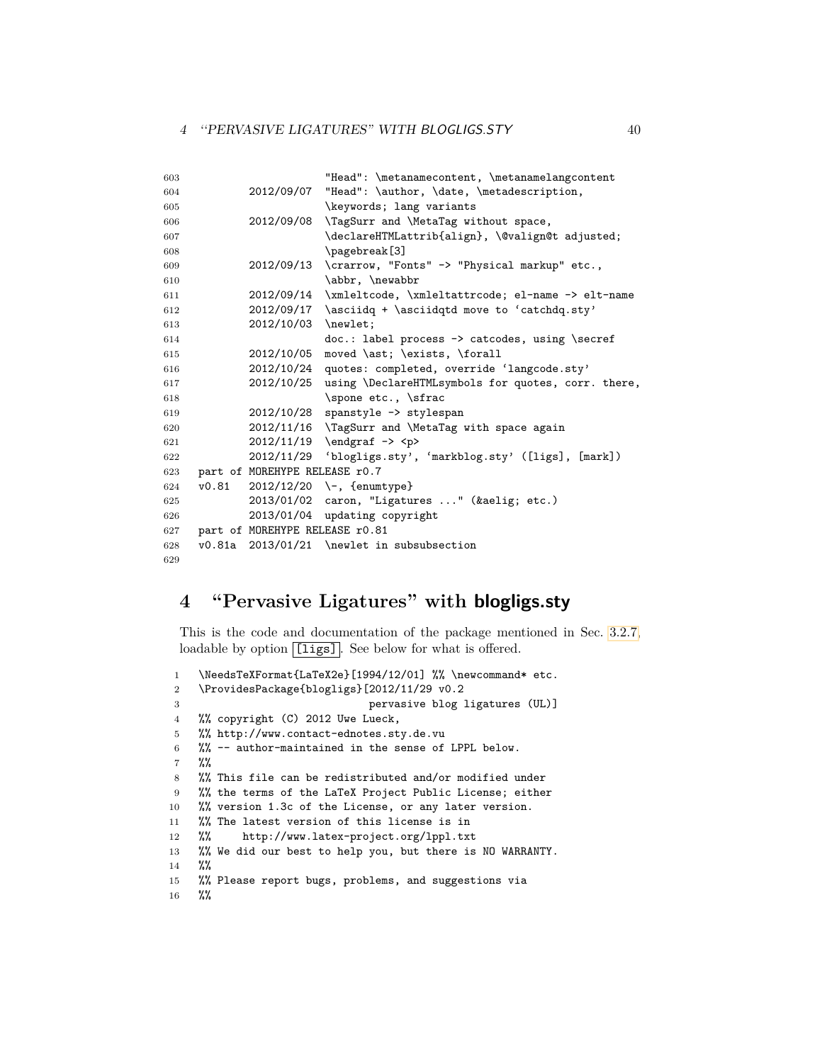| 603 |       |                                | "Head": \metanamecontent, \metanamelangcontent               |
|-----|-------|--------------------------------|--------------------------------------------------------------|
| 604 |       |                                | 2012/09/07 "Head": \author, \date, \metadescription,         |
| 605 |       |                                | \keywords; lang variants                                     |
| 606 |       |                                | 2012/09/08 \TagSurr and \MetaTag without space,              |
| 607 |       |                                | \declareHTMLattrib{align}, \@valign@t adjusted;              |
| 608 |       |                                | \pagebreak[3]                                                |
| 609 |       |                                | 2012/09/13 \crarrow, "Fonts" -> "Physical markup" etc.,      |
| 610 |       |                                | \abbr, \newabbr                                              |
| 611 |       |                                | 2012/09/14 \xmleltcode, \xmleltattrcode; el-name -> elt-name |
| 612 |       |                                | $2012/09/17$ \asciidq + \asciidqtd move to 'catchdq.sty'     |
| 613 |       | 2012/10/03 \newlet;            |                                                              |
| 614 |       |                                | $doc.:$ label process $\rightarrow$ catcodes, using \secref  |
| 615 |       | 2012/10/05                     | moved \ast; \exists, \forall                                 |
| 616 |       | 2012/10/24                     | quotes: completed, override 'langcode.sty'                   |
| 617 |       | 2012/10/25                     | using \DeclareHTMLsymbols for quotes, corr. there,           |
| 618 |       |                                | \spone etc., \sfrac                                          |
| 619 |       |                                | 2012/10/28 spanstyle -> stylespan                            |
| 620 |       |                                | 2012/11/16 \TagSurr and \MetaTag with space again            |
| 621 |       |                                | $2012/11/19$ \endgraf -> <p></p>                             |
| 622 |       | 2012/11/29                     | 'blogligs.sty', 'markblog.sty' ([ligs], [mark])              |
| 623 |       | part of MOREHYPE RELEASE r0.7  |                                                              |
| 624 | v0.81 |                                | $2012/12/20$ \-, {enumtype}                                  |
| 625 |       |                                | 2013/01/02 caron, "Ligatures " (æ etc.)                      |
| 626 |       | 2013/01/04                     | updating copyright                                           |
| 627 |       | part of MOREHYPE RELEASE r0.81 |                                                              |
| 628 |       |                                | v0.81a 2013/01/21 \newlet in subsubsection                   |
| 629 |       |                                |                                                              |

# <span id="page-39-0"></span>**4 "Pervasive Ligatures" with blogligs.sty**

This is the code and documentation of the package mentioned in Sec. [3.2.7,](#page-10-0) loadable by option [ligs]. See below for what is offered.

```
1 \NeedsTeXFormat{LaTeX2e}[1994/12/01] %% \newcommand* etc.
2 \ProvidesPackage{blogligs}[2012/11/29 v0.2
3 pervasive blog ligatures (UL)]
4 %% copyright (C) 2012 Uwe Lueck,
5 %% http://www.contact-ednotes.sty.de.vu
6 %% -- author-maintained in the sense of LPPL below.
7 %%
8 %% This file can be redistributed and/or modified under
9 %% the terms of the LaTeX Project Public License; either
10 %% version 1.3c of the License, or any later version.
11 %% The latest version of this license is in
12 %% http://www.latex-project.org/lppl.txt
13 %% We did our best to help you, but there is NO WARRANTY.
14 %%
15 %% Please report bugs, problems, and suggestions via
16 %%
```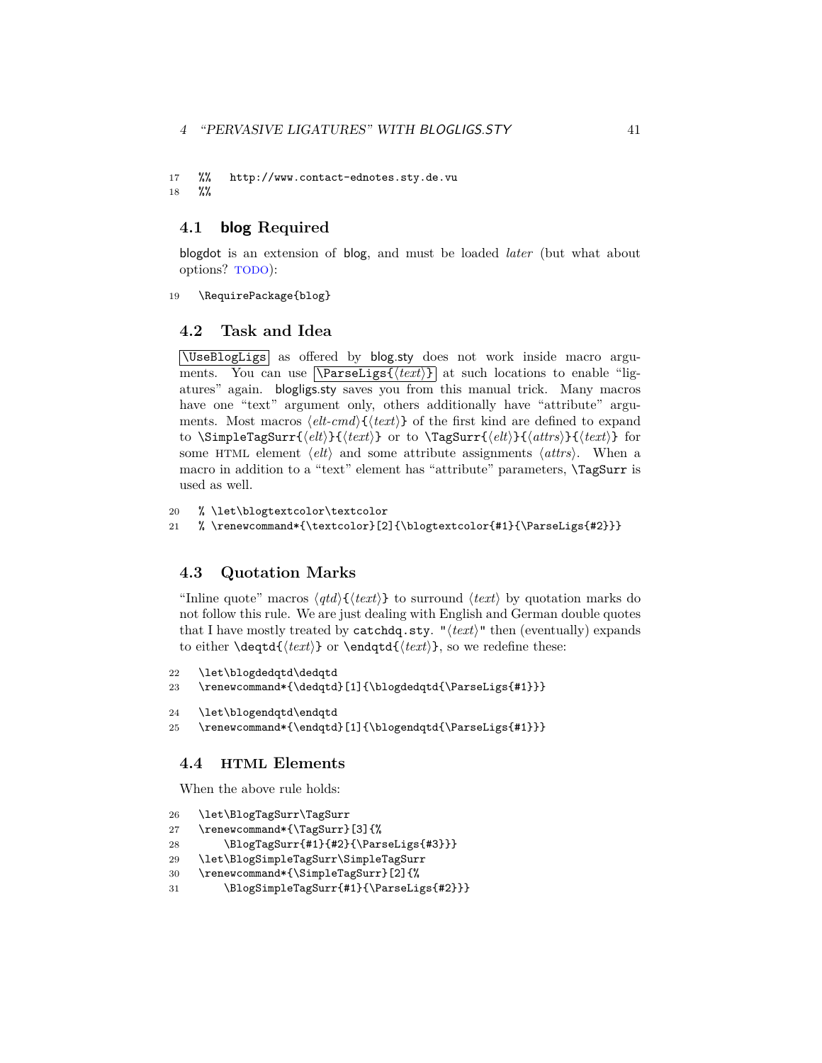### 4 "PERVASIVE LIGATURES" WITH BLOGLIGS.STY 41

17 %% http://www.contact-ednotes.sty.de.vu 18 %%

### <span id="page-40-0"></span>**4.1 blog Required**

blogdot is an extension of blog, and must be loaded *later* (but what about options? TODO):

19 \RequirePackage{blog}

### <span id="page-40-1"></span>**4.2 Task and Idea**

\UseBlogLigs as offered by blog.sty does not work inside macro arguments. You can use  $\text{Narseligs}\{\text{text}\}$  at such locations to enable "ligatures" again. blogligs.sty saves you from this manual trick. Many macros have one "text" argument only, others additionally have "attribute" arguments. Most macros  $\langle$ *elt-cmd* $\rangle$ { $\langle$ *text* $\rangle$ } of the first kind are defined to expand to \SimpleTagSurr{ $\{elt\}$ }{ $\{text\}$ } or to \TagSurr{ $\{elt\}$ }{ $\{attrs\}$  for some HTML element  $\langle e\mathbf{l} t \rangle$  and some attribute assignments  $\langle \mathbf{a} \mathbf{l} \mathbf{r} \mathbf{s} \rangle$ . When a macro in addition to a "text" element has "attribute" parameters, \TagSurr is used as well.

```
20 % \let\blogtextcolor\textcolor
```
21 % \renewcommand\*{\textcolor}[2]{\blogtextcolor{#1}{\ParseLigs{#2}}}

### <span id="page-40-2"></span>**4.3 Quotation Marks**

"Inline quote" macros  $\langle qtd \rangle$ { $\langle text \rangle$ } to surround  $\langle text \rangle$  by quotation marks do not follow this rule. We are just dealing with English and German double quotes that I have mostly treated by catchdq.sty. " $\langle text \rangle$ " then (eventually) expands to either  $\ded{ \text{\textit{text}} }$  or  $\end{label{text}}$ , so we redefine these:

```
22 \let\blogdedqtd\dedqtd
```

```
23 \renewcommand*{\dedqtd}[1]{\blogdedqtd{\ParseLigs{#1}}}
```

```
24 \let\blogendqtd\endqtd
```

```
25 \renewcommand*{\endqtd}[1]{\blogendqtd{\ParseLigs{#1}}}
```
### <span id="page-40-3"></span>**4.4 HTML Elements**

When the above rule holds:

```
26 \let\BlogTagSurr\TagSurr
```

```
27 \renewcommand*{\TagSurr}[3]{%
```

```
28 \BlogTagSurr{#1}{#2}{\ParseLigs{#3}}}
```

```
29 \let\BlogSimpleTagSurr\SimpleTagSurr
```

```
30 \renewcommand*{\SimpleTagSurr}[2]{%
```
31 \BlogSimpleTagSurr{#1}{\ParseLigs{#2}}}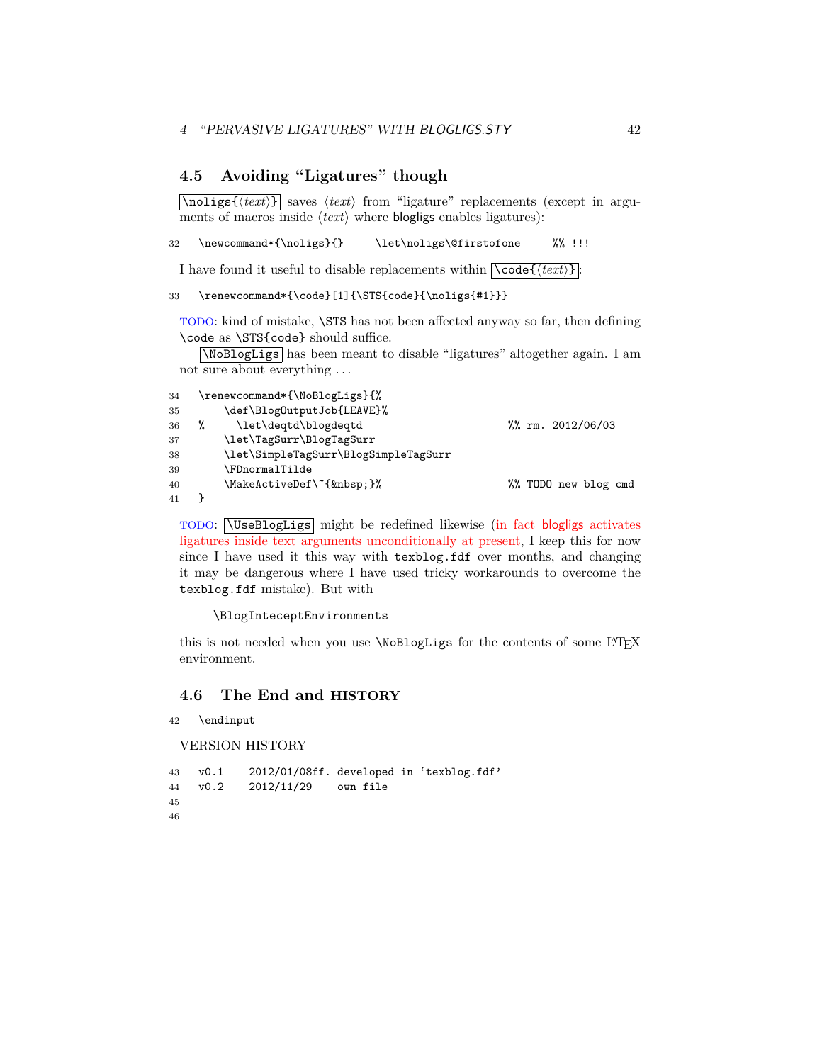### <span id="page-41-0"></span>**4.5 Avoiding "Ligatures" though**

 $\overline{\hat{\theta}}$  saves  $\langle \text{text}\rangle$  from "ligature" replacements (except in arguments of macros inside  $\langle text \rangle$  where **blogligs** enables ligatures):

32 \newcommand\*{\noligs}{} \let\noligs\@firstofone %% !!!

I have found it useful to disable replacements within  $\csc(\t text)$ :

### 33 \renewcommand\*{\code}[1]{\STS{code}{\noligs{#1}}}

TODO: kind of mistake, \STS has not been affected anyway so far, then defining \code as \STS{code} should suffice.

\NoBlogLigs has been meant to disable "ligatures" altogether again. I am not sure about everything . . .

```
34 \renewcommand*{\NoBlogLigs}{%
35 \def\BlogOutputJob{LEAVE}%
36 % \let\deqtd\blogdeqtd %% rm. 2012/06/03
37 \let\TagSurr\BlogTagSurr
38 \let\SimpleTagSurr\BlogSimpleTagSurr
39 \FDnormalTilde
40 \MakeActiveDef\~{ }% \% TODO new blog cmd
41 }
```
TODO: \UseBlogLigs might be redefined likewise (in fact blogligs activates ligatures inside text arguments unconditionally at present, I keep this for now since I have used it this way with texblog.fdf over months, and changing it may be dangerous where I have used tricky workarounds to overcome the texblog.fdf mistake). But with

#### \BlogInteceptEnvironments

this is not needed when you use **\NoBlogLigs** for the contents of some LAT<sub>E</sub>X environment.

### <span id="page-41-1"></span>**4.6 The End and HISTORY**

42 \endinput

VERSION HISTORY

43 v0.1 2012/01/08ff. developed in 'texblog.fdf' 44 v0.2 2012/11/29 own file 45 46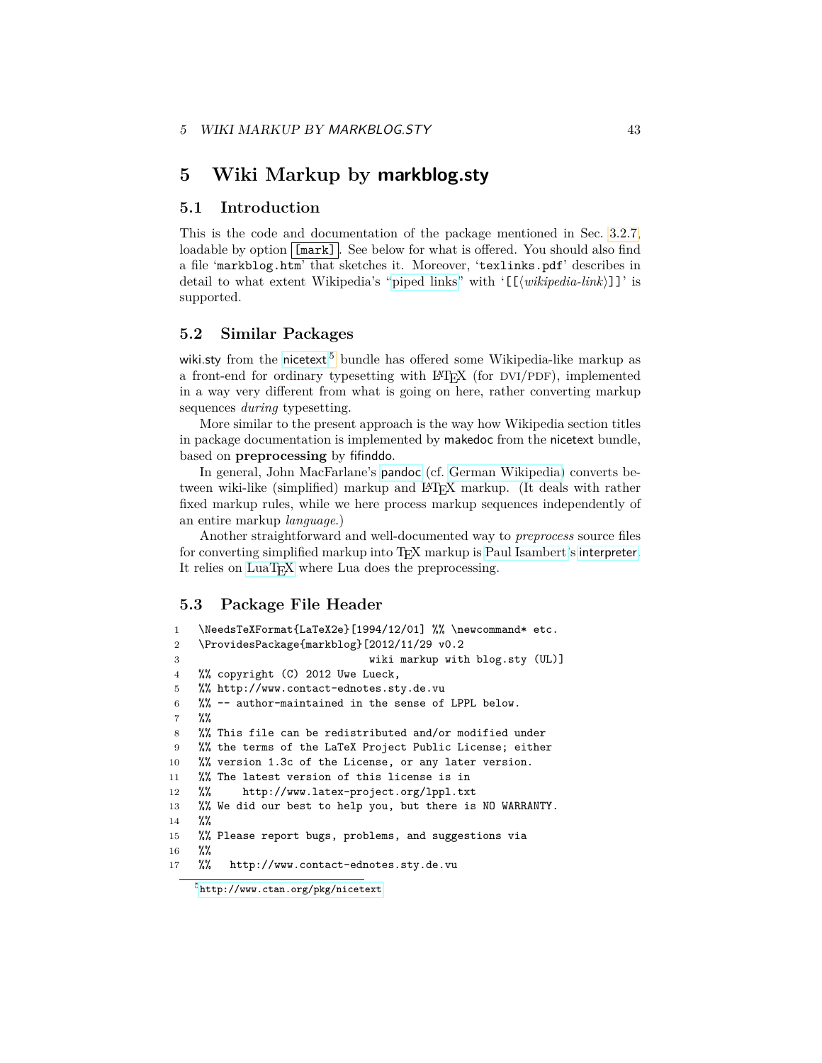# <span id="page-42-0"></span>**5 Wiki Markup by markblog.sty**

### <span id="page-42-1"></span>**5.1 Introduction**

This is the code and documentation of the package mentioned in Sec. [3.2.7,](#page-10-0) loadable by option  $\boxed{\lceil \text{mark} \rceil}$ . See below for what is offered. You should also find a file 'markblog.htm' that sketches it. Moreover, 'texlinks.pdf' describes in detail to what extent Wikipedia's ["piped links"](http://en.wikipedia.org/wiki/Help:Links#Piped_links) with  $\lceil(\text{wikipedia-link})\rceil$ " is supported.

### <span id="page-42-2"></span>**5.2 Similar Packages**

wiki.sty from the [nicetext](http://www.ctan.org/pkg/nicetext)<sup>[5](#page-42-4)</sup> bundle has offered some Wikipedia-like markup as a front-end for ordinary typesetting with LATEX (for DVI/PDF), implemented in a way very different from what is going on here, rather converting markup sequences *during* typesetting.

More similar to the present approach is the way how Wikipedia section titles in package documentation is implemented by makedoc from the nicetext bundle, based on **preprocessing** by fifinddo.

In general, John MacFarlane's [pandoc](http://johnmacfarlane.net/pandoc) (cf. [German Wikipedia\)](http://de.wikipedia.org/wiki/pandoc) converts between wiki-like (simplified) markup and LAT<sub>E</sub>X markup. (It deals with rather fixed markup rules, while we here process markup sequences independently of an entire markup *language*.)

Another straightforward and well-documented way to *preprocess* source files for converting simplified markup into TFX markup is [Paul Isambert'](http://www.ctan.org/author/isambert)s [interpreter](http://www.ctan.org/pkg/interpreter). It relies on [LuaTEX](http://en.wikipedia.org/wiki/LuaTeX) where Lua does the preprocessing.

### <span id="page-42-3"></span>**5.3 Package File Header**

```
1 \NeedsTeXFormat{LaTeX2e}[1994/12/01] %% \newcommand* etc.
2 \ProvidesPackage{markblog}[2012/11/29 v0.2
3 wiki markup with blog.sty (UL)]
4 %% copyright (C) 2012 Uwe Lueck,
5 %% http://www.contact-ednotes.sty.de.vu
6 %% -- author-maintained in the sense of LPPL below.
7 %%
8 %% This file can be redistributed and/or modified under
9 %% the terms of the LaTeX Project Public License; either
10 %% version 1.3c of the License, or any later version.
11 %% The latest version of this license is in
12 %% http://www.latex-project.org/lppl.txt
13 %% We did our best to help you, but there is NO WARRANTY.
14 %%
15 %% Please report bugs, problems, and suggestions via
16 %%
17 %% http://www.contact-ednotes.sty.de.vu
```
<span id="page-42-4"></span><sup>5</sup><http://www.ctan.org/pkg/nicetext>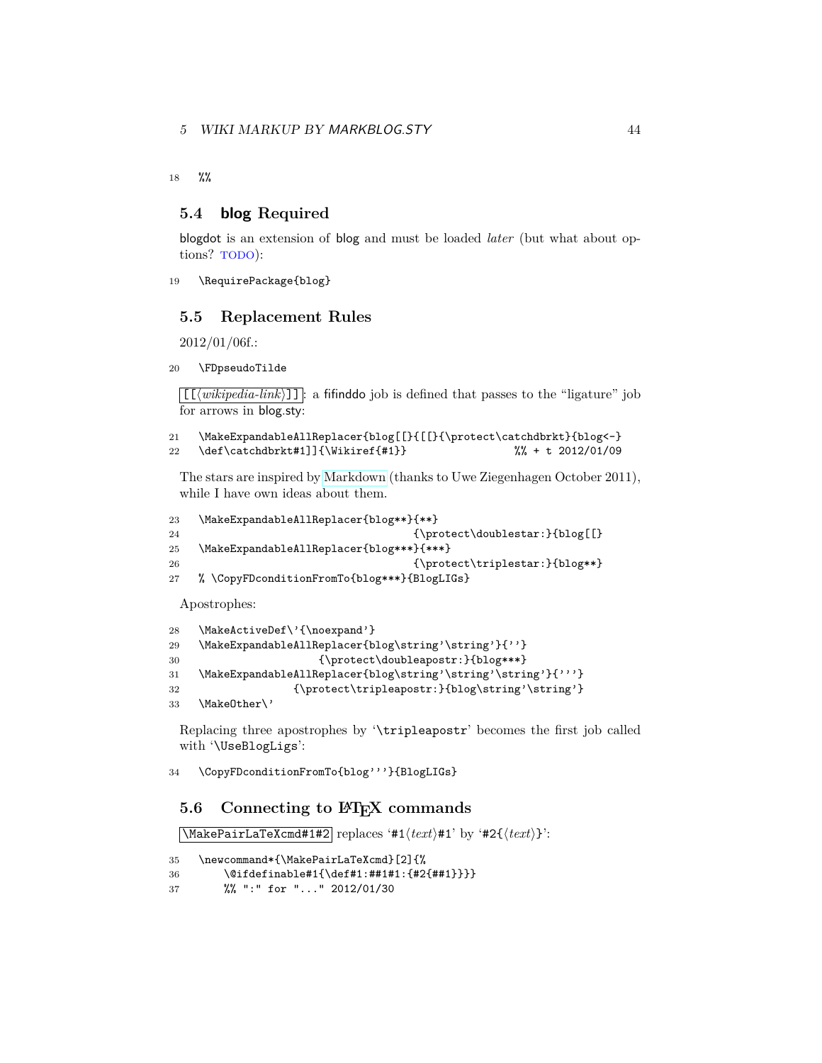### 5 WIKI MARKUP BY MARKBLOG.STY 44

18 %%

### <span id="page-43-0"></span>**5.4 blog Required**

blogdot is an extension of blog and must be loaded *later* (but what about options? TODO):

```
19 \RequirePackage{blog}
```
### <span id="page-43-1"></span>**5.5 Replacement Rules**

2012/01/06f.:

```
20 \FDpseudoTilde
```
 $[\Gamma(\text{wikipedia-link})]$ : a fifinddo job is defined that passes to the "ligature" job for arrows in blog.sty:

```
21 \MakeExpandableAllReplacer{blog[[}{[[}{\protect\catchdbrkt}{blog<-}
22 \def\catchdbrkt#1]]{\Wikiref{#1}} %% + t 2012/01/09
```
The stars are inspired by [Markdown](http://en.wikipedia.org/wiki/Markdown) (thanks to Uwe Ziegenhagen October 2011), while I have own ideas about them.

```
23 \MakeExpandableAllReplacer{blog**}{**}
24 {\provect\doublestar:}{blog[[]}25 \MakeExpandableAllReplacer{blog***}{***}
26 {\protect\triplestar:}{blog**}27 % \CopyFDconditionFromTo{blog***}{BlogLIGs}
```
Apostrophes:

```
28 \MakeActiveDef\'{\noexpand'}
29 \MakeExpandableAllReplacer{blog\string'\string'}{''}
30 {\protect\doubleapostr:}{blog***}
31 \MakeExpandableAllReplacer{blog\string'\string'\string'}{'''}
32 {\protect\tripleapostr:}{blog\string'\string'}
33 \MakeOther\'
```
Replacing three apostrophes by '\tripleapostr' becomes the first job called with '\UseBlogLigs':

34 \CopyFDconditionFromTo{blog'''}{BlogLIGs}

### <span id="page-43-2"></span>**5.6** Connecting to  $\text{PTF}X$  commands

 $\sqrt{\text{MakePairLaTeXcmd#1#2}}$  replaces '#1 $\langle text \rangle$ #1' by '#2{ $\langle text \rangle$ }':

```
35 \newcommand*{\MakePairLaTeXcmd}[2]{%
```

```
36 \@ifdefinable#1{\def#1:##1#1:{#2{##1}}}}
```

```
37 %% ":" for "..." 2012/01/30
```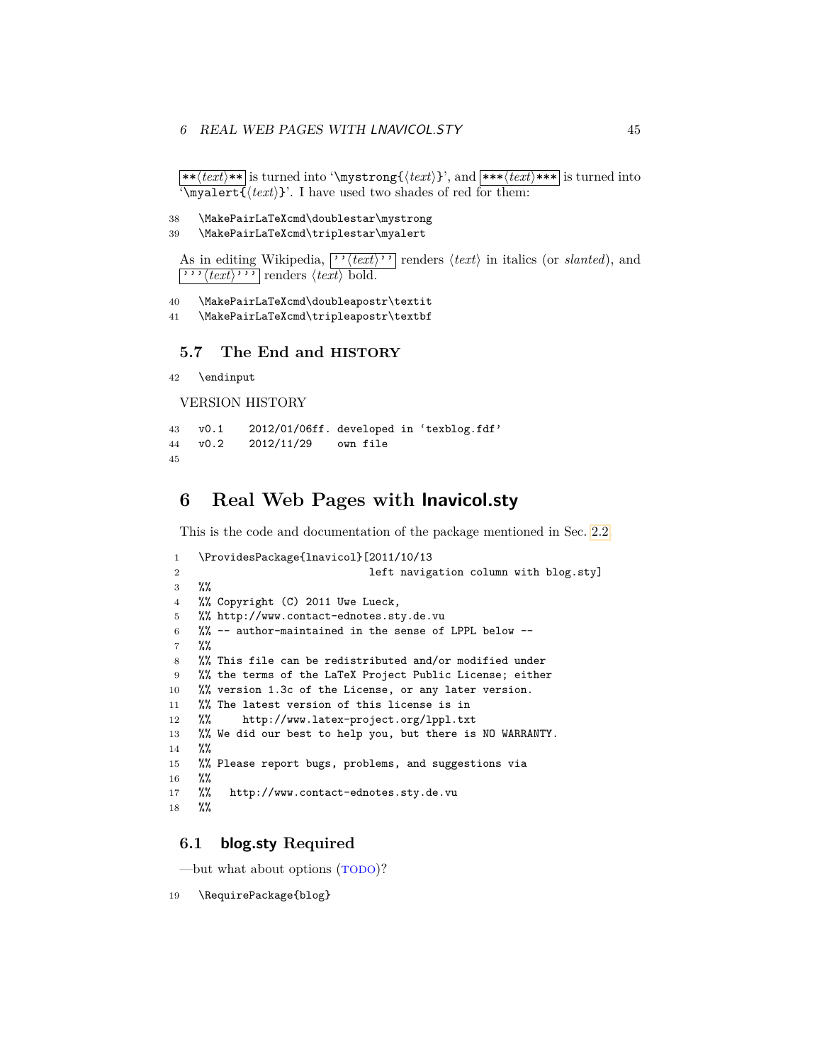### 6 REAL WEB PAGES WITH LNAVICOL.STY 45

 $*{\text{Text}}$  is turned into '\mystrong{ $\text{Text}}$ }', and  $*{\text{Text}}$ \*\*\* is turned into  $\m{\text{text}}$ : I have used two shades of red for them:

```
38 \MakePairLaTeXcmd\doublestar\mystrong
```

```
39 \MakePairLaTeXcmd\triplestar\myalert
```
As in editing Wikipedia,  $\lceil \frac{\cdot}{\text{text}} \rceil$  renders  $\langle \text{text} \rangle$  in italics (or *slanted*), and  $\boxed{\cdots \langle \text{text}\rangle \cdots}$  renders  $\langle \text{text}\rangle$  bold.

40 \MakePairLaTeXcmd\doubleapostr\textit

41 \MakePairLaTeXcmd\tripleapostr\textbf

### <span id="page-44-0"></span>**5.7 The End and HISTORY**

```
42 \endinput
```
VERSION HISTORY

```
43 v0.1 2012/01/06ff. developed in 'texblog.fdf'
44 v0.2 2012/11/29 own file
45
```
# <span id="page-44-1"></span>**6 Real Web Pages with lnavicol.sty**

This is the code and documentation of the package mentioned in Sec. [2.2.](#page-4-0)

```
1 \ProvidesPackage{lnavicol}[2011/10/13
2 left navigation column with blog.sty]
3 %%
4 %% Copyright (C) 2011 Uwe Lueck,
5 %% http://www.contact-ednotes.sty.de.vu
6 %% -- author-maintained in the sense of LPPL below --
7 %%
8 %% This file can be redistributed and/or modified under
9 %% the terms of the LaTeX Project Public License; either
10 %% version 1.3c of the License, or any later version.
11 %% The latest version of this license is in
12 %% http://www.latex-project.org/lppl.txt
13 %% We did our best to help you, but there is NO WARRANTY.
14 %%
15 %% Please report bugs, problems, and suggestions via
16 %%
17 %% http://www.contact-ednotes.sty.de.vu
18 %%
```
### <span id="page-44-2"></span>**6.1 blog.sty Required**

—but what about options (TODO)?

19 \RequirePackage{blog}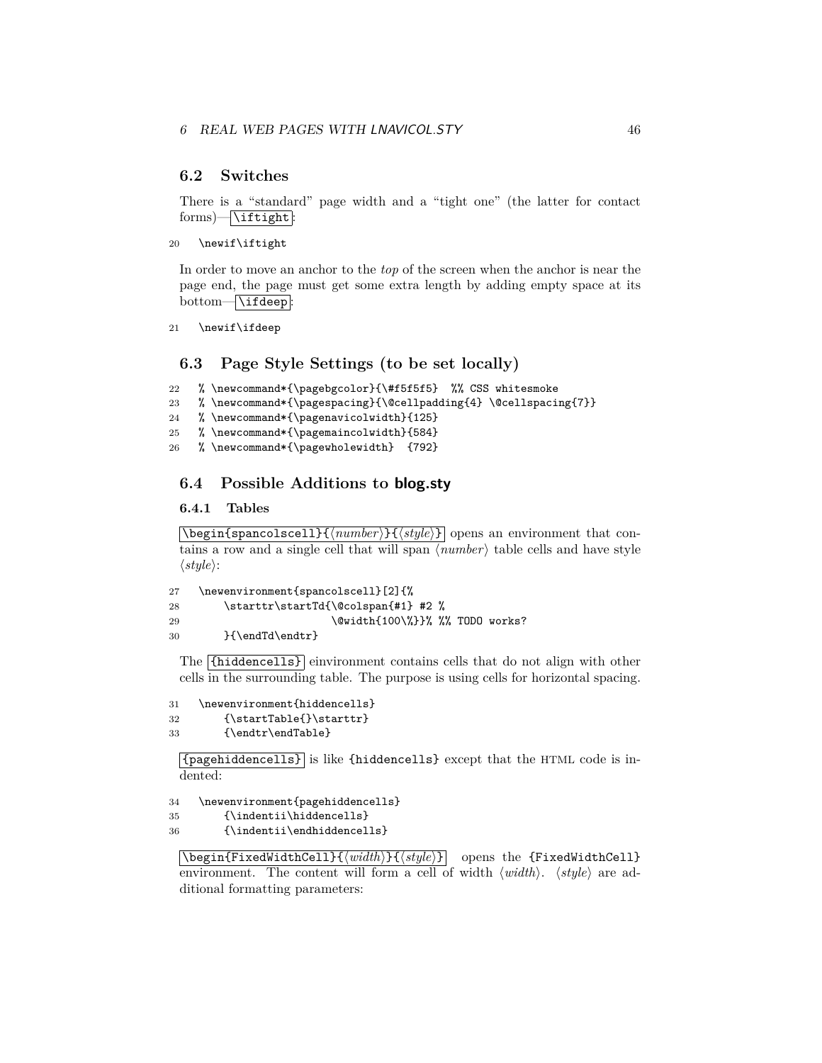### <span id="page-45-0"></span>**6.2 Switches**

There is a "standard" page width and a "tight one" (the latter for contact  $forms)$   $\overline{\tilde{\text{int}}}:$ 

```
20 \newif\iftight
```
In order to move an anchor to the *top* of the screen when the anchor is near the page end, the page must get some extra length by adding empty space at its bottom-\ifdeep:

21 \newif\ifdeep

### <span id="page-45-1"></span>**6.3 Page Style Settings (to be set locally)**

```
22 % \newcommand*{\pagebgcolor}{\#f5f5f5} %% CSS whitesmoke
```

```
23 % \newcommand*{\pagespacing}{\@cellpadding{4} \@cellspacing{7}}
```

```
24 % \newcommand*{\pagenavicolwidth}{125}
```

```
25 % \newcommand*{\pagemaincolwidth}{584}
```
26 % \newcommand\*{\pagewholewidth} {792}

### <span id="page-45-2"></span>**6.4 Possible Additions to blog.sty**

### <span id="page-45-3"></span>**6.4.1 Tables**

 $\{\begin{matrix} \delta_1 \end{matrix} \in \Lambda \}$  opens an environment that contains a row and a single cell that will span  $\langle number \rangle$  table cells and have style  $\langle style\rangle:$ 

```
27 \newenvironment{spancolscell}[2]{%
28 \starttr\startTd{\@colspan{#1} #2 %
29 \@width{100\%}}% %% TODO works?
30 }{\endTd\endtr}
```
The {hiddencells} einvironment contains cells that do not align with other cells in the surrounding table. The purpose is using cells for horizontal spacing.

```
31 \newenvironment{hiddencells}
```

```
32 {\startTable{}\starttr}
```

```
33 {\endtr\endTable}
```
{pagehiddencells} is like {hiddencells} except that the HTML code is indented:

```
34 \newenvironment{pagehiddencells}
```

```
35 {\indentii\hiddencells}
```

```
36 {\indentii\endhiddencells}
```
\begin{FixedWidthCell}{\*width*}}{\style}} opens the {FixedWidthCell} environment. The content will form a cell of width  $\langle width \rangle$ .  $\langle style \rangle$  are additional formatting parameters: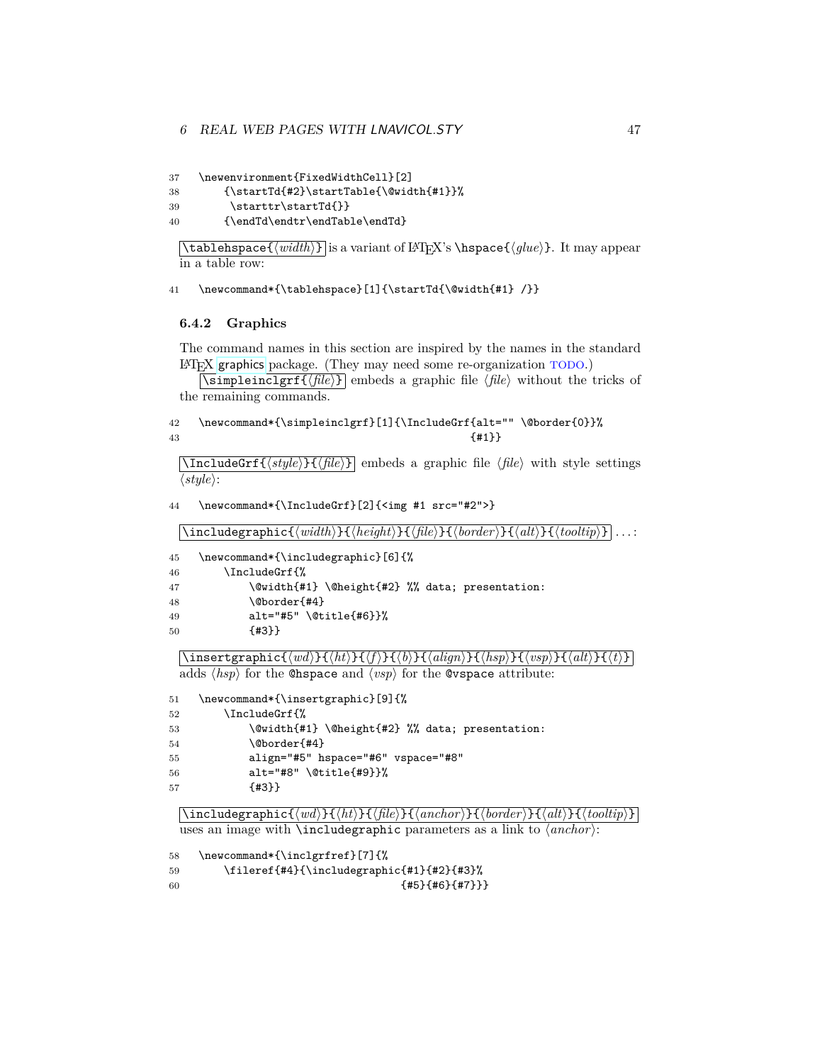### 6 REAL WEB PAGES WITH LNAVICOL.STY 47

```
37 \newenvironment{FixedWidthCell}[2]
```

```
38 {\startTd{#2}\startTable{\@width{#1}}%
```

```
39 \starttr\startTd{}}
```

```
40 {\endTd\endtr\endTable\endTd}
```
 $\{\tanh\}$  is a variant of LAT<sub>EX</sub>'s  $\hbar$  s appear  $\{glue\}$ . It may appear in a table row:

41 \newcommand\*{\tablehspace}[1]{\startTd{\@width{#1} /}}

### <span id="page-46-0"></span>**6.4.2 Graphics**

The command names in this section are inspired by the names in the standard LATEX [graphics](http://www.ctan.org/pkg/graphics) package. (They may need some re-organization TODO.)

 $\overline{\sigma}$ impleinclgrf $\{\overline{file}\}\$  embeds a graphic file  $\overline{file}\$  without the tricks of the remaining commands.

42 \newcommand\*{\simpleinclgrf}[1]{\IncludeGrf{alt="" \@border{0}}% 43  $\{ \pm 1 \}$ 

 $\text{NincludeGrf}\{\langle style\rangle\} \in \langle file \rangle\}$  embeds a graphic file  $\langle file \rangle$  with style settings  $\langle style\rangle:$ 

44 \newcommand\*{\IncludeGrf}[2]{<img #1 src="#2">}

 $\left[\frac{\hat{h}_t}{h_t}\right]$ { $\left\langle \frac{width}{\hat{h}_t}\right\rangle$ }{ $\left\langle \frac{file}{h}_t\right\rangle$ }{ $\left\langle \frac{border}{h}_t\right\rangle$ }{ $\left\langle \frac{totalip}{h}_t\right\rangle$ } . . . :

| 45 | \newcommand*{\includegraphic}[6]{%              |
|----|-------------------------------------------------|
| 46 | \IncludeGrf{%                                   |
| 47 | \@width{#1} \@height{#2} %% data; presentation: |
| 48 | \@border{#4}                                    |
| 49 | $alt="#5" \left\{ 0 \right\}$                   |
| 50 | ${43}$                                          |
|    |                                                 |

 $\langle \text{insertgraphic}\{\langle wd\rangle\}\{\langle ht\rangle\}\{\langle ft\rangle\}\{\langle b\rangle\}\{\langle align\rangle\}\{\langle hsp\rangle\}\{\langle vsp\rangle\}\{\langle alt\rangle\}\{\langle t\rangle\}$ adds  $\langle hsp \rangle$  for the **@hspace** and  $\langle vsp \rangle$  for the **@vspace** attribute:

```
51 \newcommand*{\insertgraphic}[9]{%
```

```
52 \IncludeGrf{%
```

```
53 \@width{#1} \@height{#2} %% data; presentation:
54 \@border{#4}
55 align="#5" hspace="#6" vspace="#8"
56 alt="#8" \@title{#9}}%
57 {#3}}
```
 $\langle$ includegraphic{ $\langle wd\rangle$ }{ $\langle ht\rangle$ }{ $\langle file\rangle$ }{ $\langle anchor\rangle$ }{ $\langle botir\rangle$ }}

uses an image with **\includegraphic** parameters as a link to  $\langle anchor\rangle$ :

```
58 \newcommand*{\inclgrfref}[7]{%
59 \fileref{#4}{\includegraphic{#1}{#2}{#3}%
60 {\#5}{\#6}{\{#7\}}
```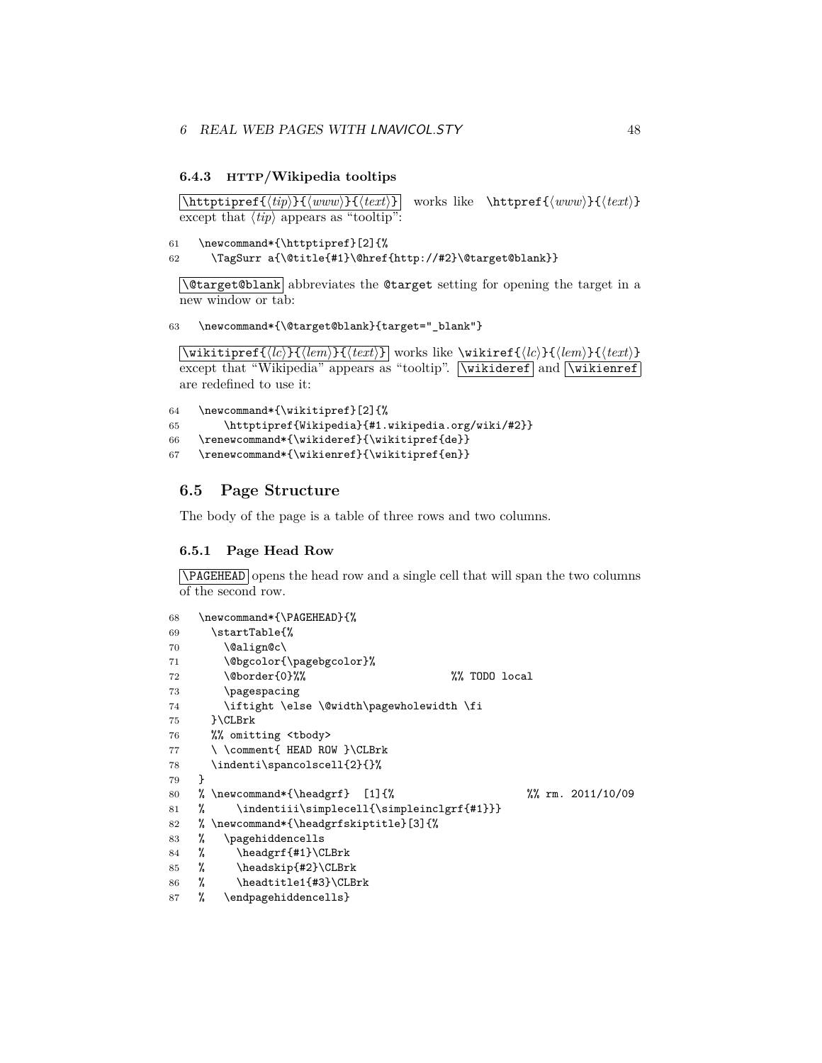#### <span id="page-47-0"></span>**6.4.3 HTTP/Wikipedia tooltips**

 $\{\hbox{\texttt{}\#}\$  works like  $\hbox{\texttt{}\www}\}$  works like  $\hbox{\texttt{}\www}\}$ except that  $\langle tip \rangle$  appears as "tooltip":

```
61 \newcommand*{\httptipref}[2]{%
```
62 \TagSurr a{\@title{#1}\@href{http://#2}\@target@blank}}

\Ctarget@blank abbreviates the Ctarget setting for opening the target in a new window or tab:

63 \newcommand\*{\@target@blank}{target="\_blank"}

 $\overline{\text{Vert}(leh)}$   $\overline{\text{Vert}(leh)}$  works like \wikiref{\lc}}{\lem}}{\text}} except that "Wikipedia" appears as "tooltip". Nuikideref and Nuikienref are redefined to use it:

```
64 \newcommand*{\wikitipref}[2]{%
65 \httptipref{Wikipedia}{#1.wikipedia.org/wiki/#2}}
66 \renewcommand*{\wikideref}{\wikitipref{de}}
67 \renewcommand*{\wikienref}{\wikitipref{en}}
```
### <span id="page-47-1"></span>**6.5 Page Structure**

The body of the page is a table of three rows and two columns.

#### <span id="page-47-2"></span>**6.5.1 Page Head Row**

\PAGEHEAD opens the head row and a single cell that will span the two columns of the second row.

```
68 \newcommand*{\PAGEHEAD}{%
69 \startTable{%
70 \@align@c\
71 \@bgcolor{\pagebgcolor}%
72 \@border{0}%% %% TODO local
73 \pagespacing
74 \iftight \else \@width\pagewholewidth \fi
75 }\CLBrk
76 %% omitting <tbody>
77 \ \comment{ HEAD ROW }\CLBrk
78 \indenti\spancolscell{2}{}%
79 }
80 % \newcommand*{\headgrf} [1]{% %% rm. 2011/10/09
81 % \indentiii\simplecell{\simpleinclgrf{#1}}}
82 % \newcommand*{\headgrfskiptitle}[3]{%
83 % \pagehiddencells
84 % \headgrf{#1}\CLBrk
85 % \headskip{#2}\CLBrk
86 % \headtitle1{#3}\CLBrk
87 % \endpagehiddencells}
```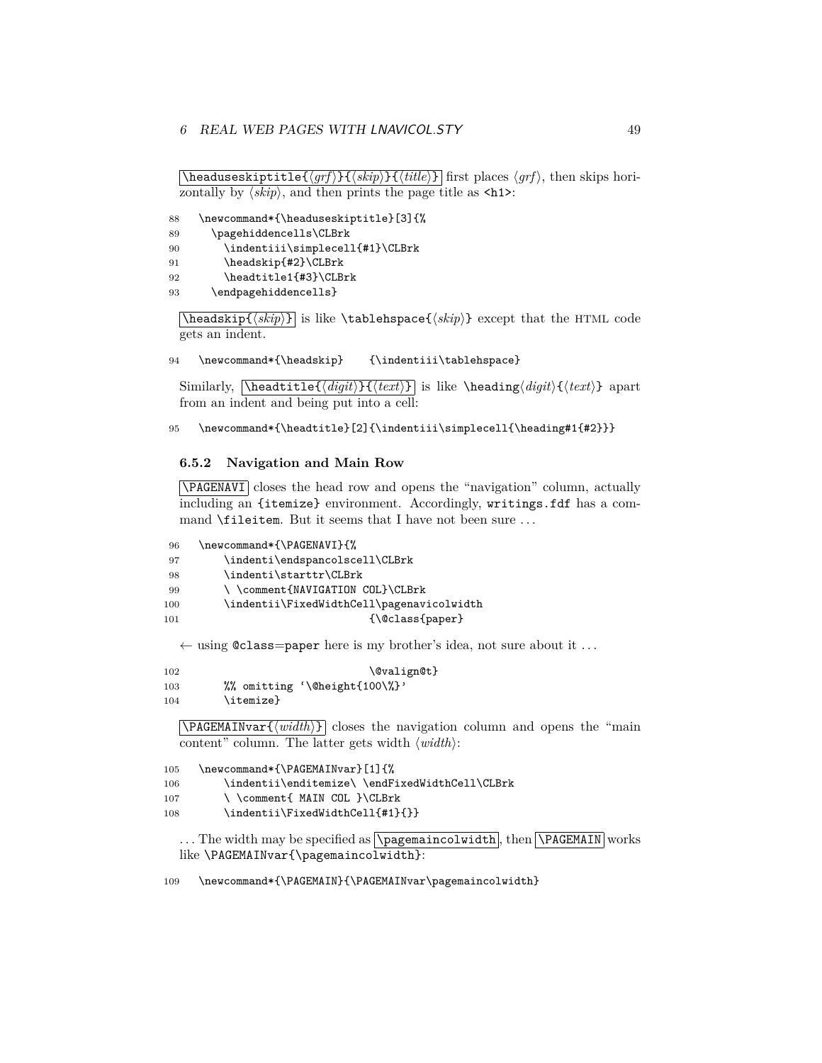$\hbox{\tt \char'4}$  headuseskiptitle $\{\langle \mathit{grf} \rangle\}$  $\{\langle \mathit{tilte} \rangle\}$  first places  $\langle \mathit{grf} \rangle$ , then skips horizontally by  $\langle skip \rangle$ , and then prints the page title as  $\langle hh2 \rangle$ :

```
88 \newcommand*{\headuseskiptitle}[3]{%
```

```
89 \pagehiddencells\CLBrk
```

```
90 \indentiii\simplecell{#1}\CLBrk
```

```
91 \headskip{#2}\CLBrk
```

```
92 \headtitle1{#3}\CLBrk
```

```
93 \endpagehiddencells}
```
 $\{\langle skip \rangle\}$  is like  $\{\delta kip\}$  except that the HTML code gets an indent.

```
94 \newcommand*{\headskip} {\indentiii\tablehspace}
```
Similarly,  $\heasuredangle{digit}\$  $\text{}$  is like  $\headarrow$  heading $\langle digit \rangle$ { $\langle text \rangle$ } apart from an indent and being put into a cell:

```
95 \newcommand*{\headtitle}[2]{\indentiii\simplecell{\heading#1{#2}}}
```
### <span id="page-48-0"></span>**6.5.2 Navigation and Main Row**

\PAGENAVI closes the head row and opens the "navigation" column, actually including an {itemize} environment. Accordingly, writings.fdf has a command **\fileitem**. But it seems that I have not been sure ...

```
96 \newcommand*{\PAGENAVI}{%
97 \indenti\endspancolscell\CLBrk
98 \indenti\starttr\CLBrk
99 \\comment{NAVIGATION COL}\CLBrk
100 \indentii\FixedWidthCell\pagenavicolwidth
101 {\text{Q}\text{class}\text{paper}}
```
 $\leftarrow$  using @class=paper here is my brother's idea, not sure about it ...

```
102 \\QvalignQt}
103 %% omitting '\@height{100\%}'
104 \itemize}
```
 $\overline{\text{PAGEMAINvar} \{ \text{width} \} }$  closes the navigation column and opens the "main content" column. The latter gets width  $\langle width \rangle$ :

```
105 \newcommand*{\PAGEMAINvar}[1]{%
106 \indentii\enditemize\ \endFixedWidthCell\CLBrk
107 \ \comment{ MAIN COL }\CLBrk
108 \indentii\FixedWidthCell{#1}{}}
```
 $\dots$  The width may be specified as  $\Delta$  ragemaincolwidth, then  $\Delta$ MAGEMAIN works like \PAGEMAINvar{\pagemaincolwidth}:

109 \newcommand\*{\PAGEMAIN}{\PAGEMAINvar\pagemaincolwidth}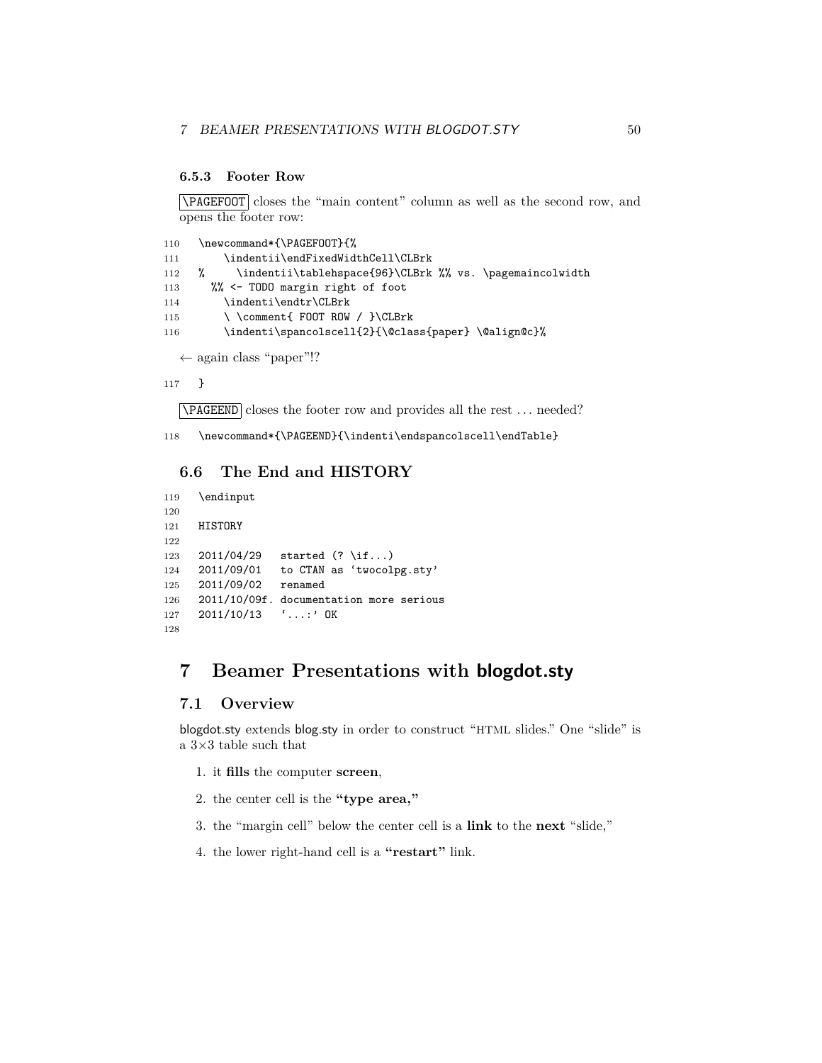#### <span id="page-49-0"></span>**6.5.3 Footer Row**

\PAGEFOOT closes the "main content" column as well as the second row, and opens the footer row:

```
110 \newcommand*{\PAGEFOOT}{%
111 \indentii\endFixedWidthCell\CLBrk
112 % \indentii\tablehspace{96}\CLBrk %% vs. \pagemaincolwidth
113 %% <- TODO margin right of foot
114 \indenti\endtr\CLBrk
115 \ \comment{ FOOT ROW / }\CLBrk
116 \indenti\spancolscell{2}{\@class{paper} \@align@c}%
```
← again class "paper"!?

117 }

\PAGEEND closes the footer row and provides all the rest . . . needed?

118 \newcommand\*{\PAGEEND}{\indenti\endspancolscell\endTable}

### <span id="page-49-1"></span>**6.6 The End and HISTORY**

```
119 \endinput
120
121 HISTORY
122
123 2011/04/29 started (? \if...)
124 2011/09/01 to CTAN as 'twocolpg.sty'
125 2011/09/02 renamed
126 2011/10/09f. documentation more serious
127 2011/10/13 '...:' OK
128
```
# <span id="page-49-2"></span>**7 Beamer Presentations with blogdot.sty**

### <span id="page-49-3"></span>**7.1 Overview**

blogdot.sty extends blog.sty in order to construct "HTML slides." One "slide" is a $3{\times}3$  table such that

- 1. it **fills** the computer **screen**,
- 2. the center cell is the **"type area,"**
- 3. the "margin cell" below the center cell is a **link** to the **next** "slide,"
- 4. the lower right-hand cell is a **"restart"** link.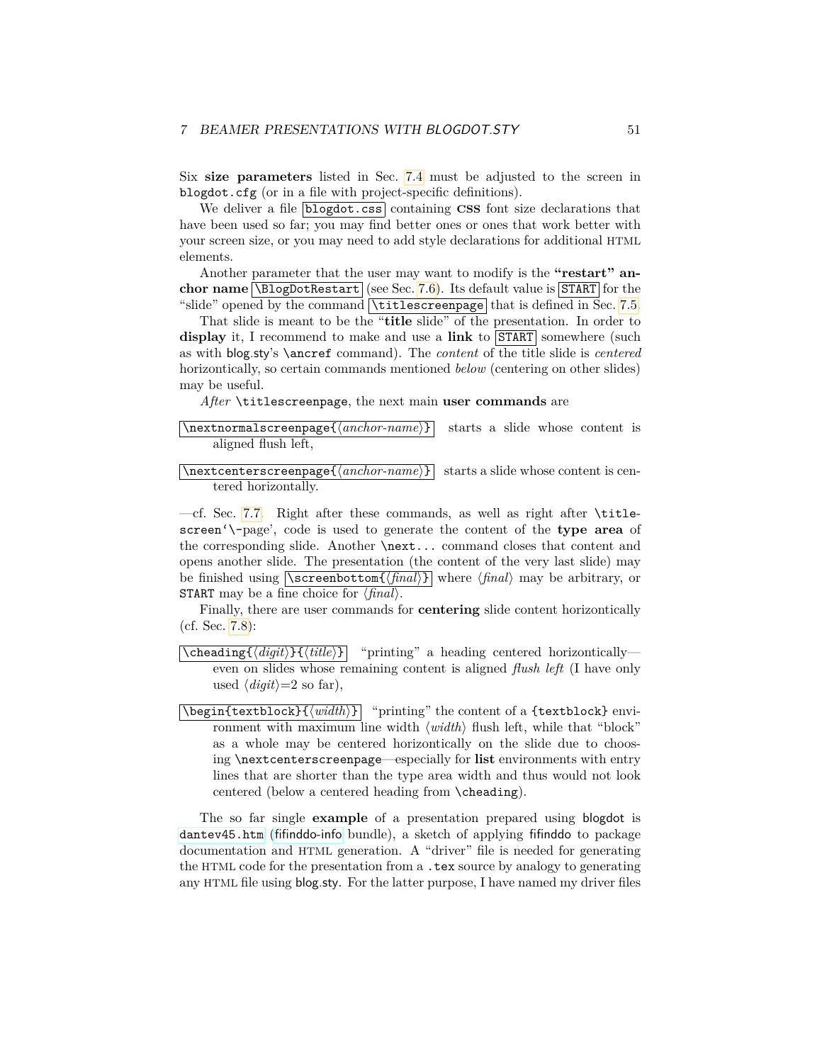Six **size parameters** listed in Sec. [7.4](#page-52-2) must be adjusted to the screen in blogdot.cfg (or in a file with project-specific definitions).

We deliver a file **blogdot.css** containing **CSS** font size declarations that have been used so far; you may find better ones or ones that work better with your screen size, or you may need to add style declarations for additional HTML elements.

Another parameter that the user may want to modify is the **"restart" anchor name \BlogDotRestart** (see Sec. [7.6\)](#page-54-0). Its default value is **START** for the "slide" opened by the command  $\tau$ titlescreenpage that is defined in Sec. [7.5.](#page-53-0)

That slide is meant to be the "**title** slide" of the presentation. In order to display it, I recommend to make and use a link to  $START$  somewhere (such as with blog.sty's \ancref command). The *content* of the title slide is *centered* horizontically, so certain commands mentioned *below* (centering on other slides) may be useful.

*After* \titlescreenpage, the next main **user commands** are

$$
\texttt{normalscreenpage}{\texttt{anchor-name}}
$$
 starts a slide whose content is aligned flush left,

 $\Lambda$  is contenters creenpage  $\{\langle anchor\text{-}name\rangle\}$  starts a slide whose content is centered horizontally.

—cf. Sec. [7.7.](#page-55-0) Right after these commands, as well as right after \titlescreen'\-page', code is used to generate the content of the **type area** of the corresponding slide. Another \next... command closes that content and opens another slide. The presentation (the content of the very last slide) may be finished using  $\text{Screenbottom}\{\{final\}\}\$  where  $\{final\}$  may be arbitrary, or **START** may be a fine choice for  $\langle \text{final} \rangle$ .

Finally, there are user commands for **centering** slide content horizontically (cf. Sec. [7.8\)](#page-55-1):

- $\{\langle \text{digital}\rangle\}$  "printing" a heading centered horizontically even on slides whose remaining content is aligned *flush left* (I have only used  $\langle$ *digit* $\rangle$ =2 so far),
- $\begin{bmatrix} \n\text{begin} \n\text{textblock} \n\end{bmatrix}$  "printing" the content of a {textblock} environment with maximum line width  $\langle width \rangle$  flush left, while that "block" as a whole may be centered horizontically on the slide due to choosing \nextcenterscreenpage—especially for **list** environments with entry lines that are shorter than the type area width and thus would not look centered (below a centered heading from \cheading).

The so far single **example** of a presentation prepared using blogdot is [dantev45.htm](http://mirror.ctan.org/info/fifinddo-info/dantev45.htm) ([fifinddo-info](http://www.ctan.org/pkg/fifinddo-info) bundle), a sketch of applying fifinddo to package documentation and HTML generation. A "driver" file is needed for generating the HTML code for the presentation from a .tex source by analogy to generating any HTML file using blog.sty. For the latter purpose, I have named my driver files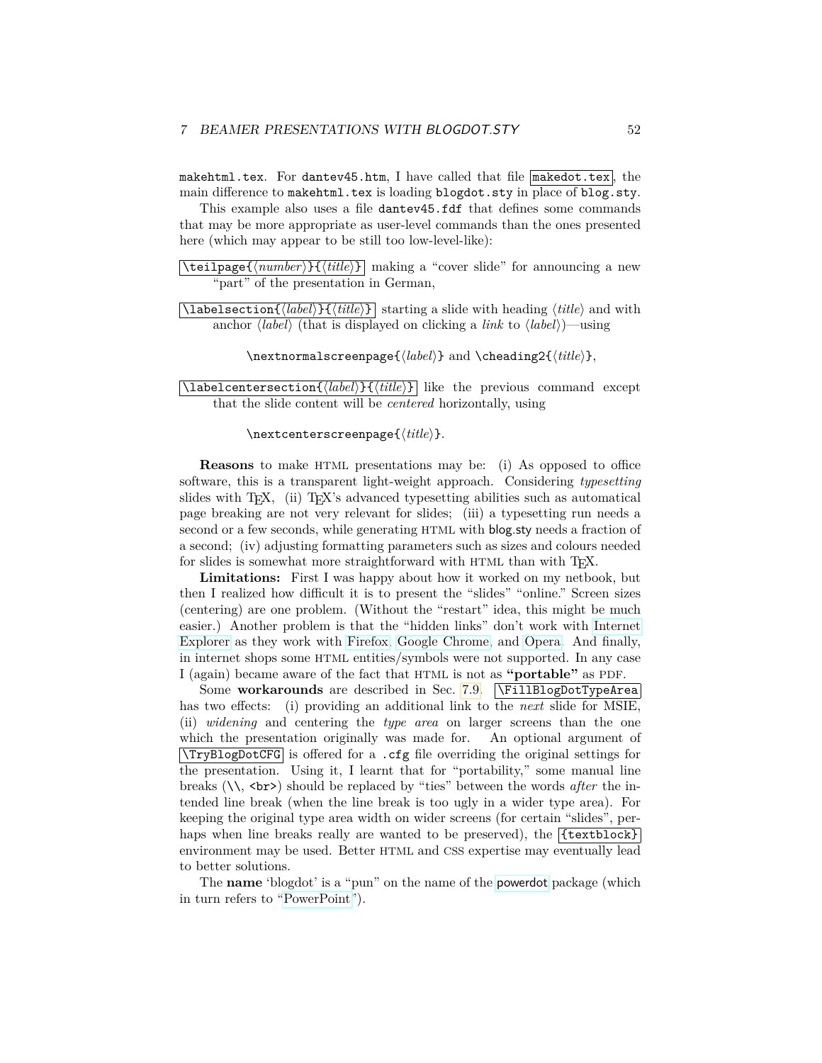makehtml.tex. For dantev45.htm, I have called that file  $\lceil$  makedot.tex  $\rceil$ , the main difference to makehtml.tex is loading blogdot.sty in place of blog.sty.

This example also uses a file danter 45.fdf that defines some commands that may be more appropriate as user-level commands than the ones presented here (which may appear to be still too low-level-like):

 $\{\text{tet1page} \{\text{number}\} \}, \text{title}\}$  making a "cover slide" for announcing a new "part" of the presentation in German,

 $\langle$ **labelsection**{ $\langle label \rangle$ }  $\{ \langle title \rangle \}$  starting a slide with heading  $\langle title \rangle$  and with anchor  $\langle label \rangle$  (that is displayed on clicking a *link* to  $\langle label \rangle$ )—using

\nextnormalscreenpage{ $\langle label \rangle$ } and \cheading2{ $\langle title \rangle$ },

 $\lceil$ **labelcentersection**{ $\langle label \rangle$ }  $\{\langle title \rangle\}$  like the previous command except that the slide content will be *centered* horizontally, using

\nextcenterscreenpage{ $\langle title \rangle$ *}*.

**Reasons** to make HTML presentations may be: (i) As opposed to office software, this is a transparent light-weight approach. Considering *typesetting* slides with T<sub>E</sub>X, (ii) T<sub>E</sub>X's advanced typesetting abilities such as automatical page breaking are not very relevant for slides; (iii) a typesetting run needs a second or a few seconds, while generating HTML with blog.sty needs a fraction of a second; (iv) adjusting formatting parameters such as sizes and colours needed for slides is somewhat more straightforward with HTML than with T<sub>F</sub>X.

**Limitations:** First I was happy about how it worked on my netbook, but then I realized how difficult it is to present the "slides" "online." Screen sizes (centering) are one problem. (Without the "restart" idea, this might be much easier.) Another problem is that the "hidden links" don't work with [Internet](http://en.wikipedia.org/wiki/Internet Explorer) [Explorer](http://en.wikipedia.org/wiki/Internet Explorer) as they work with [Firefox,](http://en.wikipedia.org/wiki/Firefox) [Google Chrome,](http://en.wikipedia.org/wiki/Google Chrome) and [Opera.](http://en.wikipedia.org/wiki/Opera (web browser)) And finally, in internet shops some HTML entities/symbols were not supported. In any case I (again) became aware of the fact that HTML is not as **"portable"** as PDF.

Some **workarounds** are described in Sec. [7.9.](#page-56-0) **\FillBlogDotTypeArea** has two effects: (i) providing an additional link to the *next* slide for MSIE, (ii) *widening* and centering the *type area* on larger screens than the one which the presentation originally was made for. An optional argument of  $\text{TryBlogDot}CFG$  is offered for a .cfg file overriding the original settings for the presentation. Using it, I learnt that for "portability," some manual line breaks (\\, <br>) should be replaced by "ties" between the words *after* the intended line break (when the line break is too ugly in a wider type area). For keeping the original type area width on wider screens (for certain "slides", perhaps when line breaks really are wanted to be preserved), the  $\{ \{\text{textblock}\}\}$ environment may be used. Better HTML and CSS expertise may eventually lead to better solutions.

The **name** 'blogdot' is a "pun" on the name of the [powerdot](http://www.ctan.org/pkg/powerdot) package (which in turn refers to ["PowerPoint"](http://en.wikipedia.org/wiki/PowerPoint)).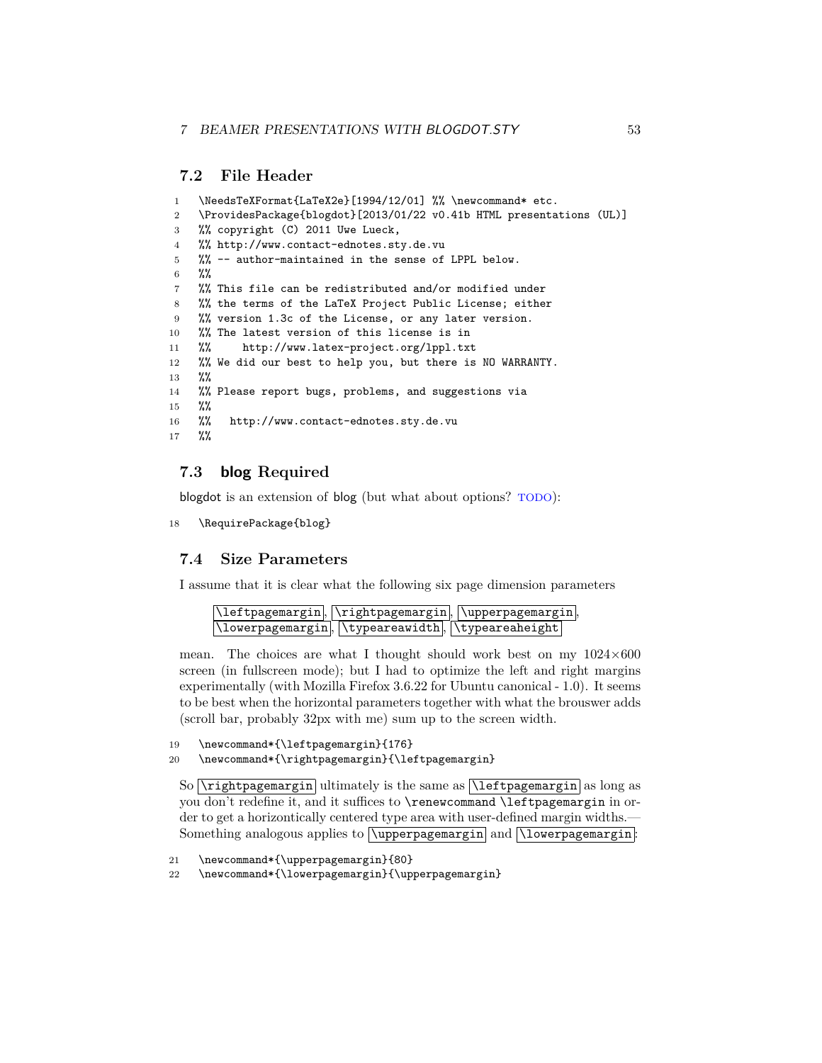### <span id="page-52-0"></span>**7.2 File Header**

```
1 \NeedsTeXFormat{LaTeX2e}[1994/12/01] %% \newcommand* etc.
2 \ProvidesPackage{blogdot}[2013/01/22 v0.41b HTML presentations (UL)]
3 %% copyright (C) 2011 Uwe Lueck,
4 %% http://www.contact-ednotes.sty.de.vu
5 %% -- author-maintained in the sense of LPPL below.
6 %%
7 %% This file can be redistributed and/or modified under
8 %% the terms of the LaTeX Project Public License; either
9 %% version 1.3c of the License, or any later version.
10 %% The latest version of this license is in
11 %% http://www.latex-project.org/lppl.txt
12 %% We did our best to help you, but there is NO WARRANTY.
13 %%
14 %% Please report bugs, problems, and suggestions via
15 %%
16 %% http://www.contact-ednotes.sty.de.vu
17 %%
```
### <span id="page-52-1"></span>**7.3 blog Required**

blogdot is an extension of blog (but what about options? TODO):

```
18 \RequirePackage{blog}
```
### <span id="page-52-2"></span>**7.4 Size Parameters**

I assume that it is clear what the following six page dimension parameters

|                                                                               | \leftpagemargin, \rightpagemargin, \upperpagemargin, |
|-------------------------------------------------------------------------------|------------------------------------------------------|
| $\Upsilon$ lowerpagemargin, $\Upsilon$ ypeareawidth, $\Upsilon$ ypeareaheight |                                                      |

mean. The choices are what I thought should work best on my  $1024\times600$ screen (in fullscreen mode); but I had to optimize the left and right margins experimentally (with Mozilla Firefox 3.6.22 for Ubuntu canonical - 1.0). It seems to be best when the horizontal parameters together with what the brouswer adds (scroll bar, probably 32px with me) sum up to the screen width.

```
19 \newcommand*{\leftpagemargin}{176}
```

```
20 \newcommand*{\rightpagemargin}{\leftpagemargin}
```
So  $\rightarrow$  So  $\rightarrow$  same as  $\left\{ \right\}$  as long as you don't redefine it, and it suffices to \renewcommand \leftpagemargin in order to get a horizontically centered type area with user-defined margin widths.— Something analogous applies to **\upperpagemargin** and **\lowerpagemargin**:

```
21 \newcommand*{\upperpagemargin}{80}
```

```
22 \newcommand*{\lowerpagemargin}{\upperpagemargin}
```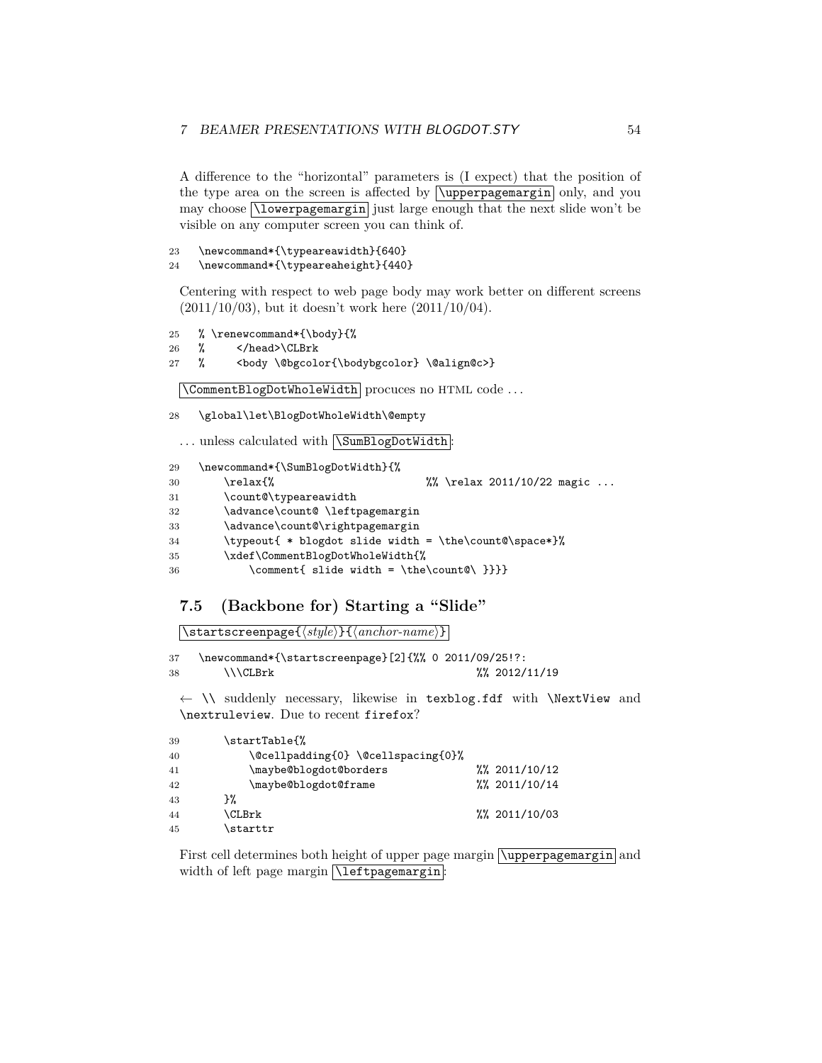A difference to the "horizontal" parameters is (I expect) that the position of the type area on the screen is affected by  $\sqrt{\text{upper}}$  pagemargin only, and you may choose  $\Lambda$  is a separated in just large enough that the next slide won't be visible on any computer screen you can think of.

```
23 \newcommand*{\typeareawidth}{640}
```
24 \newcommand\*{\typeareaheight}{440}

Centering with respect to web page body may work better on different screens (2011/10/03), but it doesn't work here (2011/10/04).

```
25 % \renewcommand*{\body}{%
```

```
26 % </head>\CLBrk
```

```
27 % <body \@bgcolor{\bodybgcolor} \@align@c>}
```
\CommentBlogDotWholeWidth procuces no HTML code . . .

28 \global\let\BlogDotWholeWidth\@empty

... unless calculated with **\SumBlogDotWidth**:

```
29 \newcommand*{\SumBlogDotWidth}{%
30 \relax{% %% \relax 2011/10/22 magic ...
31 \count@\typeareawidth
32 \advance\count@ \leftpagemargin
33 \advance\count@\rightpagemargin
34 \typeout{ * blogdot slide width = \the\count@\space*}%
35 \xdef\CommentBlogDotWholeWidth{%
36 \comment{ slide width = \the\count@\ }}}}
```
# <span id="page-53-0"></span>**7.5 (Backbone for) Starting a "Slide"**

\startscreenpage{\style\}{\anchor-name\}

37 \newcommand\*{\startscreenpage}[2]{%% 0 2011/09/25!?: 38 \\\CLBrk %% 2012/11/19

← \\ suddenly necessary, likewise in texblog.fdf with \NextView and \nextruleview. Due to recent firefox?

| 39 | \startTable{%                      |                       |  |
|----|------------------------------------|-----------------------|--|
| 40 | \@cellpadding{0} \@cellspacing{0}% |                       |  |
| 41 | \maybe@blogdot@borders             | $\frac{2011}{10}$ /12 |  |
| 42 | \maybe@blogdot@frame               | $\frac{2011}{10}$ /14 |  |
| 43 | ን%                                 |                       |  |
| 44 | \CLBrk                             | $\frac{2011}{10}$ /03 |  |
| 45 | \starttr                           |                       |  |
|    |                                    |                       |  |

First cell determines both height of upper page margin  $\varphi$  and  $\varphi$ width of left page margin *\leftpagemargin*: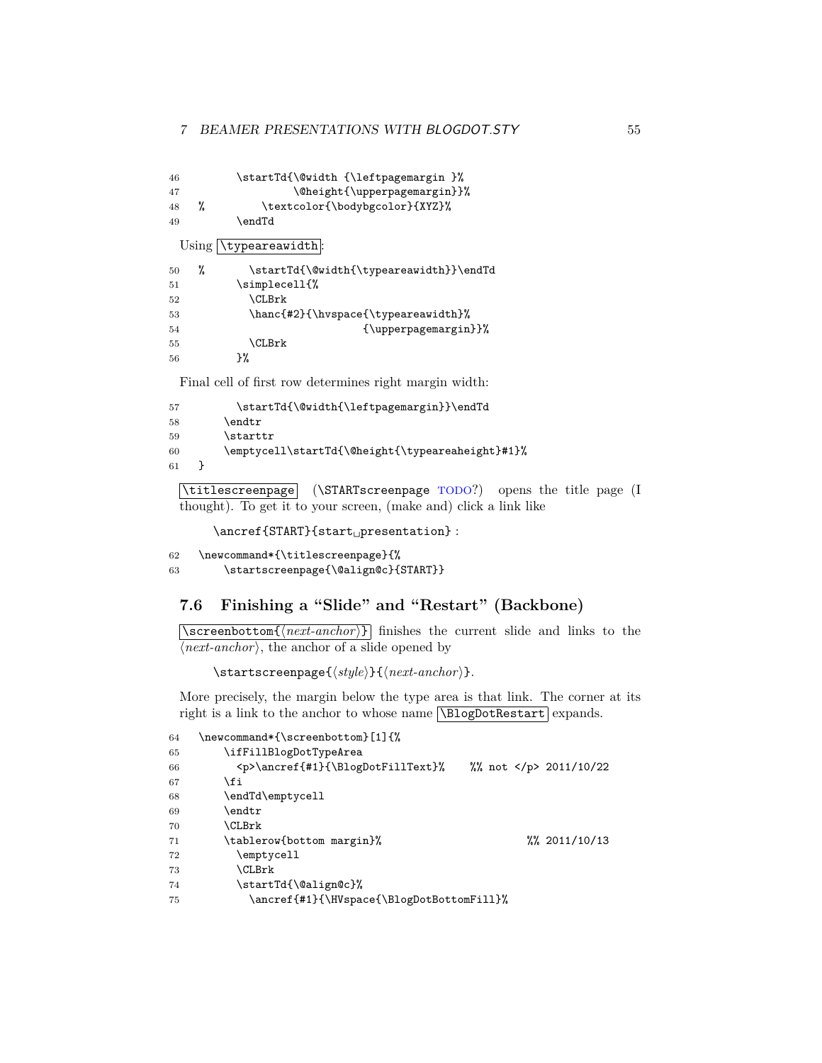```
46 \startTd{\@width {\leftpagemargin }%
47 \Cheight{\upperpagemargin}}%
48 % \textcolor{\bodybgcolor}{XYZ}%
49 \endTd
 Using \typeareawidth
50 % \startTd{\@width{\typeareawidth}}\endTd
51 \simplecell{%
52 \CLBrk
53 \hanc{#2}{\hvspace{\typeareawidth}%
54 {\uparrow\{\text{supperpagemargin}\}\55 \CLBrk
56 }%
```
Final cell of first row determines right margin width:

```
57 \startTd{\@width{\leftpagemargin}}\endTd
58 \endtr
59 \starttr
60 \emptycell\startTd{\@height{\typeareaheight}#1}%
61 }
```
\titlescreenpage (\STARTscreenpage TODO?) opens the title page (I thought). To get it to your screen, (make and) click a link like

```
\ancref{START}{start␣presentation} :
```

```
62 \newcommand*{\titlescreenpage}{%
63 \startscreenpage{\@align@c}{START}}
```
# <span id="page-54-0"></span>**7.6 Finishing a "Slide" and "Restart" (Backbone)**

 $\sqrt{\text{screenbottom}\{\langle next\text{-}anchor\rangle\}}$  finishes the current slide and links to the  $\langle next-anchor \rangle$ , the anchor of a slide opened by

\startscreenpage{ $\langle style\rangle$ }{ $\langle next-anchor\rangle$ }.

More precisely, the margin below the type area is that link. The corner at its right is a link to the anchor to whose name  $\Delta$ BlogDotRestart expands.

```
64 \newcommand*{\screenbottom}[1]{%
65 \ifFillBlogDotTypeArea
66 <p>\ancref{#1}{\BlogDotFillText}% %% not </p> 2011/10/22
67 \fi
68 \endTd\emptycell
69 \endtr
70 \CLBrk
71 \tablerow{bottom margin}% %% 2011/10/13
72 \emptycell
73 \CLBrk
74 \startTd{\@align@c}%
75 \ancref{#1}{\HVspace{\BlogDotBottomFill}%
```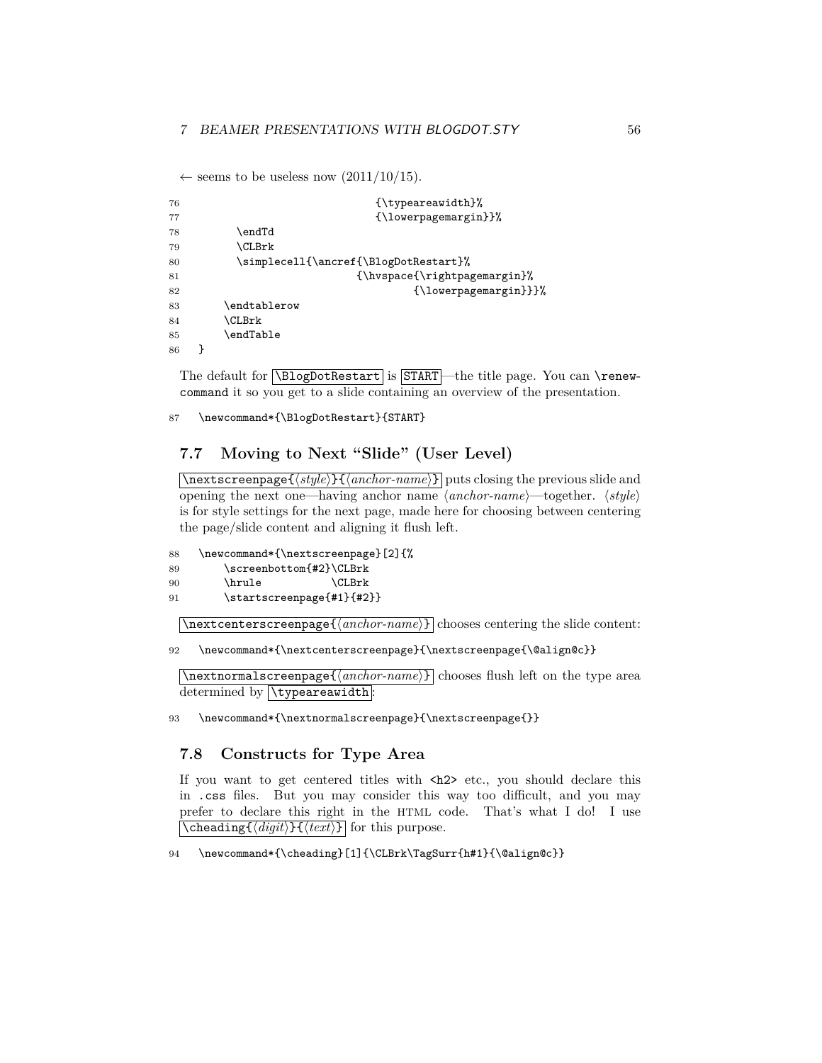← seems to be useless now  $(2011/10/15)$ .

```
76 {\t{typeareavidth}}77 {\lowerpagemargin}}%
78 \endTd
79 \CLBrk
80 \simplecell{\ancref{\BlogDotRestart}%
81 {\hvspace{\rightpagemargin}%
82 <br>
Subsetted that the set of \{\lambda\83 \endtablerow
84 \CLBrk
85 \endTable
86 }
```
The default for  $\Delta$ ElogDotRestart is START—the title page. You can  $\text{Xe}$ command it so you get to a slide containing an overview of the presentation.

87 \newcommand\*{\BlogDotRestart}{START}

### <span id="page-55-0"></span>**7.7 Moving to Next "Slide" (User Level)**

\nextscreenpage{\style\}}{\anchor-name\} puts closing the previous slide and opening the next one—having anchor name  $\langle anchor-name \rangle$ —together.  $\langle style \rangle$ is for style settings for the next page, made here for choosing between centering the page/slide content and aligning it flush left.

```
88 \newcommand*{\nextscreenpage}[2]{%
89 \screenbottom{#2}\CLBrk
90 \hrule \CLBrk
91 \startscreenpage{#1}{#2}}
```
 $\{\n\tan \theta\} \colon \mathbb{R}^n$  chooses centering the slide content:

```
92 \newcommand*{\nextcenterscreenpage}{\nextscreenpage{\@align@c}}
```
 $\langle$ nextnormalscreenpage $\{\langle anchor\text{-}name\rangle\}\vert$  chooses flush left on the type area determined by **\typeareawidth**:

93 \newcommand\*{\nextnormalscreenpage}{\nextscreenpage{}}

### <span id="page-55-1"></span>**7.8 Constructs for Type Area**

If you want to get centered titles with  $\langle h2 \rangle$  etc., you should declare this in .css files. But you may consider this way too difficult, and you may prefer to declare this right in the HTML code. That's what I do! I use  $\delta$  (*digit*)}  $\{$ *(text*)} for this purpose.

94 \newcommand\*{\cheading}[1]{\CLBrk\TagSurr{h#1}{\@align@c}}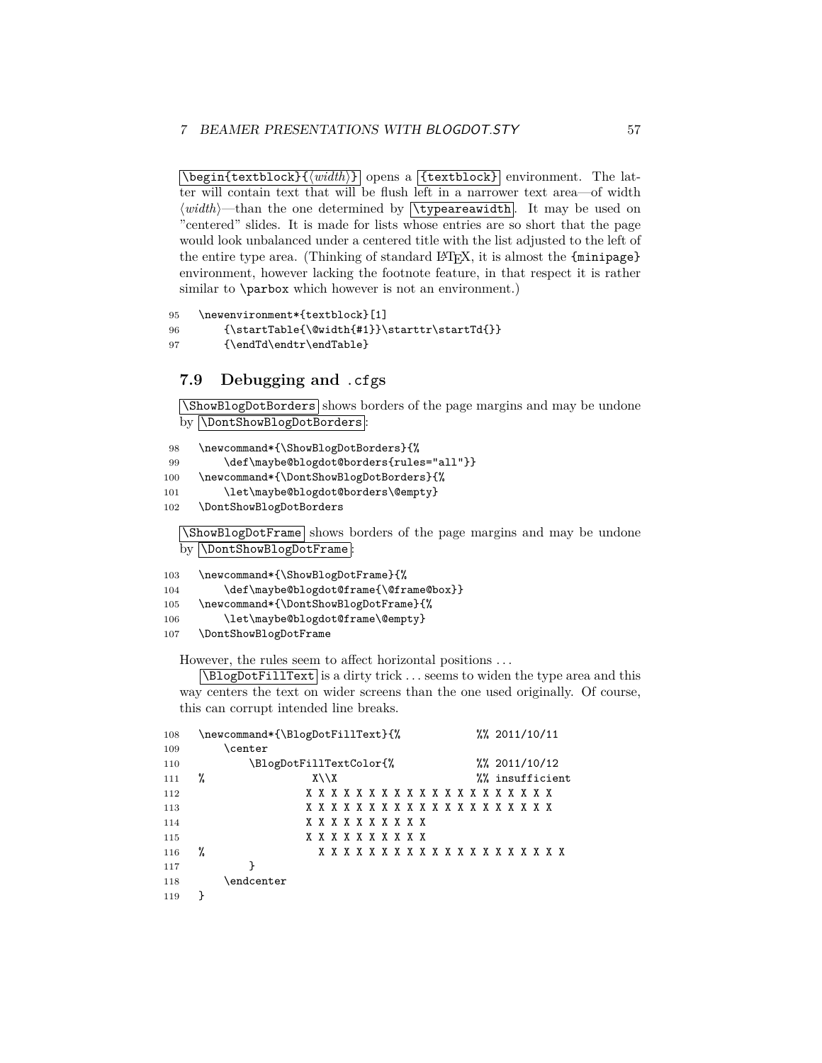$\delta$  \begin{textblock}{ $\langle width \rangle$ } opens a {textblock} environment. The latter will contain text that will be flush left in a narrower text area—of width  $\langle width \rangle$ —than the one determined by  $\forall$ **ypeareawidth**. It may be used on "centered" slides. It is made for lists whose entries are so short that the page would look unbalanced under a centered title with the list adjusted to the left of the entire type area. (Thinking of standard LATEX, it is almost the {minipage} environment, however lacking the footnote feature, in that respect it is rather similar to **\parbox** which however is not an environment.)

```
95 \newenvironment*{textblock}[1]
96 {\startTable{\@width{#1}}\starttr\startTd{}}
97 {\endTd\endtr\endTable}
```
### <span id="page-56-0"></span>**7.9 Debugging and** .cfg**s**

\ShowBlogDotBorders shows borders of the page margins and may be undone by **\DontShowBlogDotBorders**:

```
98 \newcommand*{\ShowBlogDotBorders}{%
99 \def\maybe@blogdot@borders{rules="all"}}
100 \newcommand*{\DontShowBlogDotBorders}{%
101 \let\maybe@blogdot@borders\@empty}
102 \DontShowBlogDotBorders
  \ShowBlogDotFrame shows borders of the page margins and may be undone
  by \DontShowBlogDotFrame:
```

```
103 \newcommand*{\ShowBlogDotFrame}{%
104 \def\maybe@blogdot@frame{\@frame@box}}
105 \newcommand*{\DontShowBlogDotFrame}{%
106 \let\maybe@blogdot@frame\@empty}
107 \DontShowBlogDotFrame
```
However, the rules seem to affect horizontal positions . . .

 $\Delta$ BlogDotFillText is a dirty trick  $\ldots$  seems to widen the type area and this way centers the text on wider screens than the one used originally. Of course, this can corrupt intended line breaks.

| 108 | \newcommand*{\BlogDotFillText}{%                 |                |  |                 |                                       |  |  | $\frac{2011}{10}$ /11 |  |  |  |  |  |  |  |  |  |                 |
|-----|--------------------------------------------------|----------------|--|-----------------|---------------------------------------|--|--|-----------------------|--|--|--|--|--|--|--|--|--|-----------------|
| 109 |                                                  | <b>\center</b> |  |                 |                                       |  |  |                       |  |  |  |  |  |  |  |  |  |                 |
| 110 | \BlogDotFillTextColor{%<br>$\frac{2011}{10}$ /12 |                |  |                 |                                       |  |  |                       |  |  |  |  |  |  |  |  |  |                 |
| 111 | ℀                                                |                |  | $X \setminus X$ |                                       |  |  |                       |  |  |  |  |  |  |  |  |  | %% insufficient |
| 112 |                                                  |                |  |                 | x x x x x x x x x x x x x x x x x x x |  |  |                       |  |  |  |  |  |  |  |  |  |                 |
| 113 |                                                  |                |  |                 | x x x x x x x x x x x x x x x x x x x |  |  |                       |  |  |  |  |  |  |  |  |  |                 |
| 114 |                                                  |                |  |                 | x x x x x x x x x x                   |  |  |                       |  |  |  |  |  |  |  |  |  |                 |
| 115 |                                                  |                |  |                 | x x x x x x x x x x                   |  |  |                       |  |  |  |  |  |  |  |  |  |                 |
| 116 | %                                                |                |  |                 | x x x x x x x x x x x x x x x x x x x |  |  |                       |  |  |  |  |  |  |  |  |  |                 |
| 117 |                                                  |                |  |                 |                                       |  |  |                       |  |  |  |  |  |  |  |  |  |                 |
| 118 |                                                  | \endcenter     |  |                 |                                       |  |  |                       |  |  |  |  |  |  |  |  |  |                 |
| 119 |                                                  |                |  |                 |                                       |  |  |                       |  |  |  |  |  |  |  |  |  |                 |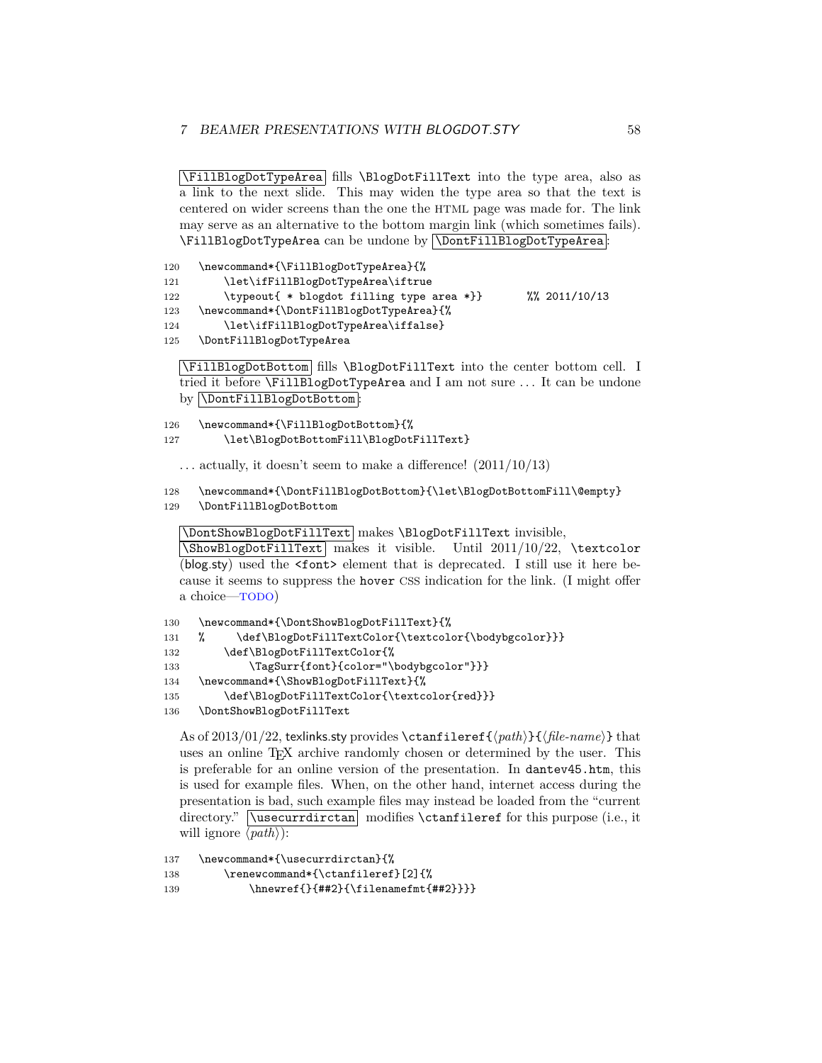\FillBlogDotTypeArea fills \BlogDotFillText into the type area, also as a link to the next slide. This may widen the type area so that the text is centered on wider screens than the one the HTML page was made for. The link may serve as an alternative to the bottom margin link (which sometimes fails). \FillBlogDotTypeArea can be undone by \DontFillBlogDotTypeArea :

```
120 \newcommand*{\FillBlogDotTypeArea}{%
121 \let\ifFillBlogDotTypeArea\iftrue
122 \typeout{ * blogdot filling type area *}} %% 2011/10/13
123 \newcommand*{\DontFillBlogDotTypeArea}{%
124 \let\ifFillBlogDotTypeArea\iffalse}
125 \DontFillBlogDotTypeArea
```
\FillBlogDotBottom fills \BlogDotFillText into the center bottom cell. I tried it before \FillBlogDotTypeArea and I am not sure ... It can be undone by **\DontFillBlogDotBottom**:

126 \newcommand\*{\FillBlogDotBottom}{%

```
127 \let\BlogDotBottomFill\BlogDotFillText}
```
 $\ldots$  actually, it doesn't seem to make a difference!  $(2011/10/13)$ 

```
128 \newcommand*{\DontFillBlogDotBottom}{\let\BlogDotBottomFill\@empty}
129 \DontFillBlogDotBottom
```
\DontShowBlogDotFillText makes \BlogDotFillText invisible,

 $\N$ BlogDotFillText makes it visible. Until 2011/10/22,  $\text{coker}$ (blog.sty) used the <font> element that is deprecated. I still use it here because it seems to suppress the hover CSS indication for the link. (I might offer a choice—TODO)

```
130 \newcommand*{\DontShowBlogDotFillText}{%
131 % \def\BlogDotFillTextColor{\textcolor{\bodybgcolor}}}
132 \def\BlogDotFillTextColor{%
133 \TagSurr{font}{color="\bodybgcolor"}}}
134 \newcommand*{\ShowBlogDotFillText}{%
135 \def\BlogDotFillTextColor{\textcolor{red}}}
136 \DontShowBlogDotFillText
```
As of 2013/01/22, texlinks.sty provides \ctanfileref{ $\Phi$ }{(*file-name*)} that uses an online T<sub>E</sub>X archive randomly chosen or determined by the user. This is preferable for an online version of the presentation. In dantev45.htm, this is used for example files. When, on the other hand, internet access during the presentation is bad, such example files may instead be loaded from the "current directory." **\usecurrdirctan** modifies **\ctanfileref** for this purpose (i.e., it will ignore  $\langle path \rangle$ :

```
137 \newcommand*{\usecurrdirctan}{%
138 \renewcommand*{\ctanfileref}[2]{%
139 \hnewref{}{##2}{\filenamefmt{##2}}}}
```